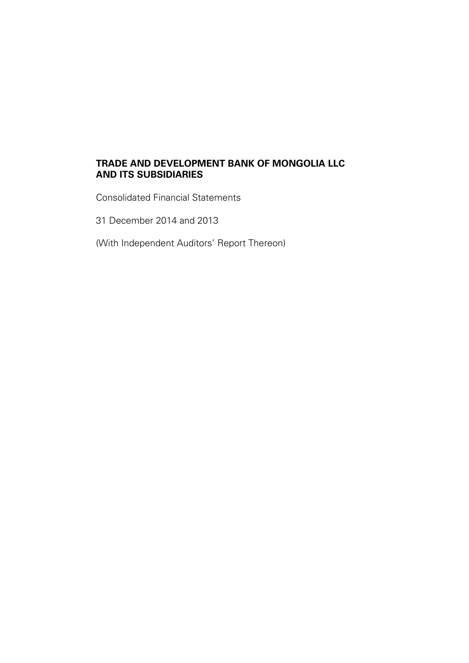Consolidated Financial Statements

31 December 2014 and 2013

(With Independent Auditors' Report Thereon)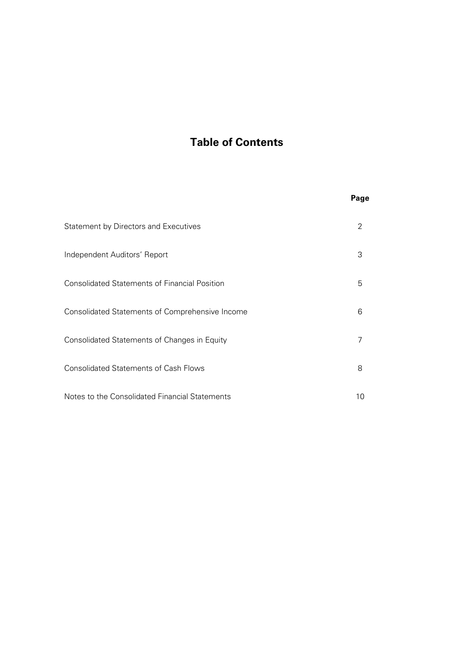# **Table of Contents**

|                                                      | Page |
|------------------------------------------------------|------|
| Statement by Directors and Executives                | 2    |
| Independent Auditors' Report                         | 3    |
| <b>Consolidated Statements of Financial Position</b> | 5    |
| Consolidated Statements of Comprehensive Income      | 6    |
| Consolidated Statements of Changes in Equity         | 7    |
| <b>Consolidated Statements of Cash Flows</b>         | 8    |
| Notes to the Consolidated Financial Statements       | 10   |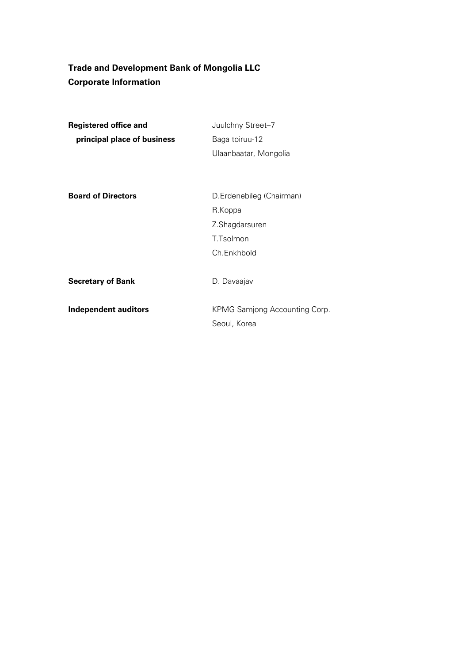# **Trade and Development Bank of Mongolia LLC Corporate Information**

| <b>Registered office and</b> | Juulchny Street-7             |
|------------------------------|-------------------------------|
| principal place of business  | Baga toiruu-12                |
|                              | Ulaanbaatar, Mongolia         |
|                              |                               |
| <b>Board of Directors</b>    | D.Erdenebileg (Chairman)      |
|                              | R.Koppa                       |
|                              | Z.Shagdarsuren                |
|                              | T.Tsolmon                     |
|                              | Ch.Enkhbold                   |
|                              |                               |
| <b>Secretary of Bank</b>     | D. Davaajav                   |
| <b>Independent auditors</b>  | KPMG Samjong Accounting Corp. |
|                              | Seoul, Korea                  |
|                              |                               |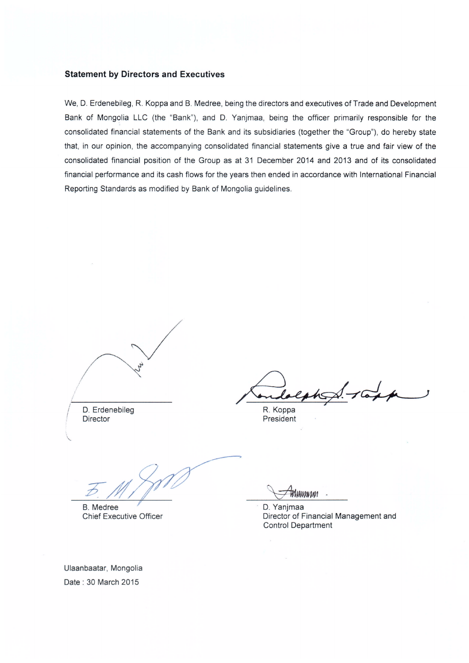## **Statement by Directors and Executives**

We, D. Erdenebileg, R. Koppa and B. Medree, being the directors and executives of Trade and Development Bank of Mongolia LLC (the "Bank"), and D. Yanjmaa, being the officer primarily responsible for the consolidated financial statements of the Bank and its subsidiaries (together the "Group"), do hereby state that, in our opinion, the accompanying consolidated financial statements give a true and fair view of the consolidated financial position of the Group as at 31 December 2014 and 2013 and of its consolidated financial performance and its cash flows for the years then ended in accordance with International Financial Reporting Standards as modified by Bank of Mongolia guidelines.

D. Erdenebileg Director

 $h\rightarrow -\infty$ 

R. Koppa President

**B.** Medree **Chief Executive Officer** 

D. Yanjmaa Director of Financial Management and **Control Department** 

Ulaanbaatar, Mongolia Date: 30 March 2015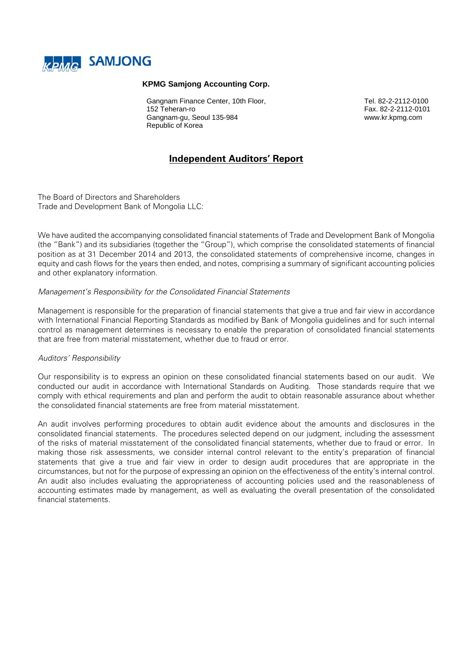

#### **KPMG Samjong Accounting Corp.**

Gangnam Finance Center, 10th Floor, 152 Teheran-ro Gangnam-gu, Seoul 135-984 Republic of Korea

Tel. 82-2-2112-0100 Fax. 82-2-2112-0101 www.kr.kpmg.com

## **Independent Auditors' Report**

The Board of Directors and Shareholders Trade and Development Bank of Mongolia LLC:

We have audited the accompanying consolidated financial statements of Trade and Development Bank of Mongolia (the "Bank") and its subsidiaries (together the "Group"), which comprise the consolidated statements of financial position as at 31 December 2014 and 2013, the consolidated statements of comprehensive income, changes in equity and cash flows for the years then ended, and notes, comprising a summary of significant accounting policies and other explanatory information.

## *Management's Responsibility for the Consolidated Financial Statements*

Management is responsible for the preparation of financial statements that give a true and fair view in accordance with International Financial Reporting Standards as modified by Bank of Mongolia guidelines and for such internal control as management determines is necessary to enable the preparation of consolidated financial statements that are free from material misstatement, whether due to fraud or error.

## *Auditors' Responsibility*

Our responsibility is to express an opinion on these consolidated financial statements based on our audit. We conducted our audit in accordance with International Standards on Auditing. Those standards require that we comply with ethical requirements and plan and perform the audit to obtain reasonable assurance about whether the consolidated financial statements are free from material misstatement.

An audit involves performing procedures to obtain audit evidence about the amounts and disclosures in the consolidated financial statements. The procedures selected depend on our judgment, including the assessment of the risks of material misstatement of the consolidated financial statements, whether due to fraud or error. In making those risk assessments, we consider internal control relevant to the entity's preparation of financial statements that give a true and fair view in order to design audit procedures that are appropriate in the circumstances, but not for the purpose of expressing an opinion on the effectiveness of the entity's internal control. An audit also includes evaluating the appropriateness of accounting policies used and the reasonableness of accounting estimates made by management, as well as evaluating the overall presentation of the consolidated financial statements.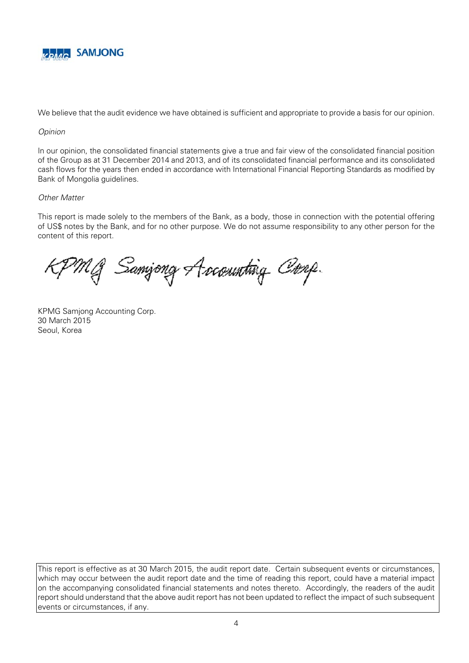

We believe that the audit evidence we have obtained is sufficient and appropriate to provide a basis for our opinion.

## *Opinion*

In our opinion, the consolidated financial statements give a true and fair view of the consolidated financial position of the Group as at 31 December 2014 and 2013, and of its consolidated financial performance and its consolidated cash flows for the years then ended in accordance with International Financial Reporting Standards as modified by Bank of Mongolia guidelines.

## *Other Matter*

This report is made solely to the members of the Bank, as a body, those in connection with the potential offering of US\$ notes by the Bank, and for no other purpose. We do not assume responsibility to any other person for the content of this report.

PMG Samjong Axcounting *Cor*ep.

KPMG Samjong Accounting Corp. 30 March 2015 Seoul, Korea

This report is effective as at 30 March 2015, the audit report date. Certain subsequent events or circumstances, which may occur between the audit report date and the time of reading this report, could have a material impact on the accompanying consolidated financial statements and notes thereto. Accordingly, the readers of the audit report should understand that the above audit report has not been updated to reflect the impact of such subsequent events or circumstances, if any.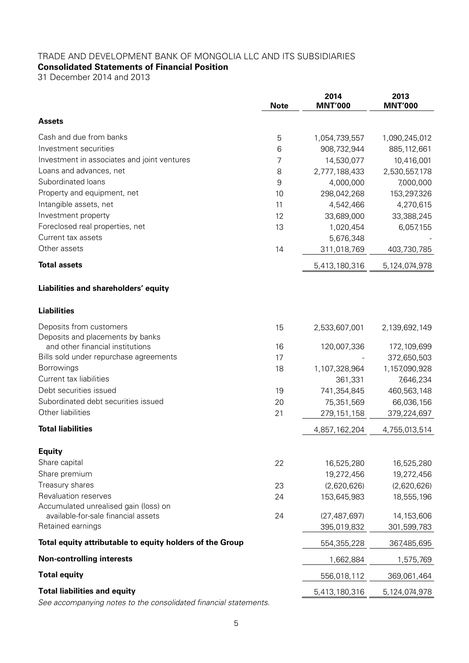**Consolidated Statements of Financial Position** 

31 December 2014 and 2013

|                                                                              | <b>Note</b> | 2014<br><b>MNT'000</b> | 2013<br><b>MNT'000</b> |
|------------------------------------------------------------------------------|-------------|------------------------|------------------------|
| <b>Assets</b>                                                                |             |                        |                        |
| Cash and due from banks                                                      | 5           | 1,054,739,557          | 1,090,245,012          |
| Investment securities                                                        | 6           | 908,732,944            | 885, 112, 661          |
| Investment in associates and joint ventures                                  | 7           | 14,530,077             | 10,416,001             |
| Loans and advances, net                                                      | 8           | 2,777,188,433          | 2,530,557,178          |
| Subordinated loans                                                           | 9           | 4,000,000              | 7,000,000              |
| Property and equipment, net                                                  | 10          | 298,042,268            | 153,297,326            |
| Intangible assets, net                                                       | 11          | 4,542,466              | 4,270,615              |
| Investment property                                                          | 12          | 33,689,000             | 33,388,245             |
| Foreclosed real properties, net                                              | 13          | 1,020,454              | 6,057,155              |
| Current tax assets                                                           |             | 5,676,348              |                        |
| Other assets                                                                 | 14          | 311,018,769            | 403,730,785            |
| <b>Total assets</b>                                                          |             | 5,413,180,316          | 5,124,074,978          |
| Liabilities and shareholders' equity                                         |             |                        |                        |
| <b>Liabilities</b>                                                           |             |                        |                        |
| Deposits from customers                                                      | 15          | 2,533,607,001          | 2,139,692,149          |
| Deposits and placements by banks                                             |             |                        |                        |
| and other financial institutions                                             | 16          | 120,007,336            | 172, 109, 699          |
| Bills sold under repurchase agreements                                       | 17          |                        | 372,650,503            |
| Borrowings<br>Current tax liabilities                                        | 18          | 1,107,328,964          | 1,157,090,928          |
| Debt securities issued                                                       |             | 361,331                | 7,646,234              |
| Subordinated debt securities issued                                          | 19          | 741,354,845            | 460,563,148            |
| Other liabilities                                                            | 20          | 75,351,569             | 66,036,156             |
|                                                                              | 21          | 279,151,158            | 379,224,697            |
| <b>Total liabilities</b>                                                     |             | 4,857,162,204          | 4,755,013,514          |
| <b>Equity</b>                                                                |             |                        |                        |
| Share capital                                                                | 22          | 16,525,280             | 16,525,280             |
| Share premium                                                                |             | 19,272,456             | 19,272,456             |
| Treasury shares                                                              | 23          | (2,620,626)            | (2,620,626)            |
| Revaluation reserves                                                         | 24          | 153,645,983            | 18,555,196             |
| Accumulated unrealised gain (loss) on<br>available-for-sale financial assets | 24          | (27, 487, 697)         | 14,153,606             |
| Retained earnings                                                            |             | 395,019,832            | 301,599,783            |
| Total equity attributable to equity holders of the Group                     |             | 554,355,228            | 367,485,695            |
| <b>Non-controlling interests</b>                                             |             | 1,662,884              | 1,575,769              |
| <b>Total equity</b>                                                          |             | 556,018,112            | 369,061,464            |
| <b>Total liabilities and equity</b>                                          |             | 5,413,180,316          | 5,124,074,978          |
| See accompanying notes to the consolidated financial statements.             |             |                        |                        |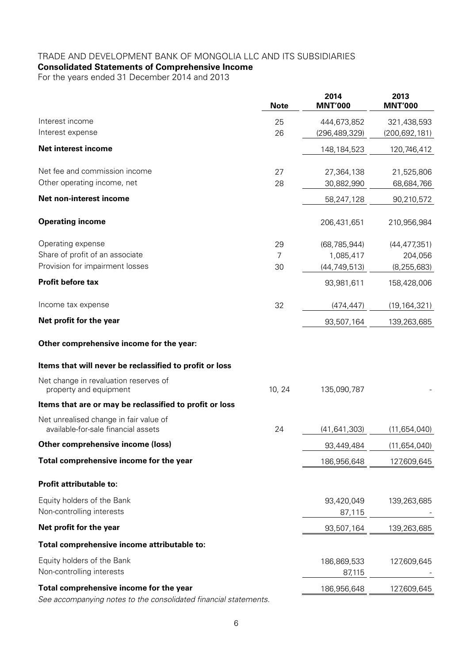# **Consolidated Statements of Comprehensive Income**

For the years ended 31 December 2014 and 2013

|                                                                               | <b>Note</b> | 2014<br><b>MNT'000</b> | 2013<br><b>MNT'000</b> |
|-------------------------------------------------------------------------------|-------------|------------------------|------------------------|
| Interest income                                                               | 25          | 444,673,852            | 321,438,593            |
| Interest expense                                                              | 26          | (296, 489, 329)        | (200, 692, 181)        |
| <b>Net interest income</b>                                                    |             | 148,184,523            | 120,746,412            |
| Net fee and commission income                                                 | 27          | 27,364,138             | 21,525,806             |
| Other operating income, net                                                   | 28          | 30,882,990             | 68,684,766             |
| Net non-interest income                                                       |             | 58,247,128             | 90,210,572             |
| <b>Operating income</b>                                                       |             | 206,431,651            | 210,956,984            |
| Operating expense                                                             | 29          | (68, 785, 944)         | (44, 477, 351)         |
| Share of profit of an associate                                               | 7           | 1,085,417              | 204,056                |
| Provision for impairment losses                                               | 30          | (44, 749, 513)         | (8, 255, 683)          |
| <b>Profit before tax</b>                                                      |             | 93,981,611             | 158,428,006            |
| Income tax expense                                                            | 32          | (474, 447)             | (19, 164, 321)         |
| Net profit for the year                                                       |             | 93,507,164             | 139,263,685            |
| Other comprehensive income for the year:                                      |             |                        |                        |
| Items that will never be reclassified to profit or loss                       |             |                        |                        |
| Net change in revaluation reserves of<br>property and equipment               | 10, 24      | 135,090,787            |                        |
| Items that are or may be reclassified to profit or loss                       |             |                        |                        |
| Net unrealised change in fair value of<br>available-for-sale financial assets | 24          | (41, 641, 303)         | (11, 654, 040)         |
| Other comprehensive income (loss)                                             |             | 93,449,484             | (11, 654, 040)         |
| Total comprehensive income for the year                                       |             | 186,956,648            | 127,609,645            |
| Profit attributable to:                                                       |             |                        |                        |
| Equity holders of the Bank<br>Non-controlling interests                       |             | 93,420,049             | 139,263,685            |
| Net profit for the year                                                       |             | 87,115<br>93,507,164   | 139,263,685            |
|                                                                               |             |                        |                        |
| Total comprehensive income attributable to:                                   |             |                        |                        |
| Equity holders of the Bank<br>Non-controlling interests                       |             | 186,869,533<br>87,115  | 127,609,645            |
| Total comprehensive income for the year                                       |             | 186,956,648            | 127,609,645            |
| See accompanying notes to the consolidated financial statements.              |             |                        |                        |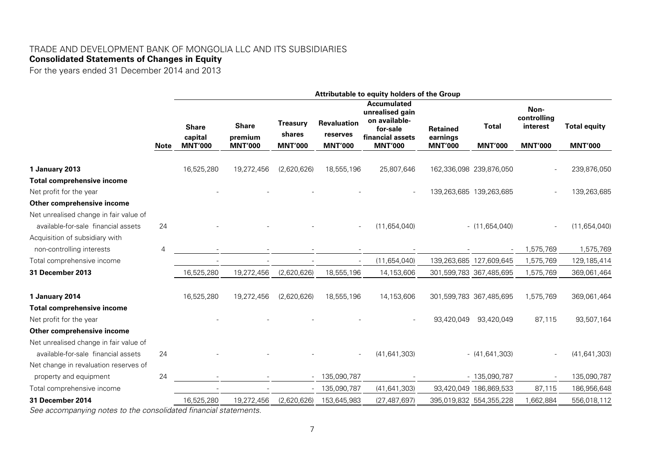## **Consolidated Statements of Changes in Equity**

For the years ended 31 December 2014 and 2013

|                                                                |             | Attributable to equity holders of the Group |                                           |                                             |                                                  |                                                                                                          |                                               |                                |                                                   |                                       |
|----------------------------------------------------------------|-------------|---------------------------------------------|-------------------------------------------|---------------------------------------------|--------------------------------------------------|----------------------------------------------------------------------------------------------------------|-----------------------------------------------|--------------------------------|---------------------------------------------------|---------------------------------------|
|                                                                | <b>Note</b> | <b>Share</b><br>capital<br><b>MNT'000</b>   | <b>Share</b><br>premium<br><b>MNT'000</b> | <b>Treasury</b><br>shares<br><b>MNT'000</b> | <b>Revaluation</b><br>reserves<br><b>MNT'000</b> | <b>Accumulated</b><br>unrealised gain<br>on available-<br>for-sale<br>financial assets<br><b>MNT'000</b> | <b>Retained</b><br>earnings<br><b>MNT'000</b> | <b>Total</b><br><b>MNT'000</b> | Non-<br>controlling<br>interest<br><b>MNT'000</b> | <b>Total equity</b><br><b>MNT'000</b> |
| 1 January 2013                                                 |             | 16,525,280                                  | 19,272,456                                | (2,620,626)                                 | 18,555,196                                       | 25,807,646                                                                                               |                                               | 162,336,098 239,876,050        |                                                   | 239,876,050                           |
| Total comprehensive income                                     |             |                                             |                                           |                                             |                                                  |                                                                                                          |                                               |                                |                                                   |                                       |
| Net profit for the year                                        |             |                                             |                                           |                                             |                                                  |                                                                                                          |                                               | 139,263,685 139,263,685        |                                                   | 139,263,685                           |
| Other comprehensive income                                     |             |                                             |                                           |                                             |                                                  |                                                                                                          |                                               |                                |                                                   |                                       |
| Net unrealised change in fair value of                         |             |                                             |                                           |                                             |                                                  |                                                                                                          |                                               |                                |                                                   |                                       |
| available-for-sale financial assets                            | 24          |                                             |                                           |                                             |                                                  | (11,654,040)                                                                                             |                                               | $-$ (11,654,040)               |                                                   | (11,654,040)                          |
| Acquisition of subsidiary with<br>non-controlling interests    | 4           |                                             |                                           |                                             |                                                  |                                                                                                          |                                               |                                | 1,575,769                                         | 1,575,769                             |
| Total comprehensive income                                     |             |                                             |                                           |                                             |                                                  | (11, 654, 040)                                                                                           |                                               | 139,263,685 127,609,645        | 1,575,769                                         | 129,185,414                           |
| 31 December 2013                                               |             | 16,525,280                                  | 19,272,456                                | (2,620,626)                                 | 18,555,196                                       | 14,153,606                                                                                               |                                               | 301,599,783 367,485,695        | 1,575,769                                         | 369,061,464                           |
| 1 January 2014                                                 |             | 16,525,280                                  | 19,272,456                                | (2,620,626)                                 | 18,555,196                                       | 14,153,606                                                                                               |                                               | 301,599,783 367,485,695        | 1,575,769                                         | 369,061,464                           |
| Total comprehensive income                                     |             |                                             |                                           |                                             |                                                  |                                                                                                          |                                               |                                |                                                   |                                       |
| Net profit for the year                                        |             |                                             |                                           |                                             |                                                  |                                                                                                          | 93,420,049                                    | 93,420,049                     | 87,115                                            | 93,507,164                            |
| Other comprehensive income                                     |             |                                             |                                           |                                             |                                                  |                                                                                                          |                                               |                                |                                                   |                                       |
| Net unrealised change in fair value of                         |             |                                             |                                           |                                             |                                                  |                                                                                                          |                                               |                                |                                                   |                                       |
| available-for-sale financial assets                            | 24          |                                             |                                           |                                             |                                                  | (41, 641, 303)                                                                                           |                                               | $-$ (41,641,303)               |                                                   | (41, 641, 303)                        |
| Net change in revaluation reserves of                          |             |                                             |                                           |                                             |                                                  |                                                                                                          |                                               |                                |                                                   |                                       |
| property and equipment                                         | 24          |                                             |                                           |                                             | 135,090,787                                      |                                                                                                          |                                               | - 135,090,787                  |                                                   | 135,090,787                           |
| Total comprehensive income                                     |             |                                             |                                           |                                             | 135,090,787                                      | (41, 641, 303)                                                                                           |                                               | 93,420,049 186,869,533         | 87,115                                            | 186,956,648                           |
| 31 December 2014                                               |             | 16,525,280                                  | 19,272,456                                | (2,620,626)                                 | 153,645,983                                      | (27, 487, 697)                                                                                           |                                               | 395,019,832 554,355,228        | 1,662,884                                         | 556,018,112                           |
| as essempenying pates to the consolidated financial atotements |             |                                             |                                           |                                             |                                                  |                                                                                                          |                                               |                                |                                                   |                                       |

*See accompanying notes to the consolidated financial statements.*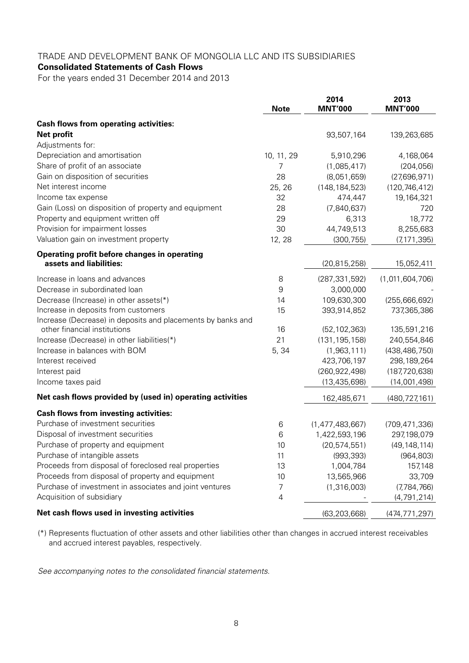## **Consolidated Statements of Cash Flows**

For the years ended 31 December 2014 and 2013

|                                                             | <b>Note</b>    | 2014<br><b>MNT'000</b> | 2013<br><b>MNT'000</b> |
|-------------------------------------------------------------|----------------|------------------------|------------------------|
| <b>Cash flows from operating activities:</b>                |                |                        |                        |
| <b>Net profit</b>                                           |                | 93,507,164             | 139,263,685            |
| Adjustments for:                                            |                |                        |                        |
| Depreciation and amortisation                               | 10, 11, 29     | 5,910,296              | 4,168,064              |
| Share of profit of an associate                             | 7              | (1,085,417)            | (204, 056)             |
| Gain on disposition of securities                           | 28             | (8,051,659)            | (27,696,971)           |
| Net interest income                                         | 25, 26         | (148, 184, 523)        | (120, 746, 412)        |
| Income tax expense                                          | 32             | 474,447                | 19,164,321             |
| Gain (Loss) on disposition of property and equipment        | 28             | (7,840,637)            | 720                    |
| Property and equipment written off                          | 29             | 6,313                  | 18,772                 |
| Provision for impairment losses                             | 30             | 44,749,513             | 8,255,683              |
| Valuation gain on investment property                       | 12, 28         | (300, 755)             | (7, 171, 395)          |
| Operating profit before changes in operating                |                |                        |                        |
| assets and liabilities:                                     |                | (20, 815, 258)         | 15,052,411             |
| Increase in loans and advances                              | 8              | (287, 331, 592)        | (1,011,604,706)        |
| Decrease in subordinated loan                               | 9              | 3,000,000              |                        |
| Decrease (Increase) in other assets(*)                      | 14             | 109,630,300            | (255, 666, 692)        |
| Increase in deposits from customers                         | 15             | 393,914,852            | 737,365,386            |
| Increase (Decrease) in deposits and placements by banks and |                |                        |                        |
| other financial institutions                                | 16             | (52, 102, 363)         | 135,591,216            |
| Increase (Decrease) in other liabilities(*)                 | 21             | (131, 195, 158)        | 240,554,846            |
| Increase in balances with BOM                               | 5, 34          | (1,963,111)            | (438, 486, 750)        |
| Interest received                                           |                | 423,706,197            | 298, 189, 264          |
| Interest paid                                               |                | (260, 922, 498)        | (187, 720, 638)        |
| Income taxes paid                                           |                | (13, 435, 698)         | (14,001,498)           |
| Net cash flows provided by (used in) operating activities   |                | 162,485,671            | (480, 727, 161)        |
| <b>Cash flows from investing activities:</b>                |                |                        |                        |
| Purchase of investment securities                           | 6              | (1,477,483,667)        | (709, 471, 336)        |
| Disposal of investment securities                           | 6              | 1,422,593,196          | 297,198,079            |
| Purchase of property and equipment                          | 10             | (20, 574, 551)         | (49, 148, 114)         |
| Purchase of intangible assets                               | 11             | (993, 393)             | (964, 803)             |
| Proceeds from disposal of foreclosed real properties        | 13             | 1,004,784              | 157,148                |
| Proceeds from disposal of property and equipment            | 10             | 13,565,966             | 33,709                 |
| Purchase of investment in associates and joint ventures     | 7              | (1,316,003)            | (7,784,766)            |
| Acquisition of subsidiary                                   | $\overline{4}$ |                        | (4,791,214)            |
| Net cash flows used in investing activities                 |                | (63, 203, 668)         | (474,771,297)          |

(\*) Represents fluctuation of other assets and other liabilities other than changes in accrued interest receivables and accrued interest payables, respectively.

*See accompanying notes to the consolidated financial statements*.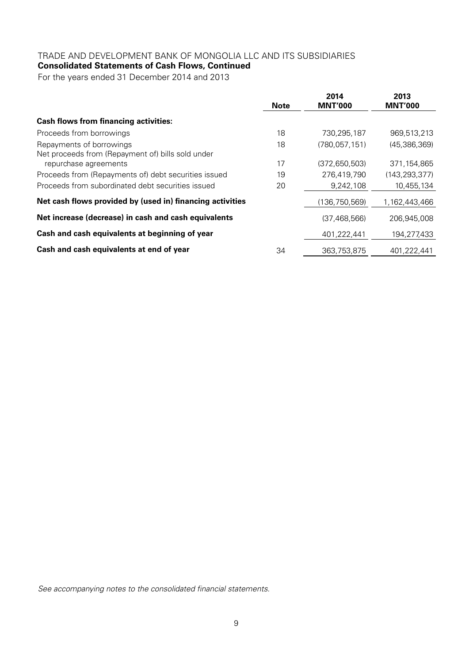**Consolidated Statements of Cash Flows, Continued** 

For the years ended 31 December 2014 and 2013

|                                                                               | <b>Note</b> | 2014<br><b>MNT'000</b> | 2013<br><b>MNT'000</b> |
|-------------------------------------------------------------------------------|-------------|------------------------|------------------------|
| <b>Cash flows from financing activities:</b>                                  |             |                        |                        |
| Proceeds from borrowings                                                      | 18          | 730,295,187            | 969,513,213            |
| Repayments of borrowings<br>Net proceeds from (Repayment of) bills sold under | 18          | (780,057,151)          | (45,386,369)           |
| repurchase agreements                                                         | 17          | (372,650,503)          | 371,154,865            |
| Proceeds from (Repayments of) debt securities issued                          | 19          | 276,419,790            | (143, 293, 377)        |
| Proceeds from subordinated debt securities issued                             | 20          | 9,242,108              | 10,455,134             |
| Net cash flows provided by (used in) financing activities                     |             | (136, 750, 569)        | 1,162,443,466          |
| Net increase (decrease) in cash and cash equivalents                          |             | (37, 468, 566)         | 206,945,008            |
| Cash and cash equivalents at beginning of year                                |             | 401,222,441            | 194,277,433            |
| Cash and cash equivalents at end of year                                      | 34          | 363,753,875            | 401,222,441            |

*See accompanying notes to the consolidated financial statements*.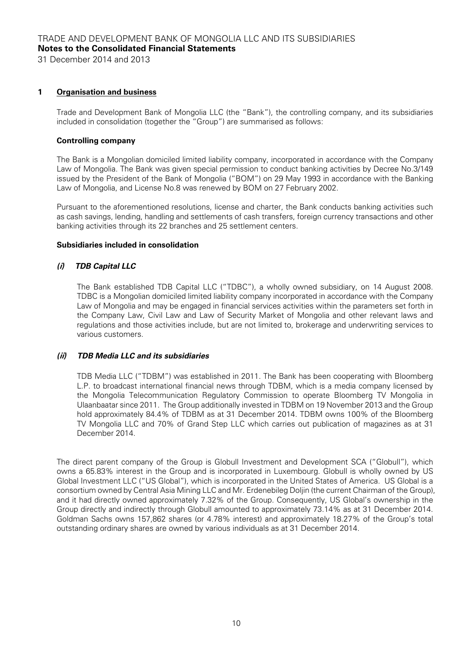## **1 Organisation and business**

Trade and Development Bank of Mongolia LLC (the "Bank"), the controlling company, and its subsidiaries included in consolidation (together the "Group") are summarised as follows:

## **Controlling company**

The Bank is a Mongolian domiciled limited liability company, incorporated in accordance with the Company Law of Mongolia. The Bank was given special permission to conduct banking activities by Decree No.3/149 issued by the President of the Bank of Mongolia ("BOM") on 29 May 1993 in accordance with the Banking Law of Mongolia, and License No.8 was renewed by BOM on 27 February 2002.

Pursuant to the aforementioned resolutions, license and charter, the Bank conducts banking activities such as cash savings, lending, handling and settlements of cash transfers, foreign currency transactions and other banking activities through its 22 branches and 25 settlement centers.

## **Subsidiaries included in consolidation**

## *(***i***) TDB Capital LLC*

The Bank established TDB Capital LLC ("TDBC"), a wholly owned subsidiary, on 14 August 2008. TDBC is a Mongolian domiciled limited liability company incorporated in accordance with the Company Law of Mongolia and may be engaged in financial services activities within the parameters set forth in the Company Law, Civil Law and Law of Security Market of Mongolia and other relevant laws and regulations and those activities include, but are not limited to, brokerage and underwriting services to various customers.

## *(***ii***) TDB Media LLC and its subsidiaries*

TDB Media LLC ("TDBM") was established in 2011. The Bank has been cooperating with Bloomberg L.P. to broadcast international financial news through TDBM, which is a media company licensed by the Mongolia Telecommunication Regulatory Commission to operate Bloomberg TV Mongolia in Ulaanbaatar since 2011. The Group additionally invested in TDBM on 19 November 2013 and the Group hold approximately 84.4% of TDBM as at 31 December 2014. TDBM owns 100% of the Bloomberg TV Mongolia LLC and 70% of Grand Step LLC which carries out publication of magazines as at 31 December 2014.

The direct parent company of the Group is Globull Investment and Development SCA ("Globull"), which owns a 65.83% interest in the Group and is incorporated in Luxembourg. Globull is wholly owned by US Global Investment LLC ("US Global"), which is incorporated in the United States of America. US Global is a consortium owned by Central Asia Mining LLC and Mr. Erdenebileg Doljin (the current Chairman of the Group), and it had directly owned approximately 7.32% of the Group. Consequently, US Global's ownership in the Group directly and indirectly through Globull amounted to approximately 73.14% as at 31 December 2014. Goldman Sachs owns 157,862 shares (or 4.78% interest) and approximately 18.27% of the Group's total outstanding ordinary shares are owned by various individuals as at 31 December 2014.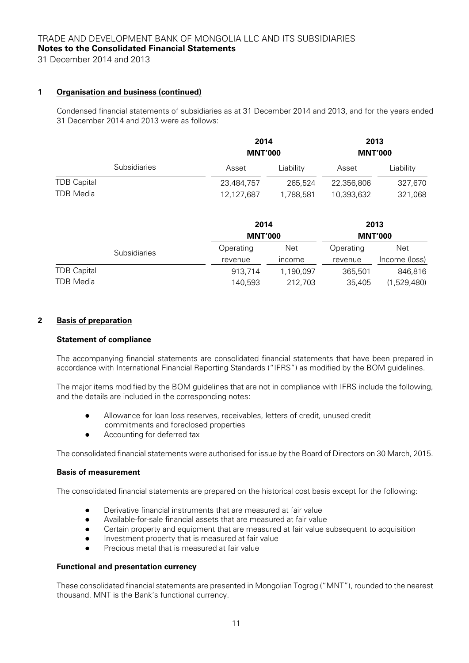31 December 2014 and 2013

## **1 Organisation and business (continued)**

Condensed financial statements of subsidiaries as at 31 December 2014 and 2013, and for the years ended 31 December 2014 and 2013 were as follows:

|                     | 2014           |           | 2013           |           |
|---------------------|----------------|-----------|----------------|-----------|
|                     | <b>MNT'000</b> |           | <b>MNT'000</b> |           |
| <b>Subsidiaries</b> | Asset          | Liability | Asset          | Liability |
| <b>TDB Capital</b>  | 23,484,757     | 265.524   | 22,356,806     | 327,670   |
| TDB Media           | 12,127,687     | 1,788,581 | 10,393,632     | 321,068   |

|                     | 2014           |               | 2013      |                |  |
|---------------------|----------------|---------------|-----------|----------------|--|
|                     | <b>MNT'000</b> |               |           | <b>MNT'000</b> |  |
| <b>Subsidiaries</b> | Operating      | <b>Net</b>    | Operating | Net            |  |
|                     | revenue        | <i>income</i> | revenue   | Income (loss)  |  |
| <b>TDB Capital</b>  | 913,714        | 1,190,097     | 365,501   | 846.816        |  |
| <b>TDB</b> Media    | 140,593        | 212,703       | 35,405    | (1.529.480)    |  |

## **2 Basis of preparation**

#### **Statement of compliance**

The accompanying financial statements are consolidated financial statements that have been prepared in accordance with International Financial Reporting Standards ("IFRS") as modified by the BOM guidelines.

The major items modified by the BOM guidelines that are not in compliance with IFRS include the following, and the details are included in the corresponding notes:

- Allowance for loan loss reserves, receivables, letters of credit, unused credit commitments and foreclosed properties
- Accounting for deferred tax

The consolidated financial statements were authorised for issue by the Board of Directors on 30 March, 2015.

## **Basis of measurement**

The consolidated financial statements are prepared on the historical cost basis except for the following:

- Derivative financial instruments that are measured at fair value
- Available-for-sale financial assets that are measured at fair value
- Certain property and equipment that are measured at fair value subsequent to acquisition
- Investment property that is measured at fair value
- Precious metal that is measured at fair value

#### **Functional and presentation currency**

These consolidated financial statements are presented in Mongolian Togrog ("MNT"), rounded to the nearest thousand. MNT is the Bank's functional currency.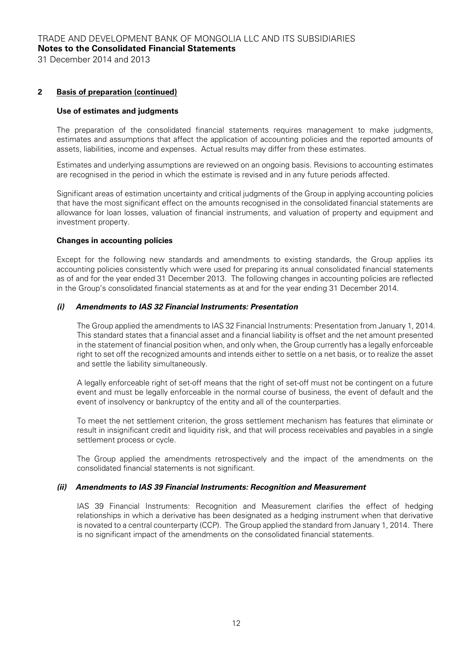## **2 Basis of preparation (continued)**

## **Use of estimates and judgments**

The preparation of the consolidated financial statements requires management to make judgments, estimates and assumptions that affect the application of accounting policies and the reported amounts of assets, liabilities, income and expenses. Actual results may differ from these estimates.

Estimates and underlying assumptions are reviewed on an ongoing basis. Revisions to accounting estimates are recognised in the period in which the estimate is revised and in any future periods affected.

Significant areas of estimation uncertainty and critical judgments of the Group in applying accounting policies that have the most significant effect on the amounts recognised in the consolidated financial statements are allowance for loan losses, valuation of financial instruments, and valuation of property and equipment and investment property.

## **Changes in accounting policies**

Except for the following new standards and amendments to existing standards, the Group applies its accounting policies consistently which were used for preparing its annual consolidated financial statements as of and for the year ended 31 December 2013. The following changes in accounting policies are reflected in the Group's consolidated financial statements as at and for the year ending 31 December 2014.

## *(i) Amendments to IAS 32 Financial Instruments: Presentation*

The Group applied the amendments to IAS 32 Financial Instruments: Presentation from January 1, 2014. This standard states that a financial asset and a financial liability is offset and the net amount presented in the statement of financial position when, and only when, the Group currently has a legally enforceable right to set off the recognized amounts and intends either to settle on a net basis, or to realize the asset and settle the liability simultaneously.

A legally enforceable right of set-off means that the right of set-off must not be contingent on a future event and must be legally enforceable in the normal course of business, the event of default and the event of insolvency or bankruptcy of the entity and all of the counterparties.

To meet the net settlement criterion, the gross settlement mechanism has features that eliminate or result in insignificant credit and liquidity risk, and that will process receivables and payables in a single settlement process or cycle.

The Group applied the amendments retrospectively and the impact of the amendments on the consolidated financial statements is not significant.

#### *(ii) Amendments to IAS 39 Financial Instruments: Recognition and Measurement*

IAS 39 Financial Instruments: Recognition and Measurement clarifies the effect of hedging relationships in which a derivative has been designated as a hedging instrument when that derivative is novated to a central counterparty (CCP). The Group applied the standard from January 1, 2014. There is no significant impact of the amendments on the consolidated financial statements.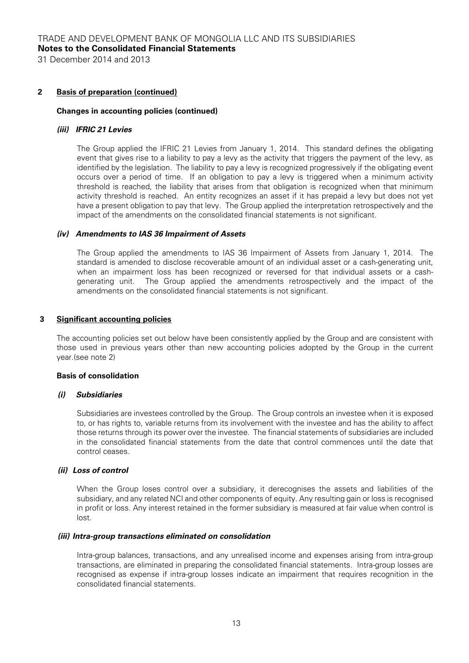## **2 Basis of preparation (continued)**

## **Changes in accounting policies (continued)**

## *(iii) IFRIC 21 Levies*

The Group applied the IFRIC 21 Levies from January 1, 2014. This standard defines the obligating event that gives rise to a liability to pay a levy as the activity that triggers the payment of the levy, as identified by the legislation. The liability to pay a levy is recognized progressively if the obligating event occurs over a period of time. If an obligation to pay a levy is triggered when a minimum activity threshold is reached, the liability that arises from that obligation is recognized when that minimum activity threshold is reached. An entity recognizes an asset if it has prepaid a levy but does not yet have a present obligation to pay that levy. The Group applied the interpretation retrospectively and the impact of the amendments on the consolidated financial statements is not significant.

## *(iv) Amendments to IAS 36 Impairment of Assets*

The Group applied the amendments to IAS 36 Impairment of Assets from January 1, 2014. The standard is amended to disclose recoverable amount of an individual asset or a cash-generating unit, when an impairment loss has been recognized or reversed for that individual assets or a cashgenerating unit. The Group applied the amendments retrospectively and the impact of the amendments on the consolidated financial statements is not significant.

## **3 Significant accounting policies**

The accounting policies set out below have been consistently applied by the Group and are consistent with those used in previous years other than new accounting policies adopted by the Group in the current year.(see note 2)

## **Basis of consolidation**

#### *(i) Subsidiaries*

Subsidiaries are investees controlled by the Group. The Group controls an investee when it is exposed to, or has rights to, variable returns from its involvement with the investee and has the ability to affect those returns through its power over the investee. The financial statements of subsidiaries are included in the consolidated financial statements from the date that control commences until the date that control ceases.

## *(ii) Loss of control*

When the Group loses control over a subsidiary, it derecognises the assets and liabilities of the subsidiary, and any related NCI and other components of equity. Any resulting gain or loss is recognised in profit or loss. Any interest retained in the former subsidiary is measured at fair value when control is lost.

#### *(iii) Intra-group transactions eliminated on consolidation*

Intra-group balances, transactions, and any unrealised income and expenses arising from intra-group transactions, are eliminated in preparing the consolidated financial statements. Intra-group losses are recognised as expense if intra-group losses indicate an impairment that requires recognition in the consolidated financial statements.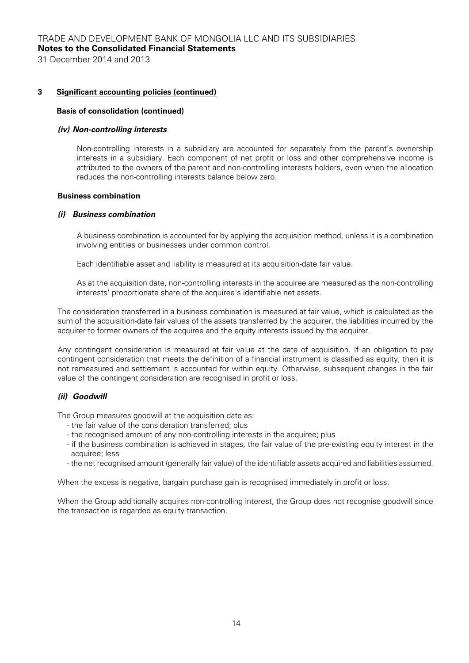## **3 Significant accounting policies (continued)**

## **Basis of consolidation (continued)**

## *(iv) Non-controlling interests*

Non-controlling interests in a subsidiary are accounted for separately from the parent's ownership interests in a subsidiary. Each component of net profit or loss and other comprehensive income is attributed to the owners of the parent and non-controlling interests holders, even when the allocation reduces the non-controlling interests balance below zero.

## **Business combination**

## *(i) Business combination*

A business combination is accounted for by applying the acquisition method, unless it is a combination involving entities or businesses under common control.

Each identifiable asset and liability is measured at its acquisition-date fair value.

As at the acquisition date, non-controlling interests in the acquiree are measured as the non-controlling interests' proportionate share of the acquiree's identifiable net assets.

The consideration transferred in a business combination is measured at fair value, which is calculated as the sum of the acquisition-date fair values of the assets transferred by the acquirer, the liabilities incurred by the acquirer to former owners of the acquiree and the equity interests issued by the acquirer.

Any contingent consideration is measured at fair value at the date of acquisition. If an obligation to pay contingent consideration that meets the definition of a financial instrument is classified as equity, then it is not remeasured and settlement is accounted for within equity. Otherwise, subsequent changes in the fair value of the contingent consideration are recognised in profit or loss.

## *(ii) Goodwill*

The Group measures goodwill at the acquisition date as:

- the fair value of the consideration transferred; plus
- the recognised amount of any non-controlling interests in the acquiree; plus
- if the business combination is achieved in stages, the fair value of the pre-existing equity interest in the acquiree; less
- the net recognised amount (generally fair value) of the identifiable assets acquired and liabilities assumed.

When the excess is negative, bargain purchase gain is recognised immediately in profit or loss.

When the Group additionally acquires non-controlling interest, the Group does not recognise goodwill since the transaction is regarded as equity transaction.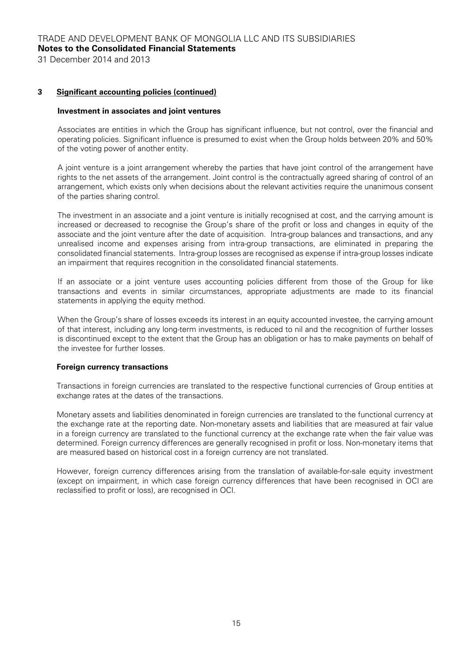## **3 Significant accounting policies (continued)**

#### **Investment in associates and joint ventures**

Associates are entities in which the Group has significant influence, but not control, over the financial and operating policies. Significant influence is presumed to exist when the Group holds between 20% and 50% of the voting power of another entity.

A joint venture is a joint arrangement whereby the parties that have joint control of the arrangement have rights to the net assets of the arrangement. Joint control is the contractually agreed sharing of control of an arrangement, which exists only when decisions about the relevant activities require the unanimous consent of the parties sharing control.

The investment in an associate and a joint venture is initially recognised at cost, and the carrying amount is increased or decreased to recognise the Group's share of the profit or loss and changes in equity of the associate and the joint venture after the date of acquisition. Intra-group balances and transactions, and any unrealised income and expenses arising from intra-group transactions, are eliminated in preparing the consolidated financial statements. Intra-group losses are recognised as expense if intra-group losses indicate an impairment that requires recognition in the consolidated financial statements.

If an associate or a joint venture uses accounting policies different from those of the Group for like transactions and events in similar circumstances, appropriate adjustments are made to its financial statements in applying the equity method.

When the Group's share of losses exceeds its interest in an equity accounted investee, the carrying amount of that interest, including any long-term investments, is reduced to nil and the recognition of further losses is discontinued except to the extent that the Group has an obligation or has to make payments on behalf of the investee for further losses.

#### **Foreign currency transactions**

Transactions in foreign currencies are translated to the respective functional currencies of Group entities at exchange rates at the dates of the transactions.

Monetary assets and liabilities denominated in foreign currencies are translated to the functional currency at the exchange rate at the reporting date. Non-monetary assets and liabilities that are measured at fair value in a foreign currency are translated to the functional currency at the exchange rate when the fair value was determined. Foreign currency differences are generally recognised in profit or loss. Non-monetary items that are measured based on historical cost in a foreign currency are not translated.

However, foreign currency differences arising from the translation of available-for-sale equity investment (except on impairment, in which case foreign currency differences that have been recognised in OCI are reclassified to profit or loss), are recognised in OCI.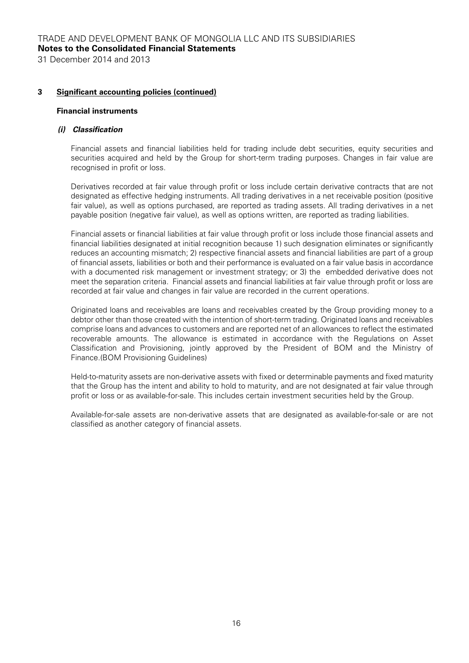## **3 Significant accounting policies (continued)**

## **Financial instruments**

#### *(i) Classification*

Financial assets and financial liabilities held for trading include debt securities, equity securities and securities acquired and held by the Group for short-term trading purposes. Changes in fair value are recognised in profit or loss.

Derivatives recorded at fair value through profit or loss include certain derivative contracts that are not designated as effective hedging instruments. All trading derivatives in a net receivable position (positive fair value), as well as options purchased, are reported as trading assets. All trading derivatives in a net payable position (negative fair value), as well as options written, are reported as trading liabilities.

Financial assets or financial liabilities at fair value through profit or loss include those financial assets and financial liabilities designated at initial recognition because 1) such designation eliminates or significantly reduces an accounting mismatch; 2) respective financial assets and financial liabilities are part of a group of financial assets, liabilities or both and their performance is evaluated on a fair value basis in accordance with a documented risk management or investment strategy; or 3) the embedded derivative does not meet the separation criteria. Financial assets and financial liabilities at fair value through profit or loss are recorded at fair value and changes in fair value are recorded in the current operations.

Originated loans and receivables are loans and receivables created by the Group providing money to a debtor other than those created with the intention of short-term trading. Originated loans and receivables comprise loans and advances to customers and are reported net of an allowances to reflect the estimated recoverable amounts. The allowance is estimated in accordance with the Regulations on Asset Classification and Provisioning, jointly approved by the President of BOM and the Ministry of Finance.(BOM Provisioning Guidelines)

Held-to-maturity assets are non-derivative assets with fixed or determinable payments and fixed maturity that the Group has the intent and ability to hold to maturity, and are not designated at fair value through profit or loss or as available-for-sale. This includes certain investment securities held by the Group.

Available-for-sale assets are non-derivative assets that are designated as available-for-sale or are not classified as another category of financial assets.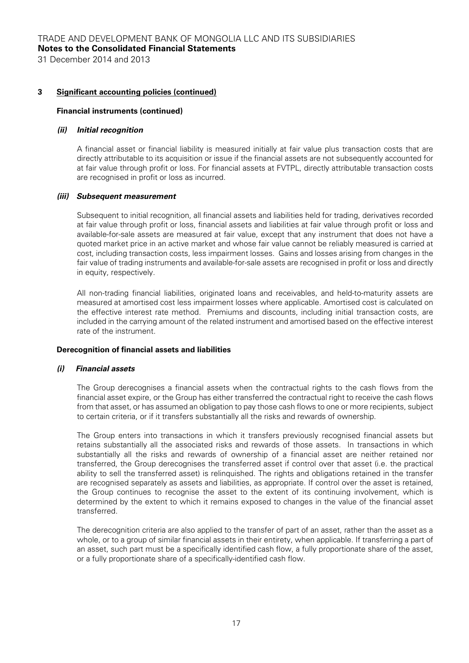## **3 Significant accounting policies (continued)**

#### **Financial instruments (continued)**

#### *(ii) Initial recognition*

A financial asset or financial liability is measured initially at fair value plus transaction costs that are directly attributable to its acquisition or issue if the financial assets are not subsequently accounted for at fair value through profit or loss. For financial assets at FVTPL, directly attributable transaction costs are recognised in profit or loss as incurred.

## *(iii) Subsequent measurement*

Subsequent to initial recognition, all financial assets and liabilities held for trading, derivatives recorded at fair value through profit or loss, financial assets and liabilities at fair value through profit or loss and available-for-sale assets are measured at fair value, except that any instrument that does not have a quoted market price in an active market and whose fair value cannot be reliably measured is carried at cost, including transaction costs, less impairment losses. Gains and losses arising from changes in the fair value of trading instruments and available-for-sale assets are recognised in profit or loss and directly in equity, respectively.

All non-trading financial liabilities, originated loans and receivables, and held-to-maturity assets are measured at amortised cost less impairment losses where applicable. Amortised cost is calculated on the effective interest rate method. Premiums and discounts, including initial transaction costs, are included in the carrying amount of the related instrument and amortised based on the effective interest rate of the instrument.

#### **Derecognition of financial assets and liabilities**

#### *(i) Financial assets*

The Group derecognises a financial assets when the contractual rights to the cash flows from the financial asset expire, or the Group has either transferred the contractual right to receive the cash flows from that asset, or has assumed an obligation to pay those cash flows to one or more recipients, subject to certain criteria, or if it transfers substantially all the risks and rewards of ownership.

The Group enters into transactions in which it transfers previously recognised financial assets but retains substantially all the associated risks and rewards of those assets. In transactions in which substantially all the risks and rewards of ownership of a financial asset are neither retained nor transferred, the Group derecognises the transferred asset if control over that asset (i.e. the practical ability to sell the transferred asset) is relinquished. The rights and obligations retained in the transfer are recognised separately as assets and liabilities, as appropriate. If control over the asset is retained, the Group continues to recognise the asset to the extent of its continuing involvement, which is determined by the extent to which it remains exposed to changes in the value of the financial asset transferred.

The derecognition criteria are also applied to the transfer of part of an asset, rather than the asset as a whole, or to a group of similar financial assets in their entirety, when applicable. If transferring a part of an asset, such part must be a specifically identified cash flow, a fully proportionate share of the asset, or a fully proportionate share of a specifically-identified cash flow.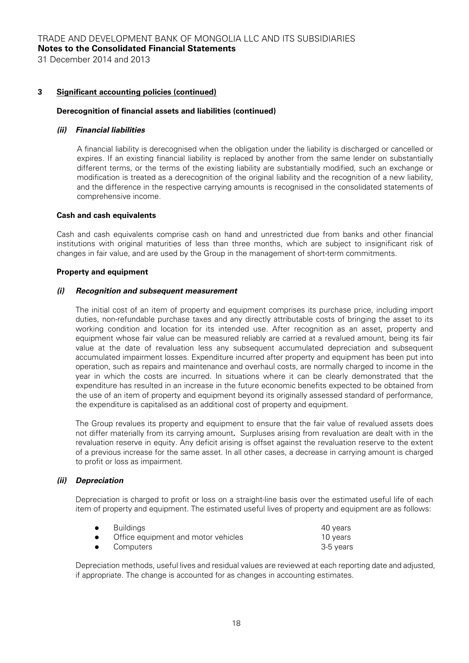## **3 Significant accounting policies (continued)**

## **Derecognition of financial assets and liabilities (continued)**

## *(ii) Financial liabilities*

A financial liability is derecognised when the obligation under the liability is discharged or cancelled or expires. If an existing financial liability is replaced by another from the same lender on substantially different terms, or the terms of the existing liability are substantially modified, such an exchange or modification is treated as a derecognition of the original liability and the recognition of a new liability, and the difference in the respective carrying amounts is recognised in the consolidated statements of comprehensive income.

## **Cash and cash equivalents**

Cash and cash equivalents comprise cash on hand and unrestricted due from banks and other financial institutions with original maturities of less than three months, which are subject to insignificant risk of changes in fair value, and are used by the Group in the management of short-term commitments.

## **Property and equipment**

## *(i) Recognition and subsequent measurement*

The initial cost of an item of property and equipment comprises its purchase price, including import duties, non-refundable purchase taxes and any directly attributable costs of bringing the asset to its working condition and location for its intended use. After recognition as an asset, property and equipment whose fair value can be measured reliably are carried at a revalued amount, being its fair value at the date of revaluation less any subsequent accumulated depreciation and subsequent accumulated impairment losses. Expenditure incurred after property and equipment has been put into operation, such as repairs and maintenance and overhaul costs, are normally charged to income in the year in which the costs are incurred. In situations where it can be clearly demonstrated that the expenditure has resulted in an increase in the future economic benefits expected to be obtained from the use of an item of property and equipment beyond its originally assessed standard of performance, the expenditure is capitalised as an additional cost of property and equipment.

The Group revalues its property and equipment to ensure that the fair value of revalued assets does not differ materially from its carrying amount**.** Surpluses arising from revaluation are dealt with in the revaluation reserve in equity. Any deficit arising is offset against the revaluation reserve to the extent of a previous increase for the same asset. In all other cases, a decrease in carrying amount is charged to profit or loss as impairment.

#### *(ii) Depreciation*

Depreciation is charged to profit or loss on a straight-line basis over the estimated useful life of each item of property and equipment. The estimated useful lives of property and equipment are as follows:

| $\bullet$ | Buildings                           | 40 years  |
|-----------|-------------------------------------|-----------|
| $\bullet$ | Office equipment and motor vehicles | 10 years  |
| $\bullet$ | Computers                           | 3-5 years |

Depreciation methods, useful lives and residual values are reviewed at each reporting date and adjusted, if appropriate. The change is accounted for as changes in accounting estimates.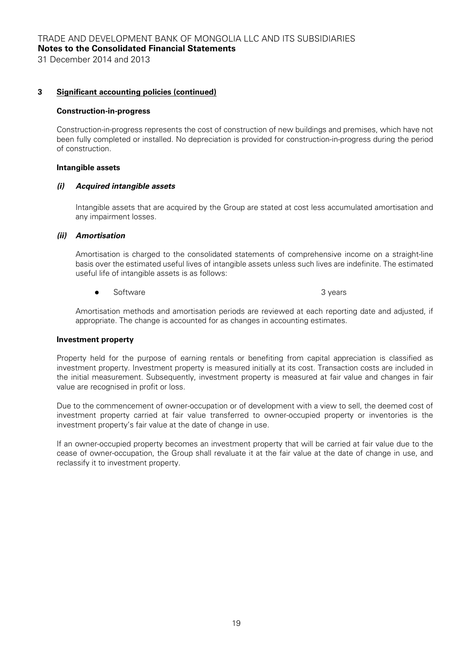## **3 Significant accounting policies (continued)**

#### **Construction-in-progress**

Construction-in-progress represents the cost of construction of new buildings and premises, which have not been fully completed or installed. No depreciation is provided for construction-in-progress during the period of construction.

#### **Intangible assets**

#### *(i) Acquired intangible assets*

Intangible assets that are acquired by the Group are stated at cost less accumulated amortisation and any impairment losses.

#### *(ii) Amortisation*

Amortisation is charged to the consolidated statements of comprehensive income on a straight-line basis over the estimated useful lives of intangible assets unless such lives are indefinite. The estimated useful life of intangible assets is as follows:

• Software 3 years

Amortisation methods and amortisation periods are reviewed at each reporting date and adjusted, if appropriate. The change is accounted for as changes in accounting estimates.

#### **Investment property**

Property held for the purpose of earning rentals or benefiting from capital appreciation is classified as investment property. Investment property is measured initially at its cost. Transaction costs are included in the initial measurement. Subsequently, investment property is measured at fair value and changes in fair value are recognised in profit or loss.

Due to the commencement of owner-occupation or of development with a view to sell, the deemed cost of investment property carried at fair value transferred to owner-occupied property or inventories is the investment property's fair value at the date of change in use.

If an owner-occupied property becomes an investment property that will be carried at fair value due to the cease of owner-occupation, the Group shall revaluate it at the fair value at the date of change in use, and reclassify it to investment property.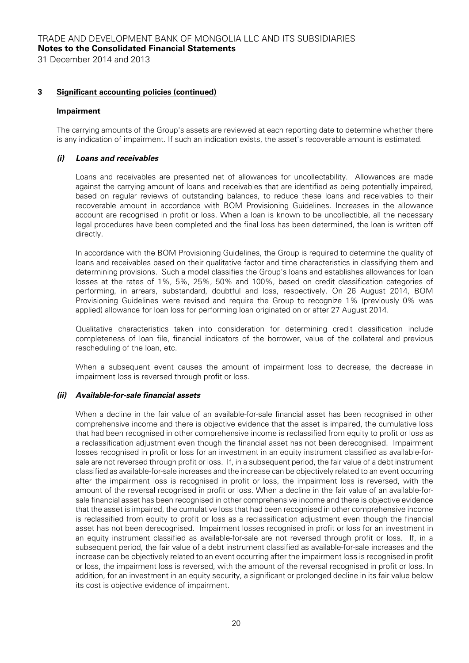## **3 Significant accounting policies (continued)**

## **Impairment**

The carrying amounts of the Group's assets are reviewed at each reporting date to determine whether there is any indication of impairment. If such an indication exists, the asset's recoverable amount is estimated.

## *(i) Loans and receivables*

Loans and receivables are presented net of allowances for uncollectability. Allowances are made against the carrying amount of loans and receivables that are identified as being potentially impaired, based on regular reviews of outstanding balances, to reduce these loans and receivables to their recoverable amount in accordance with BOM Provisioning Guidelines. Increases in the allowance account are recognised in profit or loss. When a loan is known to be uncollectible, all the necessary legal procedures have been completed and the final loss has been determined, the loan is written off directly.

In accordance with the BOM Provisioning Guidelines, the Group is required to determine the quality of loans and receivables based on their qualitative factor and time characteristics in classifying them and determining provisions. Such a model classifies the Group's loans and establishes allowances for loan losses at the rates of 1%, 5%, 25%, 50% and 100%, based on credit classification categories of performing, in arrears, substandard, doubtful and loss, respectively. On 26 August 2014, BOM Provisioning Guidelines were revised and require the Group to recognize 1% (previously 0% was applied) allowance for loan loss for performing loan originated on or after 27 August 2014.

Qualitative characteristics taken into consideration for determining credit classification include completeness of loan file, financial indicators of the borrower, value of the collateral and previous rescheduling of the loan, etc.

When a subsequent event causes the amount of impairment loss to decrease, the decrease in impairment loss is reversed through profit or loss.

#### *(ii) Available-for-sale financial assets*

When a decline in the fair value of an available-for-sale financial asset has been recognised in other comprehensive income and there is objective evidence that the asset is impaired, the cumulative loss that had been recognised in other comprehensive income is reclassified from equity to profit or loss as a reclassification adjustment even though the financial asset has not been derecognised. Impairment losses recognised in profit or loss for an investment in an equity instrument classified as available-forsale are not reversed through profit or loss. If, in a subsequent period, the fair value of a debt instrument classified as available-for-sale increases and the increase can be objectively related to an event occurring after the impairment loss is recognised in profit or loss, the impairment loss is reversed, with the amount of the reversal recognised in profit or loss. When a decline in the fair value of an available-forsale financial asset has been recognised in other comprehensive income and there is objective evidence that the asset is impaired, the cumulative loss that had been recognised in other comprehensive income is reclassified from equity to profit or loss as a reclassification adjustment even though the financial asset has not been derecognised. Impairment losses recognised in profit or loss for an investment in an equity instrument classified as available-for-sale are not reversed through profit or loss. If, in a subsequent period, the fair value of a debt instrument classified as available-for-sale increases and the increase can be objectively related to an event occurring after the impairment loss is recognised in profit or loss, the impairment loss is reversed, with the amount of the reversal recognised in profit or loss. In addition, for an investment in an equity security, a significant or prolonged decline in its fair value below its cost is objective evidence of impairment.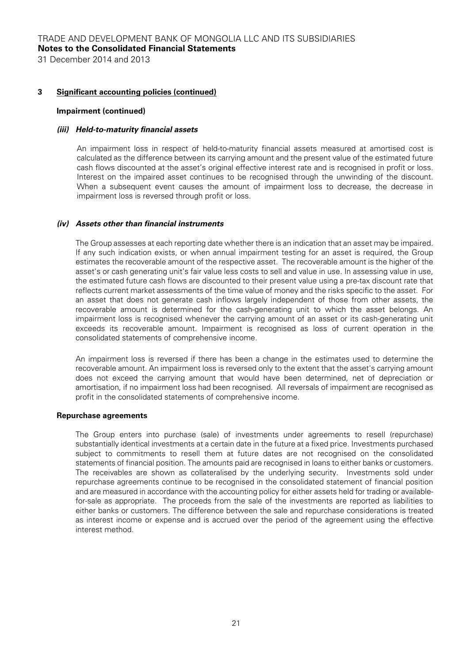## **3 Significant accounting policies (continued)**

## **Impairment (continued)**

## *(iii) Held-to-maturity financial assets*

An impairment loss in respect of held-to-maturity financial assets measured at amortised cost is calculated as the difference between its carrying amount and the present value of the estimated future cash flows discounted at the asset's original effective interest rate and is recognised in profit or loss. Interest on the impaired asset continues to be recognised through the unwinding of the discount. When a subsequent event causes the amount of impairment loss to decrease, the decrease in impairment loss is reversed through profit or loss.

## *(iv) Assets other than financial instruments*

The Group assesses at each reporting date whether there is an indication that an asset may be impaired. If any such indication exists, or when annual impairment testing for an asset is required, the Group estimates the recoverable amount of the respective asset. The recoverable amount is the higher of the asset's or cash generating unit's fair value less costs to sell and value in use. In assessing value in use, the estimated future cash flows are discounted to their present value using a pre-tax discount rate that reflects current market assessments of the time value of money and the risks specific to the asset. For an asset that does not generate cash inflows largely independent of those from other assets, the recoverable amount is determined for the cash-generating unit to which the asset belongs. An impairment loss is recognised whenever the carrying amount of an asset or its cash-generating unit exceeds its recoverable amount. Impairment is recognised as loss of current operation in the consolidated statements of comprehensive income.

An impairment loss is reversed if there has been a change in the estimates used to determine the recoverable amount. An impairment loss is reversed only to the extent that the asset's carrying amount does not exceed the carrying amount that would have been determined, net of depreciation or amortisation, if no impairment loss had been recognised. All reversals of impairment are recognised as profit in the consolidated statements of comprehensive income.

#### **Repurchase agreements**

The Group enters into purchase (sale) of investments under agreements to resell (repurchase) substantially identical investments at a certain date in the future at a fixed price. Investments purchased subject to commitments to resell them at future dates are not recognised on the consolidated statements of financial position. The amounts paid are recognised in loans to either banks or customers. The receivables are shown as collateralised by the underlying security. Investments sold under repurchase agreements continue to be recognised in the consolidated statement of financial position and are measured in accordance with the accounting policy for either assets held for trading or availablefor-sale as appropriate. The proceeds from the sale of the investments are reported as liabilities to either banks or customers. The difference between the sale and repurchase considerations is treated as interest income or expense and is accrued over the period of the agreement using the effective interest method.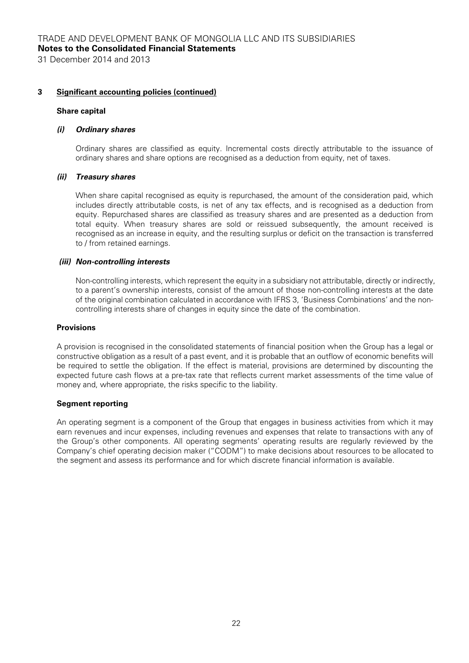## **3 Significant accounting policies (continued)**

#### **Share capital**

#### *(i) Ordinary shares*

Ordinary shares are classified as equity. Incremental costs directly attributable to the issuance of ordinary shares and share options are recognised as a deduction from equity, net of taxes.

#### *(ii) Treasury shares*

When share capital recognised as equity is repurchased, the amount of the consideration paid, which includes directly attributable costs, is net of any tax effects, and is recognised as a deduction from equity. Repurchased shares are classified as treasury shares and are presented as a deduction from total equity. When treasury shares are sold or reissued subsequently, the amount received is recognised as an increase in equity, and the resulting surplus or deficit on the transaction is transferred to / from retained earnings.

#### *(iii) Non-controlling interests*

Non-controlling interests, which represent the equity in a subsidiary not attributable, directly or indirectly, to a parent's ownership interests, consist of the amount of those non-controlling interests at the date of the original combination calculated in accordance with IFRS 3, 'Business Combinations' and the noncontrolling interests share of changes in equity since the date of the combination.

#### **Provisions**

A provision is recognised in the consolidated statements of financial position when the Group has a legal or constructive obligation as a result of a past event, and it is probable that an outflow of economic benefits will be required to settle the obligation. If the effect is material, provisions are determined by discounting the expected future cash flows at a pre-tax rate that reflects current market assessments of the time value of money and, where appropriate, the risks specific to the liability.

#### **Segment reporting**

An operating segment is a component of the Group that engages in business activities from which it may earn revenues and incur expenses, including revenues and expenses that relate to transactions with any of the Group's other components. All operating segments' operating results are regularly reviewed by the Company's chief operating decision maker ("CODM") to make decisions about resources to be allocated to the segment and assess its performance and for which discrete financial information is available.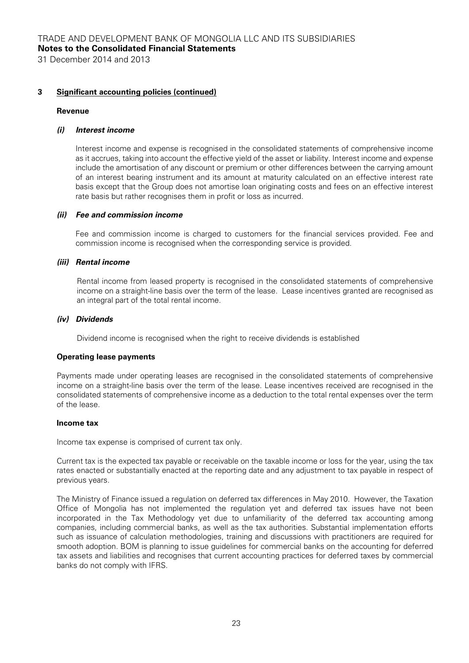## **3 Significant accounting policies (continued)**

#### **Revenue**

## *(i) Interest income*

Interest income and expense is recognised in the consolidated statements of comprehensive income as it accrues, taking into account the effective yield of the asset or liability. Interest income and expense include the amortisation of any discount or premium or other differences between the carrying amount of an interest bearing instrument and its amount at maturity calculated on an effective interest rate basis except that the Group does not amortise loan originating costs and fees on an effective interest rate basis but rather recognises them in profit or loss as incurred.

## *(ii) Fee and commission income*

Fee and commission income is charged to customers for the financial services provided. Fee and commission income is recognised when the corresponding service is provided.

## *(iii) Rental income*

Rental income from leased property is recognised in the consolidated statements of comprehensive income on a straight-line basis over the term of the lease. Lease incentives granted are recognised as an integral part of the total rental income.

## *(iv) Dividends*

Dividend income is recognised when the right to receive dividends is established

#### **Operating lease payments**

Payments made under operating leases are recognised in the consolidated statements of comprehensive income on a straight-line basis over the term of the lease. Lease incentives received are recognised in the consolidated statements of comprehensive income as a deduction to the total rental expenses over the term of the lease.

#### **Income tax**

Income tax expense is comprised of current tax only.

Current tax is the expected tax payable or receivable on the taxable income or loss for the year, using the tax rates enacted or substantially enacted at the reporting date and any adjustment to tax payable in respect of previous years.

The Ministry of Finance issued a regulation on deferred tax differences in May 2010. However, the Taxation Office of Mongolia has not implemented the regulation yet and deferred tax issues have not been incorporated in the Tax Methodology yet due to unfamiliarity of the deferred tax accounting among companies, including commercial banks, as well as the tax authorities. Substantial implementation efforts such as issuance of calculation methodologies, training and discussions with practitioners are required for smooth adoption. BOM is planning to issue guidelines for commercial banks on the accounting for deferred tax assets and liabilities and recognises that current accounting practices for deferred taxes by commercial banks do not comply with IFRS.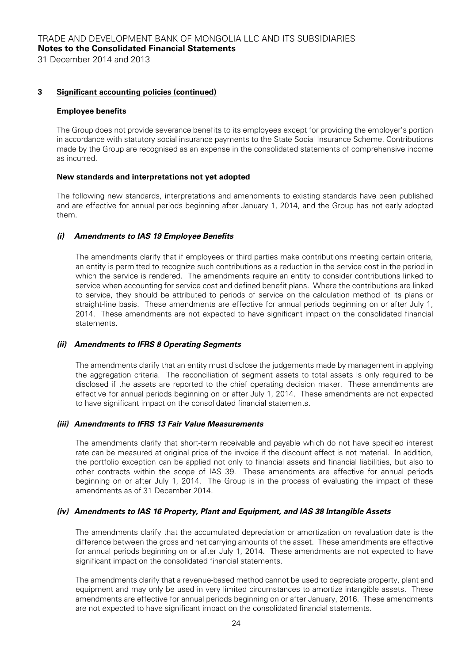## **3 Significant accounting policies (continued)**

## **Employee benefits**

The Group does not provide severance benefits to its employees except for providing the employer's portion in accordance with statutory social insurance payments to the State Social Insurance Scheme. Contributions made by the Group are recognised as an expense in the consolidated statements of comprehensive income as incurred.

## **New standards and interpretations not yet adopted**

The following new standards, interpretations and amendments to existing standards have been published and are effective for annual periods beginning after January 1, 2014, and the Group has not early adopted them.

## *(i) Amendments to IAS 19 Employee Benefits*

The amendments clarify that if employees or third parties make contributions meeting certain criteria, an entity is permitted to recognize such contributions as a reduction in the service cost in the period in which the service is rendered. The amendments require an entity to consider contributions linked to service when accounting for service cost and defined benefit plans. Where the contributions are linked to service, they should be attributed to periods of service on the calculation method of its plans or straight-line basis. These amendments are effective for annual periods beginning on or after July 1, 2014. These amendments are not expected to have significant impact on the consolidated financial statements.

## *(ii) Amendments to IFRS 8 Operating Segments*

The amendments clarify that an entity must disclose the judgements made by management in applying the aggregation criteria. The reconciliation of segment assets to total assets is only required to be disclosed if the assets are reported to the chief operating decision maker. These amendments are effective for annual periods beginning on or after July 1, 2014. These amendments are not expected to have significant impact on the consolidated financial statements.

#### *(iii) Amendments to IFRS 13 Fair Value Measurements*

The amendments clarify that short-term receivable and payable which do not have specified interest rate can be measured at original price of the invoice if the discount effect is not material. In addition, the portfolio exception can be applied not only to financial assets and financial liabilities, but also to other contracts within the scope of IAS 39. These amendments are effective for annual periods beginning on or after July 1, 2014. The Group is in the process of evaluating the impact of these amendments as of 31 December 2014.

## *(iv) Amendments to IAS 16 Property, Plant and Equipment, and IAS 38 Intangible Assets*

The amendments clarify that the accumulated depreciation or amortization on revaluation date is the difference between the gross and net carrying amounts of the asset. These amendments are effective for annual periods beginning on or after July 1, 2014. These amendments are not expected to have significant impact on the consolidated financial statements.

The amendments clarify that a revenue-based method cannot be used to depreciate property, plant and equipment and may only be used in very limited circumstances to amortize intangible assets. These amendments are effective for annual periods beginning on or after January, 2016. These amendments are not expected to have significant impact on the consolidated financial statements.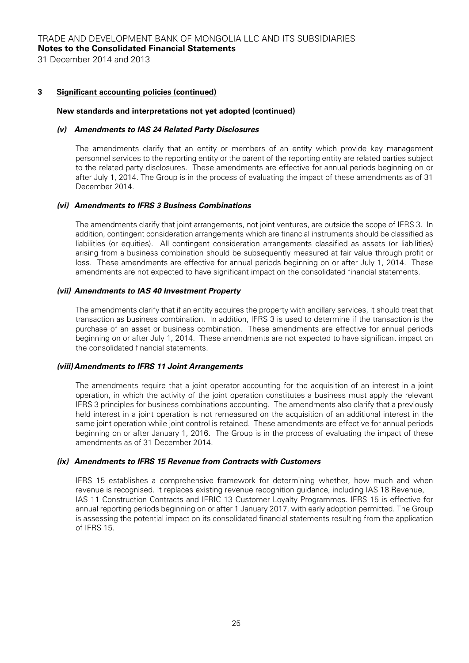## **3 Significant accounting policies (continued)**

#### **New standards and interpretations not yet adopted (continued)**

## *(v) Amendments to IAS 24 Related Party Disclosures*

The amendments clarify that an entity or members of an entity which provide key management personnel services to the reporting entity or the parent of the reporting entity are related parties subject to the related party disclosures. These amendments are effective for annual periods beginning on or after July 1, 2014. The Group is in the process of evaluating the impact of these amendments as of 31 December 2014.

## *(vi) Amendments to IFRS 3 Business Combinations*

The amendments clarify that joint arrangements, not joint ventures, are outside the scope of IFRS 3. In addition, contingent consideration arrangements which are financial instruments should be classified as liabilities (or equities). All contingent consideration arrangements classified as assets (or liabilities) arising from a business combination should be subsequently measured at fair value through profit or loss. These amendments are effective for annual periods beginning on or after July 1, 2014. These amendments are not expected to have significant impact on the consolidated financial statements.

## *(vii) Amendments to IAS 40 Investment Property*

The amendments clarify that if an entity acquires the property with ancillary services, it should treat that transaction as business combination. In addition, IFRS 3 is used to determine if the transaction is the purchase of an asset or business combination. These amendments are effective for annual periods beginning on or after July 1, 2014. These amendments are not expected to have significant impact on the consolidated financial statements.

#### *(viii) Amendments to IFRS 11 Joint Arrangements*

The amendments require that a joint operator accounting for the acquisition of an interest in a joint operation, in which the activity of the joint operation constitutes a business must apply the relevant IFRS 3 principles for business combinations accounting. The amendments also clarify that a previously held interest in a joint operation is not remeasured on the acquisition of an additional interest in the same joint operation while joint control is retained. These amendments are effective for annual periods beginning on or after January 1, 2016. The Group is in the process of evaluating the impact of these amendments as of 31 December 2014.

## *(ix) Amendments to IFRS 15 Revenue from Contracts with Customers*

IFRS 15 establishes a comprehensive framework for determining whether, how much and when revenue is recognised. It replaces existing revenue recognition guidance, including IAS 18 Revenue, IAS 11 Construction Contracts and IFRIC 13 Customer Loyalty Programmes. IFRS 15 is effective for annual reporting periods beginning on or after 1 January 2017, with early adoption permitted. The Group is assessing the potential impact on its consolidated financial statements resulting from the application of IFRS 15.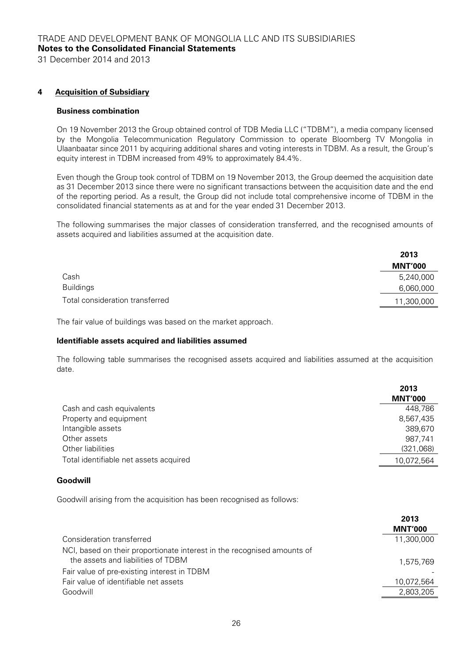## **4 Acquisition of Subsidiary**

## **Business combination**

On 19 November 2013 the Group obtained control of TDB Media LLC ("TDBM"), a media company licensed by the Mongolia Telecommunication Regulatory Commission to operate Bloomberg TV Mongolia in Ulaanbaatar since 2011 by acquiring additional shares and voting interests in TDBM. As a result, the Group's equity interest in TDBM increased from 49% to approximately 84.4%.

Even though the Group took control of TDBM on 19 November 2013, the Group deemed the acquisition date as 31 December 2013 since there were no significant transactions between the acquisition date and the end of the reporting period. As a result, the Group did not include total comprehensive income of TDBM in the consolidated financial statements as at and for the year ended 31 December 2013.

The following summarises the major classes of consideration transferred, and the recognised amounts of assets acquired and liabilities assumed at the acquisition date.

| 2013           |
|----------------|
| <b>MNT'000</b> |
| 5,240,000      |
| 6,060,000      |
| 11,300,000     |
|                |

The fair value of buildings was based on the market approach.

#### **Identifiable assets acquired and liabilities assumed**

The following table summarises the recognised assets acquired and liabilities assumed at the acquisition date.

**2013**

|                                        | 20 I.J<br><b>MNT'000</b> |
|----------------------------------------|--------------------------|
| Cash and cash equivalents              | 448.786                  |
| Property and equipment                 | 8,567,435                |
| Intangible assets                      | 389,670                  |
| Other assets                           | 987.741                  |
| Other liabilities                      | (321,068)                |
| Total identifiable net assets acquired | 10.072.564               |

#### **Goodwill**

Goodwill arising from the acquisition has been recognised as follows:

|                                                                                                               | 2013<br><b>MNT'000</b> |
|---------------------------------------------------------------------------------------------------------------|------------------------|
| Consideration transferred                                                                                     | 11,300,000             |
| NCI, based on their proportionate interest in the recognised amounts of<br>the assets and liabilities of TDBM | 1.575.769              |
| Fair value of pre-existing interest in TDBM<br>Fair value of identifiable net assets                          | 10,072,564             |
| Goodwill                                                                                                      | 2,803,205              |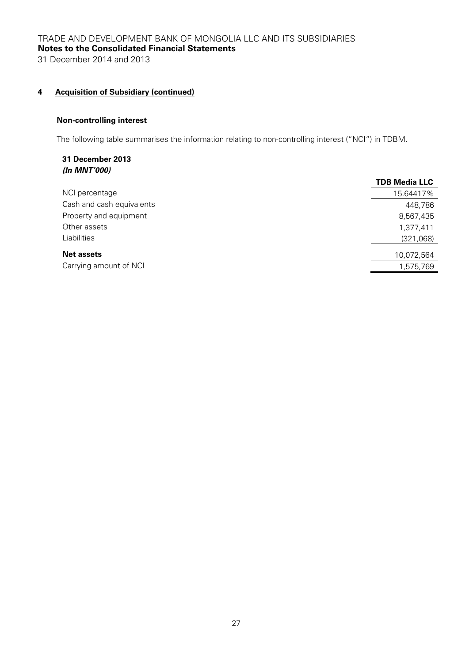31 December 2014 and 2013

## **4 Acquisition of Subsidiary (continued)**

## **Non-controlling interest**

The following table summarises the information relating to non-controlling interest ("NCI") in TDBM.

## **31 December 2013**  *(In MNT'000)*

|                           | <b>TDB Media LLC</b> |
|---------------------------|----------------------|
| NCI percentage            | 15.64417%            |
| Cash and cash equivalents | 448.786              |
| Property and equipment    | 8,567,435            |
| Other assets              | 1,377,411            |
| Liabilities               | (321,068)            |
| <b>Net assets</b>         | 10,072,564           |
| Carrying amount of NCI    | 1,575,769            |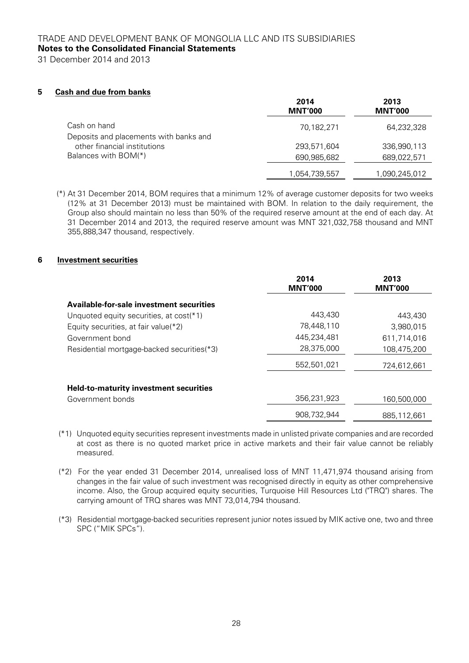31 December 2014 and 2013

## **5 Cash and due from banks**

|                                        | 2014<br><b>MNT'000</b> | 2013<br><b>MNT'000</b> |
|----------------------------------------|------------------------|------------------------|
| Cash on hand                           | 70,182,271             | 64,232,328             |
| Deposits and placements with banks and |                        |                        |
| other financial institutions           | 293,571,604            | 336,990,113            |
| Balances with BOM(*)                   | 690,985,682            | 689,022,571            |
|                                        | 1,054,739,557          | 1,090,245,012          |

(\*) At 31 December 2014, BOM requires that a minimum 12% of average customer deposits for two weeks (12% at 31 December 2013) must be maintained with BOM. In relation to the daily requirement, the Group also should maintain no less than 50% of the required reserve amount at the end of each day. At 31 December 2014 and 2013, the required reserve amount was MNT 321,032,758 thousand and MNT 355,888,347 thousand, respectively.

## **6 Investment securities**

|                                               | 2014<br><b>MNT'000</b> | 2013<br><b>MNT'000</b> |
|-----------------------------------------------|------------------------|------------------------|
| Available-for-sale investment securities      |                        |                        |
| Unquoted equity securities, at cost(*1)       | 443,430                | 443,430                |
| Equity securities, at fair value(*2)          | 78,448,110             | 3,980,015              |
| Government bond                               | 445,234,481            | 611,714,016            |
| Residential mortgage-backed securities(*3)    | 28,375,000             | 108,475,200            |
|                                               | 552,501,021            | 724,612,661            |
| <b>Held-to-maturity investment securities</b> |                        |                        |
| Government bonds                              | 356,231,923            | 160,500,000            |
|                                               | 908,732,944            | 885,112,661            |

- (\*1) Unquoted equity securities represent investments made in unlisted private companies and are recorded at cost as there is no quoted market price in active markets and their fair value cannot be reliably measured.
- (\*2) For the year ended 31 December 2014, unrealised loss of MNT 11,471,974 thousand arising from changes in the fair value of such investment was recognised directly in equity as other comprehensive income. Also, the Group acquired equity securities, Turquoise Hill Resources Ltd ("TRQ") shares. The carrying amount of TRQ shares was MNT 73,014,794 thousand.
- (\*3) Residential mortgage-backed securities represent junior notes issued by MIK active one, two and three SPC ("MIK SPCs").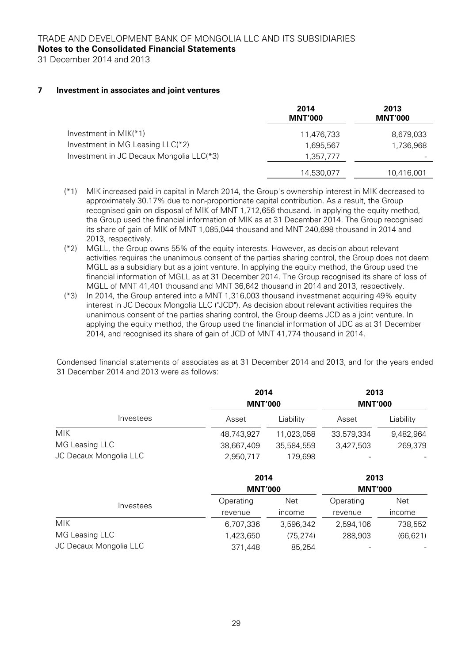31 December 2014 and 2013

## **7 Investment in associates and joint ventures**

|                                          | 2014<br><b>MNT'000</b> | 2013<br><b>MNT'000</b> |
|------------------------------------------|------------------------|------------------------|
| Investment in $M/K(*1)$                  | 11,476,733             | 8,679,033              |
| Investment in MG Leasing LLC(*2)         | 1,695,567              | 1,736,968              |
| Investment in JC Decaux Mongolia LLC(*3) | 1,357,777              |                        |
|                                          | 14,530,077             | 10,416,001             |

- (\*1) MIK increased paid in capital in March 2014, the Group's ownership interest in MIK decreased to approximately 30.17% due to non-proportionate capital contribution. As a result, the Group recognised gain on disposal of MIK of MNT 1,712,656 thousand. In applying the equity method, the Group used the financial information of MIK as at 31 December 2014. The Group recognised its share of gain of MIK of MNT 1,085,044 thousand and MNT 240,698 thousand in 2014 and 2013, respectively.
- (\*2) MGLL, the Group owns 55% of the equity interests. However, as decision about relevant activities requires the unanimous consent of the parties sharing control, the Group does not deem MGLL as a subsidiary but as a joint venture. In applying the equity method, the Group used the financial information of MGLL as at 31 December 2014. The Group recognised its share of loss of MGLL of MNT 41,401 thousand and MNT 36,642 thousand in 2014 and 2013, respectively.
- (\*3) In 2014, the Group entered into a MNT 1,316,003 thousand investmenet acquiring 49% equity interest in JC Decoux Mongolia LLC ("JCD"). As decision about relevant activities requires the unanimous consent of the parties sharing control, the Group deems JCD as a joint venture. In applying the equity method, the Group used the financial information of JDC as at 31 December 2014, and recognised its share of gain of JCD of MNT 41,774 thousand in 2014.

Condensed financial statements of associates as at 31 December 2014 and 2013, and for the years ended 31 December 2014 and 2013 were as follows:

|                        | 2014           |                | 2013           |                |
|------------------------|----------------|----------------|----------------|----------------|
|                        |                | <b>MNT'000</b> |                | <b>MNT'000</b> |
| Investees              | Asset          | Liability      | Asset          | Liability      |
| <b>MIK</b>             | 48,743,927     | 11,023,058     | 33,579,334     | 9,482,964      |
| MG Leasing LLC         | 38,667,409     | 35,584,559     | 3,427,503      | 269,379        |
| JC Decaux Mongolia LLC | 2,950,717      | 179,698        |                |                |
|                        | 2014           |                | 2013           |                |
|                        | <b>MNT'000</b> |                | <b>MNT'000</b> |                |
| Investees              | Operating      | <b>Net</b>     | Operating      | Net            |
|                        | revenue        | income         | revenue        | income         |

| Investees              | --------  | .             | --------                 | .             |
|------------------------|-----------|---------------|--------------------------|---------------|
|                        | revenue   | <i>income</i> | revenue                  | <i>income</i> |
| MIK                    | 6,707,336 | 3.596.342     | 2.594.106                | 738,552       |
| MG Leasing LLC         | 1.423.650 | (75.274)      | 288.903                  | (66, 621)     |
| JC Decaux Mongolia LLC | 371,448   | 85,254        | $\overline{\phantom{a}}$ |               |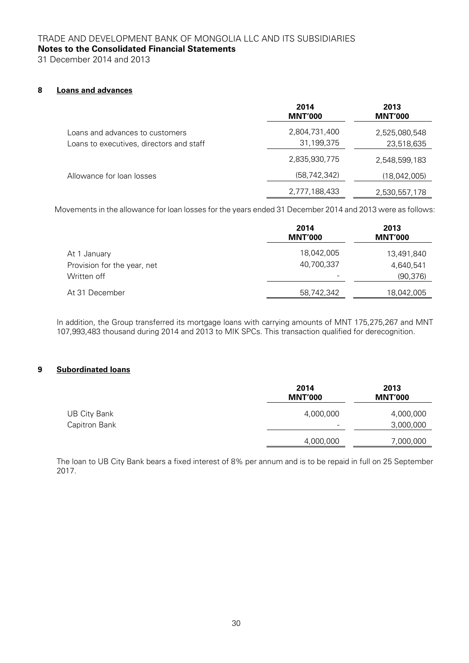31 December 2014 and 2013

## **8 Loans and advances**

|                                                                             | 2014<br><b>MNT'000</b>      | 2013<br><b>MNT'000</b>      |
|-----------------------------------------------------------------------------|-----------------------------|-----------------------------|
| Loans and advances to customers<br>Loans to executives, directors and staff | 2,804,731,400<br>31,199,375 | 2,525,080,548<br>23,518,635 |
|                                                                             | 2,835,930,775               | 2,548,599,183               |
| Allowance for loan losses                                                   | (58, 742, 342)              | (18,042,005)                |
|                                                                             | 2,777,188,433               | 2,530,557,178               |

Movements in the allowance for loan losses for the years ended 31 December 2014 and 2013 were as follows:

|                                                            | 2014<br><b>MNT'000</b>                               | 2013<br><b>MNT'000</b>               |
|------------------------------------------------------------|------------------------------------------------------|--------------------------------------|
| At 1 January<br>Provision for the year, net<br>Written off | 18,042,005<br>40,700,337<br>$\overline{\phantom{0}}$ | 13,491,840<br>4,640,541<br>(90, 376) |
| At 31 December                                             | 58,742,342                                           | 18,042,005                           |

In addition, the Group transferred its mortgage loans with carrying amounts of MNT 175,275,267 and MNT 107,993,483 thousand during 2014 and 2013 to MIK SPCs. This transaction qualified for derecognition.

## **9 Subordinated loans**

|               | 2014<br><b>MNT'000</b>   | 2013<br><b>MNT'000</b> |
|---------------|--------------------------|------------------------|
| UB City Bank  | 4,000,000                | 4,000,000              |
| Capitron Bank | $\overline{\phantom{a}}$ | 3,000,000              |
|               | 4,000,000                | 7,000,000              |

The loan to UB City Bank bears a fixed interest of 8% per annum and is to be repaid in full on 25 September 2017.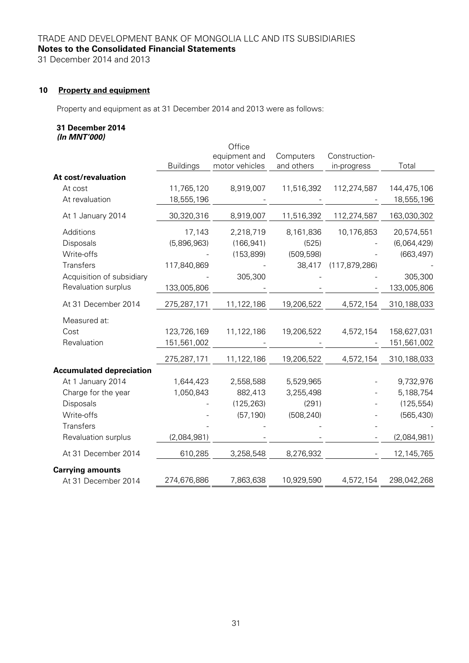31 December 2014 and 2013

## **10 Property and equipment**

Property and equipment as at 31 December 2014 and 2013 were as follows:

## **31 December 2014**  *(In MNT'000)*

|                                 |                  | Office         |            |                 |             |
|---------------------------------|------------------|----------------|------------|-----------------|-------------|
|                                 |                  | equipment and  | Computers  | Construction-   |             |
|                                 | <b>Buildings</b> | motor vehicles | and others | in-progress     | Total       |
| At cost/revaluation             |                  |                |            |                 |             |
| At cost                         | 11,765,120       | 8,919,007      | 11,516,392 | 112,274,587     | 144,475,106 |
| At revaluation                  | 18,555,196       |                |            |                 | 18,555,196  |
| At 1 January 2014               | 30,320,316       | 8,919,007      | 11,516,392 | 112,274,587     | 163,030,302 |
| Additions                       | 17,143           | 2,218,719      | 8,161,836  | 10,176,853      | 20,574,551  |
| Disposals                       | (5,896,963)      | (166, 941)     | (525)      |                 | (6,064,429) |
| Write-offs                      |                  | (153, 899)     | (509, 598) |                 | (663, 497)  |
| <b>Transfers</b>                | 117,840,869      |                | 38,417     | (117, 879, 286) |             |
| Acquisition of subsidiary       |                  | 305,300        |            |                 | 305,300     |
| Revaluation surplus             | 133,005,806      |                |            |                 | 133,005,806 |
| At 31 December 2014             | 275,287,171      | 11,122,186     | 19,206,522 | 4,572,154       | 310,188,033 |
| Measured at:                    |                  |                |            |                 |             |
| Cost                            | 123,726,169      | 11,122,186     | 19,206,522 | 4,572,154       | 158,627,031 |
| Revaluation                     | 151,561,002      |                |            |                 | 151,561,002 |
|                                 | 275,287,171      | 11,122,186     | 19,206,522 | 4,572,154       | 310,188,033 |
| <b>Accumulated depreciation</b> |                  |                |            |                 |             |
| At 1 January 2014               | 1,644,423        | 2,558,588      | 5,529,965  |                 | 9,732,976   |
| Charge for the year             | 1,050,843        | 882,413        | 3,255,498  |                 | 5,188,754   |
| Disposals                       |                  | (125, 263)     | (291)      |                 | (125, 554)  |
| Write-offs                      |                  | (57, 190)      | (508, 240) |                 | (565, 430)  |
| Transfers                       |                  |                |            |                 |             |
| Revaluation surplus             | (2,084,981)      |                |            |                 | (2,084,981) |
| At 31 December 2014             | 610,285          | 3,258,548      | 8,276,932  |                 | 12,145,765  |
| <b>Carrying amounts</b>         |                  |                |            |                 |             |
| At 31 December 2014             | 274,676,886      | 7,863,638      | 10,929,590 | 4,572,154       | 298,042,268 |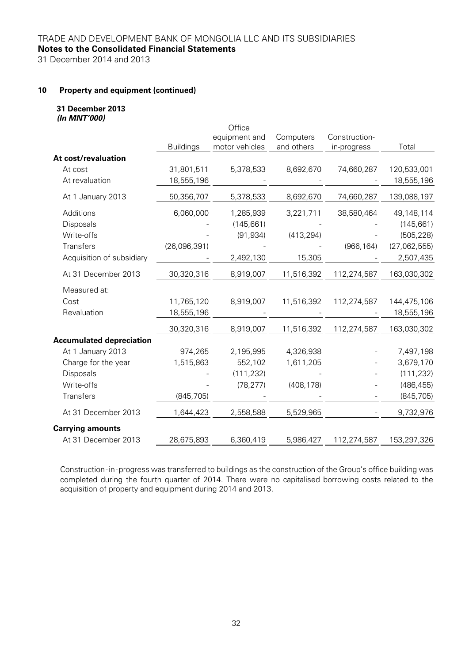31 December 2014 and 2013

## **10 Property and equipment (continued)**

#### **31 December 2013**  *(In MNT'000)*

|                                 |                  | Office         |            |               |              |
|---------------------------------|------------------|----------------|------------|---------------|--------------|
|                                 |                  | equipment and  | Computers  | Construction- |              |
|                                 | <b>Buildings</b> | motor vehicles | and others | in-progress   | Total        |
| At cost/revaluation             |                  |                |            |               |              |
| At cost                         | 31,801,511       | 5,378,533      | 8,692,670  | 74,660,287    | 120,533,001  |
| At revaluation                  | 18,555,196       |                |            |               | 18,555,196   |
| At 1 January 2013               | 50,356,707       | 5,378,533      | 8,692,670  | 74,660,287    | 139,088,197  |
| Additions                       | 6,060,000        | 1,285,939      | 3,221,711  | 38,580,464    | 49,148,114   |
| Disposals                       |                  | (145, 661)     |            |               | (145, 661)   |
| Write-offs                      |                  | (91, 934)      | (413, 294) |               | (505, 228)   |
| Transfers                       | (26,096,391)     |                |            | (966, 164)    | (27,062,555) |
| Acquisition of subsidiary       |                  | 2,492,130      | 15,305     |               | 2,507,435    |
| At 31 December 2013             | 30,320,316       | 8,919,007      | 11,516,392 | 112,274,587   | 163,030,302  |
| Measured at:                    |                  |                |            |               |              |
| Cost                            | 11,765,120       | 8,919,007      | 11,516,392 | 112,274,587   | 144,475,106  |
| Revaluation                     | 18,555,196       |                |            |               | 18,555,196   |
|                                 | 30,320,316       | 8,919,007      | 11,516,392 | 112,274,587   | 163,030,302  |
| <b>Accumulated depreciation</b> |                  |                |            |               |              |
| At 1 January 2013               | 974,265          | 2,195,995      | 4,326,938  |               | 7,497,198    |
| Charge for the year             | 1,515,863        | 552,102        | 1,611,205  |               | 3,679,170    |
| Disposals                       |                  | (111, 232)     |            |               | (111, 232)   |
| Write-offs                      |                  | (78, 277)      | (408, 178) |               | (486, 455)   |
| <b>Transfers</b>                | (845, 705)       |                |            |               | (845, 705)   |
| At 31 December 2013             | 1,644,423        | 2,558,588      | 5,529,965  |               | 9,732,976    |
| <b>Carrying amounts</b>         |                  |                |            |               |              |
| At 31 December 2013             | 28,675,893       | 6,360,419      | 5,986,427  | 112,274,587   | 153,297,326  |

Construction‑in‑progress was transferred to buildings as the construction of the Group's office building was completed during the fourth quarter of 2014. There were no capitalised borrowing costs related to the acquisition of property and equipment during 2014 and 2013.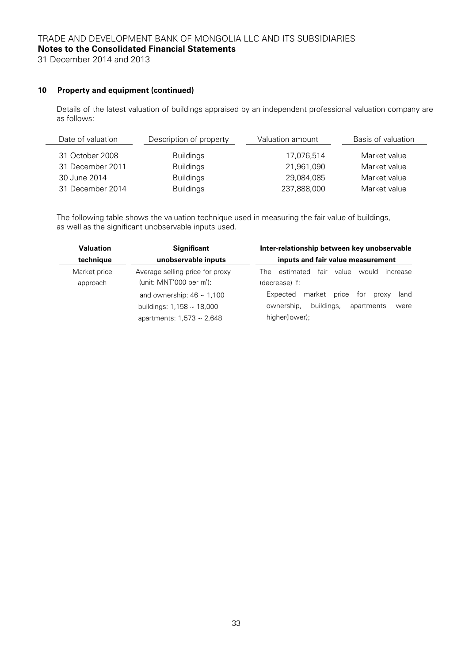## **10 Property and equipment (continued)**

Details of the latest valuation of buildings appraised by an independent professional valuation company are as follows:

| Date of valuation | Description of property | Valuation amount | Basis of valuation |
|-------------------|-------------------------|------------------|--------------------|
| 31 October 2008   | <b>Buildings</b>        | 17,076,514       | Market value       |
| 31 December 2011  | <b>Buildings</b>        | 21,961,090       | Market value       |
| 30 June 2014      | <b>Buildings</b>        | 29,084,085       | Market value       |
| 31 December 2014  | <b>Buildings</b>        | 237,888,000      | Market value       |

The following table shows the valuation technique used in measuring the fair value of buildings, as well as the significant unobservable inputs used.

| <b>Valuation</b>         | <b>Significant</b>                                                                                  | Inter-relationship between key unobservable                                                                             |
|--------------------------|-----------------------------------------------------------------------------------------------------|-------------------------------------------------------------------------------------------------------------------------|
| technique                | unobservable inputs                                                                                 | inputs and fair value measurement                                                                                       |
| Market price<br>approach | Average selling price for proxy<br>(unit: $MNT'000$ per $m^2$ ):                                    | fair<br>estimated<br>value<br>would<br>The<br>increase<br>(decrease) if:                                                |
|                          | land ownership: $46 \sim 1,100$<br>buildings: $1,158 \sim 18,000$<br>apartments: $1,573 \sim 2,648$ | market<br>price<br>land<br>Expected<br>tor<br>proxy<br>buildings,<br>apartments<br>ownership,<br>were<br>higher(lower); |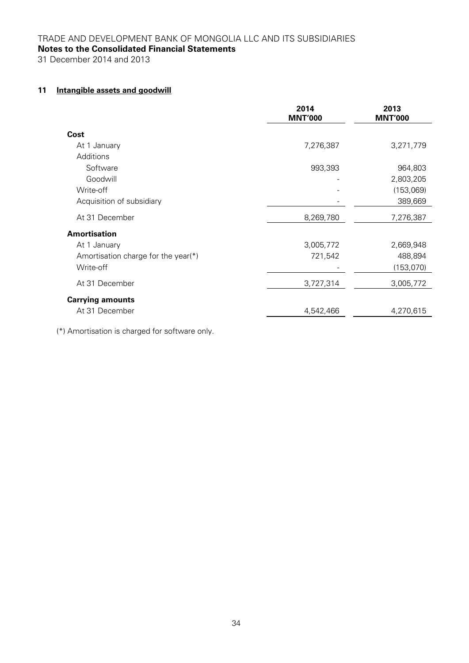31 December 2014 and 2013

## **11 Intangible assets and goodwill**

|                                     | 2014<br><b>MNT'000</b> | 2013<br><b>MNT'000</b> |
|-------------------------------------|------------------------|------------------------|
| Cost                                |                        |                        |
| At 1 January                        | 7,276,387              | 3,271,779              |
| Additions                           |                        |                        |
| Software                            | 993,393                | 964,803                |
| Goodwill                            |                        | 2,803,205              |
| Write-off                           |                        | (153,069)              |
| Acquisition of subsidiary           |                        | 389,669                |
| At 31 December                      | 8,269,780              | 7,276,387              |
| <b>Amortisation</b>                 |                        |                        |
| At 1 January                        | 3,005,772              | 2,669,948              |
| Amortisation charge for the year(*) | 721,542                | 488,894                |
| Write-off                           |                        | (153,070)              |
| At 31 December                      | 3,727,314              | 3,005,772              |
| <b>Carrying amounts</b>             |                        |                        |
| At 31 December                      | 4,542,466              | 4,270,615              |

(\*) Amortisation is charged for software only.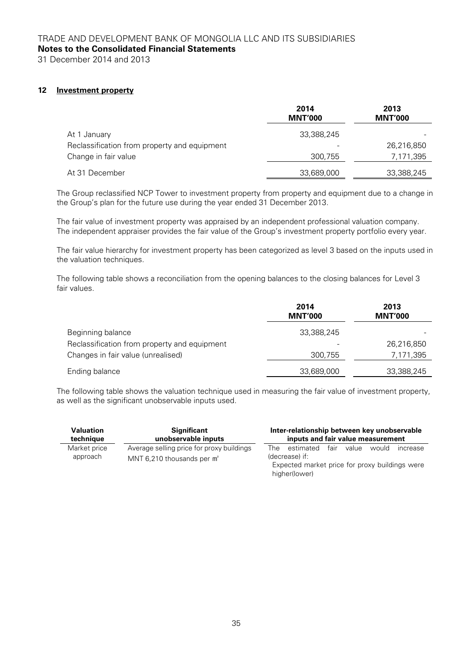31 December 2014 and 2013

## **12 Investment property**

|                                              | 2014<br><b>MNT'000</b> | 2013<br><b>MNT'000</b> |
|----------------------------------------------|------------------------|------------------------|
| At 1 January                                 | 33,388,245             |                        |
| Reclassification from property and equipment |                        | 26,216,850             |
| Change in fair value                         | 300,755                | 7,171,395              |
| At 31 December                               | 33,689,000             | 33,388,245             |

The Group reclassified NCP Tower to investment property from property and equipment due to a change in the Group's plan for the future use during the year ended 31 December 2013.

The fair value of investment property was appraised by an independent professional valuation company. The independent appraiser provides the fair value of the Group's investment property portfolio every year.

The fair value hierarchy for investment property has been categorized as level 3 based on the inputs used in the valuation techniques.

The following table shows a reconciliation from the opening balances to the closing balances for Level 3 fair values.

|                                              | 2014<br><b>MNT'000</b> | 2013<br><b>MNT'000</b> |
|----------------------------------------------|------------------------|------------------------|
| Beginning balance                            | 33,388,245             |                        |
| Reclassification from property and equipment |                        | 26,216,850             |
| Changes in fair value (unrealised)           | 300,755                | 7,171,395              |
| Ending balance                               | 33,689,000             | 33,388,245             |

The following table shows the valuation technique used in measuring the fair value of investment property, as well as the significant unobservable inputs used.

| Valuation<br>technique   | Significant<br>unobservable inputs                                                  | Inter-relationship between key unobservable<br>inputs and fair value measurement                                           |
|--------------------------|-------------------------------------------------------------------------------------|----------------------------------------------------------------------------------------------------------------------------|
| Market price<br>approach | Average selling price for proxy buildings<br>MNT 6.210 thousands per m <sup>2</sup> | The<br>fair<br>value<br>estimated<br>would<br>increase<br>(decrease) if:<br>Expected market price for proxy buildings were |
|                          |                                                                                     | higher(lower)                                                                                                              |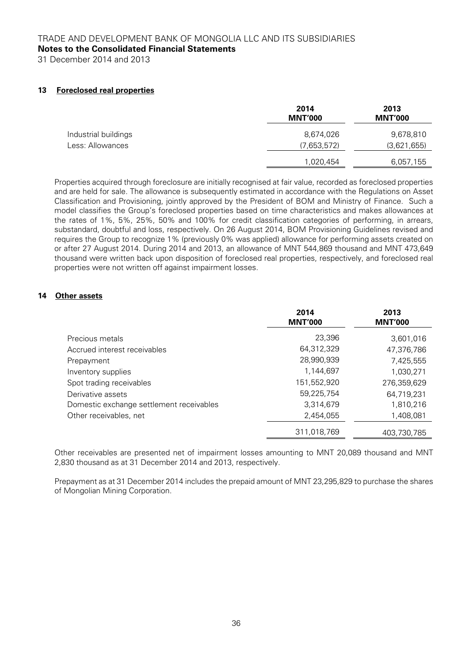31 December 2014 and 2013

## **13 Foreclosed real properties**

|                      | 2014<br><b>MNT'000</b> | 2013<br><b>MNT'000</b> |
|----------------------|------------------------|------------------------|
| Industrial buildings | 8,674,026              | 9,678,810              |
| Less: Allowances     | (7,653,572)            | (3,621,655)            |
|                      | 1,020,454              | 6,057,155              |

 Properties acquired through foreclosure are initially recognised at fair value, recorded as foreclosed properties and are held for sale. The allowance is subsequently estimated in accordance with the Regulations on Asset Classification and Provisioning, jointly approved by the President of BOM and Ministry of Finance. Such a model classifies the Group's foreclosed properties based on time characteristics and makes allowances at the rates of 1%, 5%, 25%, 50% and 100% for credit classification categories of performing, in arrears, substandard, doubtful and loss, respectively. On 26 August 2014, BOM Provisioning Guidelines revised and requires the Group to recognize 1% (previously 0% was applied) allowance for performing assets created on or after 27 August 2014. During 2014 and 2013, an allowance of MNT 544,869 thousand and MNT 473,649 thousand were written back upon disposition of foreclosed real properties, respectively, and foreclosed real properties were not written off against impairment losses.

# **14 Other assets**

|                                          | 2014<br><b>MNT'000</b> | 2013<br><b>MNT'000</b> |
|------------------------------------------|------------------------|------------------------|
| Precious metals                          | 23,396                 | 3,601,016              |
| Accrued interest receivables             | 64,312,329             | 47,376,786             |
| Prepayment                               | 28,990,939             | 7,425,555              |
| Inventory supplies                       | 1,144,697              | 1,030,271              |
| Spot trading receivables                 | 151,552,920            | 276,359,629            |
| Derivative assets                        | 59,225,754             | 64,719,231             |
| Domestic exchange settlement receivables | 3.314.679              | 1,810,216              |
| Other receivables, net                   | 2,454,055              | 1,408,081              |
|                                          | 311,018,769            | 403,730,785            |

Other receivables are presented net of impairment losses amounting to MNT 20,089 thousand and MNT 2,830 thousand as at 31 December 2014 and 2013, respectively.

Prepayment as at 31 December 2014 includes the prepaid amount of MNT 23,295,829 to purchase the shares of Mongolian Mining Corporation.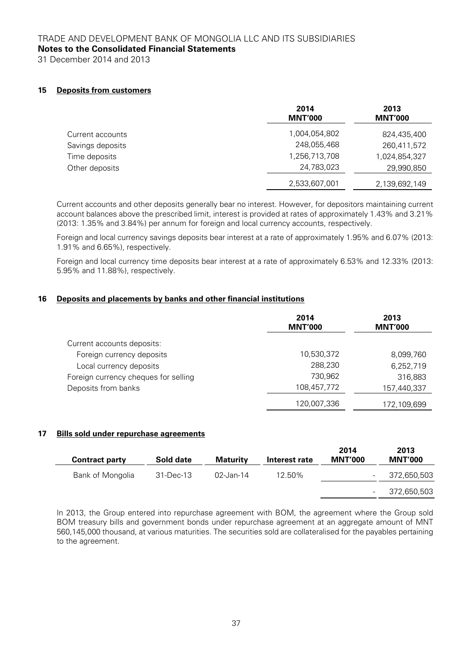31 December 2014 and 2013

## **15 Deposits from customers**

|                  | 2014<br><b>MNT'000</b> | 2013<br><b>MNT'000</b> |
|------------------|------------------------|------------------------|
| Current accounts | 1,004,054,802          | 824,435,400            |
| Savings deposits | 248,055,468            | 260,411,572            |
| Time deposits    | 1,256,713,708          | 1,024,854,327          |
| Other deposits   | 24,783,023             | 29,990,850             |
|                  | 2,533,607,001          | 2,139,692,149          |

Current accounts and other deposits generally bear no interest. However, for depositors maintaining current account balances above the prescribed limit, interest is provided at rates of approximately 1.43% and 3.21% (2013: 1.35% and 3.84%) per annum for foreign and local currency accounts, respectively.

Foreign and local currency savings deposits bear interest at a rate of approximately 1.95% and 6.07% (2013: 1.91% and 6.65%), respectively.

Foreign and local currency time deposits bear interest at a rate of approximately 6.53% and 12.33% (2013: 5.95% and 11.88%), respectively.

## **16 Deposits and placements by banks and other financial institutions**

|                                      | 2014<br><b>MNT'000</b> | 2013<br><b>MNT'000</b> |
|--------------------------------------|------------------------|------------------------|
| Current accounts deposits:           |                        |                        |
| Foreign currency deposits            | 10,530,372             | 8,099,760              |
| Local currency deposits              | 288,230                | 6,252,719              |
| Foreign currency cheques for selling | 730,962                | 316,883                |
| Deposits from banks                  | 108,457,772            | 157,440,337            |
|                                      | 120,007,336            | 172,109,699            |

## **17 Bills sold under repurchase agreements**

| <b>Contract party</b> | Sold date | Maturity  | Interest rate | 2014<br><b>MNT'000</b>   | 2013<br><b>MNT'000</b> |
|-----------------------|-----------|-----------|---------------|--------------------------|------------------------|
| Bank of Mongolia      | 31-Dec-13 | 02-Jan-14 | 12.50%        | $\overline{\phantom{a}}$ | 372.650.503            |
|                       |           |           |               | $\overline{\phantom{a}}$ | 372,650,503            |

In 2013, the Group entered into repurchase agreement with BOM, the agreement where the Group sold BOM treasury bills and government bonds under repurchase agreement at an aggregate amount of MNT 560,145,000 thousand, at various maturities. The securities sold are collateralised for the payables pertaining to the agreement.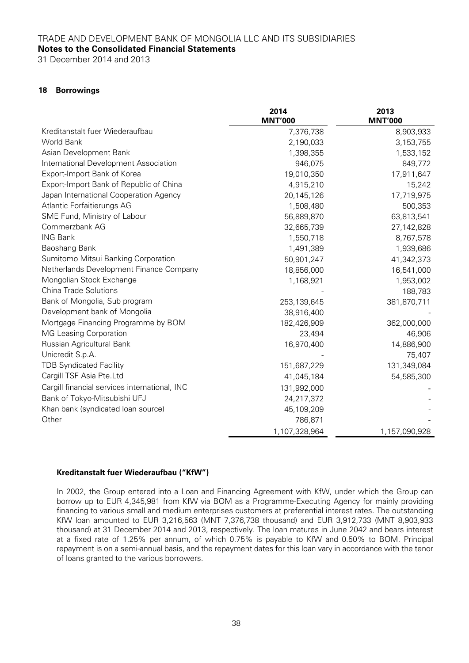31 December 2014 and 2013

# **18 Borrowings**

|                                               | 2014<br><b>MNT'000</b> | 2013<br><b>MNT'000</b> |
|-----------------------------------------------|------------------------|------------------------|
| Kreditanstalt fuer Wiederaufbau               | 7,376,738              | 8,903,933              |
| World Bank                                    | 2,190,033              | 3,153,755              |
| Asian Development Bank                        | 1,398,355              | 1,533,152              |
| International Development Association         | 946,075                | 849,772                |
| Export-Import Bank of Korea                   | 19,010,350             | 17,911,647             |
| Export-Import Bank of Republic of China       | 4,915,210              | 15,242                 |
| Japan International Cooperation Agency        | 20,145,126             | 17,719,975             |
| Atlantic Forfaitierungs AG                    | 1,508,480              | 500,353                |
| SME Fund, Ministry of Labour                  | 56,889,870             | 63,813,541             |
| Commerzbank AG                                | 32,665,739             | 27,142,828             |
| <b>ING Bank</b>                               | 1,550,718              | 8,767,578              |
| Baoshang Bank                                 | 1,491,389              | 1,939,686              |
| Sumitomo Mitsui Banking Corporation           | 50,901,247             | 41,342,373             |
| Netherlands Development Finance Company       | 18,856,000             | 16,541,000             |
| Mongolian Stock Exchange                      | 1,168,921              | 1,953,002              |
| <b>China Trade Solutions</b>                  |                        | 188,783                |
| Bank of Mongolia, Sub program                 | 253,139,645            | 381,870,711            |
| Development bank of Mongolia                  | 38,916,400             |                        |
| Mortgage Financing Programme by BOM           | 182,426,909            | 362,000,000            |
| MG Leasing Corporation                        | 23,494                 | 46,906                 |
| Russian Agricultural Bank                     | 16,970,400             | 14,886,900             |
| Unicredit S.p.A.                              |                        | 75,407                 |
| <b>TDB Syndicated Facility</b>                | 151,687,229            | 131,349,084            |
| Cargill TSF Asia Pte.Ltd                      | 41,045,184             | 54,585,300             |
| Cargill financial services international, INC | 131,992,000            |                        |
| Bank of Tokyo-Mitsubishi UFJ                  | 24,217,372             |                        |
| Khan bank (syndicated loan source)            | 45,109,209             |                        |
| Other                                         | 786,871                |                        |
|                                               | 1,107,328,964          | 1,157,090,928          |

## **Kreditanstalt fuer Wiederaufbau ("KfW")**

In 2002, the Group entered into a Loan and Financing Agreement with KfW, under which the Group can borrow up to EUR 4,345,981 from KfW via BOM as a Programme-Executing Agency for mainly providing financing to various small and medium enterprises customers at preferential interest rates. The outstanding KfW loan amounted to EUR 3,216,563 (MNT 7,376,738 thousand) and EUR 3,912,733 (MNT 8,903,933 thousand) at 31 December 2014 and 2013, respectively. The loan matures in June 2042 and bears interest at a fixed rate of 1.25% per annum, of which 0.75% is payable to KfW and 0.50% to BOM. Principal repayment is on a semi-annual basis, and the repayment dates for this loan vary in accordance with the tenor of loans granted to the various borrowers.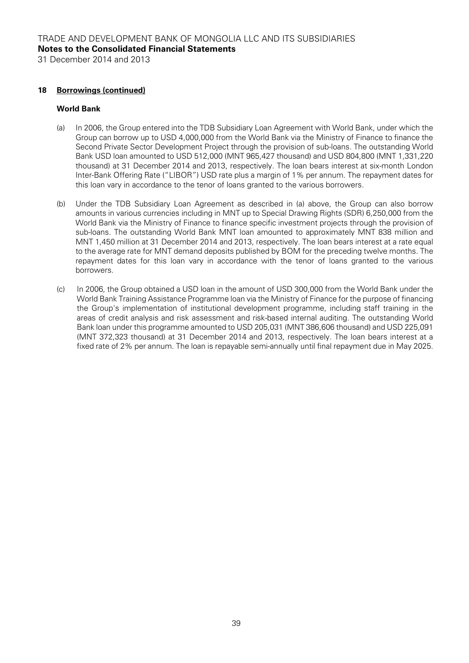## **18 Borrowings (continued)**

## **World Bank**

- (a) In 2006, the Group entered into the TDB Subsidiary Loan Agreement with World Bank, under which the Group can borrow up to USD 4,000,000 from the World Bank via the Ministry of Finance to finance the Second Private Sector Development Project through the provision of sub-loans. The outstanding World Bank USD loan amounted to USD 512,000 (MNT 965,427 thousand) and USD 804,800 (MNT 1,331,220 thousand) at 31 December 2014 and 2013, respectively. The loan bears interest at six-month London Inter-Bank Offering Rate ("LIBOR") USD rate plus a margin of 1% per annum. The repayment dates for this loan vary in accordance to the tenor of loans granted to the various borrowers.
- (b) Under the TDB Subsidiary Loan Agreement as described in (a) above, the Group can also borrow amounts in various currencies including in MNT up to Special Drawing Rights (SDR) 6,250,000 from the World Bank via the Ministry of Finance to finance specific investment projects through the provision of sub-loans. The outstanding World Bank MNT loan amounted to approximately MNT 838 million and MNT 1,450 million at 31 December 2014 and 2013, respectively. The loan bears interest at a rate equal to the average rate for MNT demand deposits published by BOM for the preceding twelve months. The repayment dates for this loan vary in accordance with the tenor of loans granted to the various borrowers.
- (c) In 2006, the Group obtained a USD loan in the amount of USD 300,000 from the World Bank under the World Bank Training Assistance Programme loan via the Ministry of Finance for the purpose of financing the Group's implementation of institutional development programme, including staff training in the areas of credit analysis and risk assessment and risk-based internal auditing. The outstanding World Bank loan under this programme amounted to USD 205,031 (MNT 386,606 thousand) and USD 225,091 (MNT 372,323 thousand) at 31 December 2014 and 2013, respectively. The loan bears interest at a fixed rate of 2% per annum. The loan is repayable semi-annually until final repayment due in May 2025.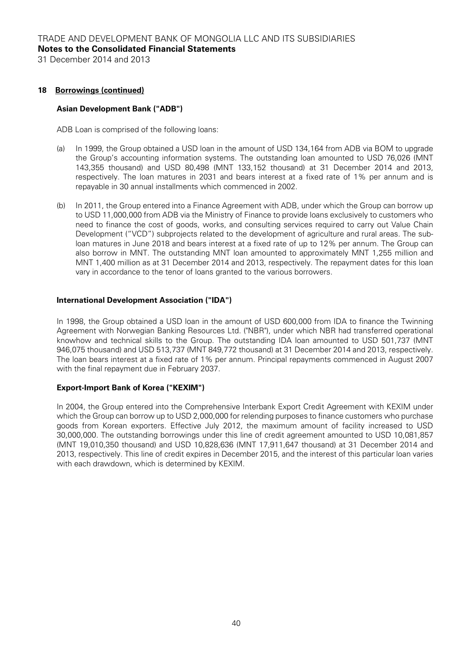31 December 2014 and 2013

## **18 Borrowings (continued)**

## **Asian Development Bank ("ADB")**

ADB Loan is comprised of the following loans:

- (a) In 1999, the Group obtained a USD loan in the amount of USD 134,164 from ADB via BOM to upgrade the Group's accounting information systems. The outstanding loan amounted to USD 76,026 (MNT 143,355 thousand) and USD 80,498 (MNT 133,152 thousand) at 31 December 2014 and 2013, respectively. The loan matures in 2031 and bears interest at a fixed rate of 1% per annum and is repayable in 30 annual installments which commenced in 2002.
- (b) In 2011, the Group entered into a Finance Agreement with ADB, under which the Group can borrow up to USD 11,000,000 from ADB via the Ministry of Finance to provide loans exclusively to customers who need to finance the cost of goods, works, and consulting services required to carry out Value Chain Development ("VCD") subprojects related to the development of agriculture and rural areas. The subloan matures in June 2018 and bears interest at a fixed rate of up to 12% per annum. The Group can also borrow in MNT. The outstanding MNT loan amounted to approximately MNT 1,255 million and MNT 1,400 million as at 31 December 2014 and 2013, respectively. The repayment dates for this loan vary in accordance to the tenor of loans granted to the various borrowers.

## **International Development Association ("IDA")**

In 1998, the Group obtained a USD loan in the amount of USD 600,000 from IDA to finance the Twinning Agreement with Norwegian Banking Resources Ltd. ("NBR"), under which NBR had transferred operational knowhow and technical skills to the Group. The outstanding IDA loan amounted to USD 501,737 (MNT 946,075 thousand) and USD 513,737 (MNT 849,772 thousand) at 31 December 2014 and 2013, respectively. The loan bears interest at a fixed rate of 1% per annum. Principal repayments commenced in August 2007 with the final repayment due in February 2037.

#### **Export-Import Bank of Korea ("KEXIM")**

In 2004, the Group entered into the Comprehensive Interbank Export Credit Agreement with KEXIM under which the Group can borrow up to USD 2,000,000 for relending purposes to finance customers who purchase goods from Korean exporters. Effective July 2012, the maximum amount of facility increased to USD 30,000,000. The outstanding borrowings under this line of credit agreement amounted to USD 10,081,857 (MNT 19,010,350 thousand) and USD 10,828,636 (MNT 17,911,647 thousand) at 31 December 2014 and 2013, respectively. This line of credit expires in December 2015, and the interest of this particular loan varies with each drawdown, which is determined by KEXIM.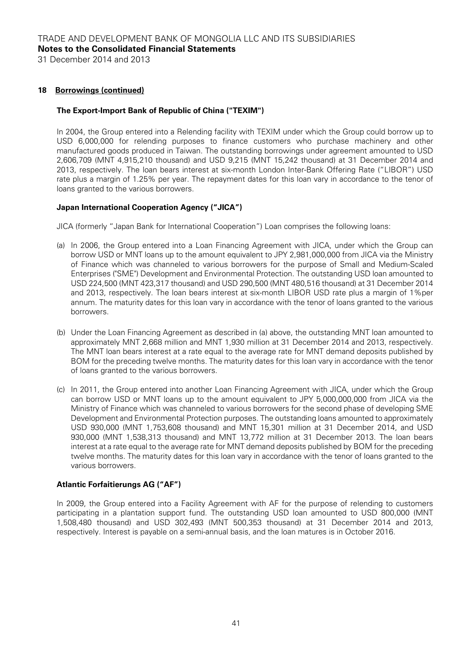## **18 Borrowings (continued)**

## **The Export-Import Bank of Republic of China ("TEXIM")**

In 2004, the Group entered into a Relending facility with TEXIM under which the Group could borrow up to USD 6,000,000 for relending purposes to finance customers who purchase machinery and other manufactured goods produced in Taiwan. The outstanding borrowings under agreement amounted to USD 2,606,709 (MNT 4,915,210 thousand) and USD 9,215 (MNT 15,242 thousand) at 31 December 2014 and 2013, respectively. The loan bears interest at six-month London Inter-Bank Offering Rate ("LIBOR") USD rate plus a margin of 1.25% per year. The repayment dates for this loan vary in accordance to the tenor of loans granted to the various borrowers.

# **Japan International Cooperation Agency ("JICA")**

JICA (formerly "Japan Bank for International Cooperation") Loan comprises the following loans:

- (a) In 2006, the Group entered into a Loan Financing Agreement with JICA, under which the Group can borrow USD or MNT loans up to the amount equivalent to JPY 2,981,000,000 from JICA via the Ministry of Finance which was channeled to various borrowers for the purpose of Small and Medium-Scaled Enterprises ("SME") Development and Environmental Protection. The outstanding USD loan amounted to USD 224,500 (MNT 423,317 thousand) and USD 290,500 (MNT 480,516 thousand) at 31 December 2014 and 2013, respectively. The loan bears interest at six-month LIBOR USD rate plus a margin of 1%per annum. The maturity dates for this loan vary in accordance with the tenor of loans granted to the various borrowers.
- (b) Under the Loan Financing Agreement as described in (a) above, the outstanding MNT loan amounted to approximately MNT 2,668 million and MNT 1,930 million at 31 December 2014 and 2013, respectively. The MNT loan bears interest at a rate equal to the average rate for MNT demand deposits published by BOM for the preceding twelve months. The maturity dates for this loan vary in accordance with the tenor of loans granted to the various borrowers.
- (c) In 2011, the Group entered into another Loan Financing Agreement with JICA, under which the Group can borrow USD or MNT loans up to the amount equivalent to JPY 5,000,000,000 from JICA via the Ministry of Finance which was channeled to various borrowers for the second phase of developing SME Development and Environmental Protection purposes. The outstanding loans amounted to approximately USD 930,000 (MNT 1,753,608 thousand) and MNT 15,301 million at 31 December 2014, and USD 930,000 (MNT 1,538,313 thousand) and MNT 13,772 million at 31 December 2013. The loan bears interest at a rate equal to the average rate for MNT demand deposits published by BOM for the preceding twelve months. The maturity dates for this loan vary in accordance with the tenor of loans granted to the various borrowers.

## **Atlantic Forfaitierungs AG ("AF")**

In 2009, the Group entered into a Facility Agreement with AF for the purpose of relending to customers participating in a plantation support fund. The outstanding USD loan amounted to USD 800,000 (MNT 1,508,480 thousand) and USD 302,493 (MNT 500,353 thousand) at 31 December 2014 and 2013, respectively. Interest is payable on a semi-annual basis, and the loan matures is in October 2016.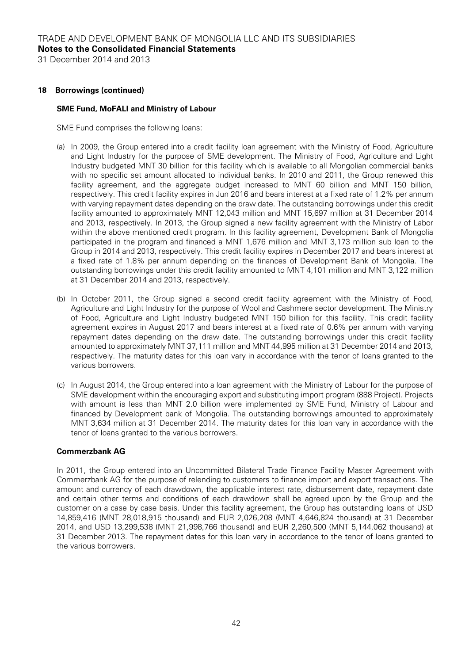## **18 Borrowings (continued)**

## **SME Fund, MoFALI and Ministry of Labour**

SME Fund comprises the following loans:

- (a) In 2009, the Group entered into a credit facility loan agreement with the Ministry of Food, Agriculture and Light Industry for the purpose of SME development. The Ministry of Food, Agriculture and Light Industry budgeted MNT 30 billion for this facility which is available to all Mongolian commercial banks with no specific set amount allocated to individual banks. In 2010 and 2011, the Group renewed this facility agreement, and the aggregate budget increased to MNT 60 billion and MNT 150 billion, respectively. This credit facility expires in Jun 2016 and bears interest at a fixed rate of 1.2% per annum with varying repayment dates depending on the draw date. The outstanding borrowings under this credit facility amounted to approximately MNT 12,043 million and MNT 15,697 million at 31 December 2014 and 2013, respectively. In 2013, the Group signed a new facility agreement with the Ministry of Labor within the above mentioned credit program. In this facility agreement, Development Bank of Mongolia participated in the program and financed a MNT 1,676 million and MNT 3,173 million sub loan to the Group in 2014 and 2013, respectively. This credit facility expires in December 2017 and bears interest at a fixed rate of 1.8% per annum depending on the finances of Development Bank of Mongolia. The outstanding borrowings under this credit facility amounted to MNT 4,101 million and MNT 3,122 million at 31 December 2014 and 2013, respectively.
- (b) In October 2011, the Group signed a second credit facility agreement with the Ministry of Food, Agriculture and Light Industry for the purpose of Wool and Cashmere sector development. The Ministry of Food, Agriculture and Light Industry budgeted MNT 150 billion for this facility. This credit facility agreement expires in August 2017 and bears interest at a fixed rate of 0.6% per annum with varying repayment dates depending on the draw date. The outstanding borrowings under this credit facility amounted to approximately MNT 37,111 million and MNT 44,995 million at 31 December 2014 and 2013, respectively. The maturity dates for this loan vary in accordance with the tenor of loans granted to the various borrowers.
- (c) In August 2014, the Group entered into a loan agreement with the Ministry of Labour for the purpose of SME development within the encouraging export and substituting import program (888 Project). Projects with amount is less than MNT 2.0 billion were implemented by SME Fund, Ministry of Labour and financed by Development bank of Mongolia. The outstanding borrowings amounted to approximately MNT 3,634 million at 31 December 2014. The maturity dates for this loan vary in accordance with the tenor of loans granted to the various borrowers.

## **Commerzbank AG**

In 2011, the Group entered into an Uncommitted Bilateral Trade Finance Facility Master Agreement with Commerzbank AG for the purpose of relending to customers to finance import and export transactions. The amount and currency of each drawdown, the applicable interest rate, disbursement date, repayment date and certain other terms and conditions of each drawdown shall be agreed upon by the Group and the customer on a case by case basis. Under this facility agreement, the Group has outstanding loans of USD 14,859,416 (MNT 28,018,915 thousand) and EUR 2,026,208 (MNT 4,646,824 thousand) at 31 December 2014, and USD 13,299,538 (MNT 21,998,766 thousand) and EUR 2,260,500 (MNT 5,144,062 thousand) at 31 December 2013. The repayment dates for this loan vary in accordance to the tenor of loans granted to the various borrowers.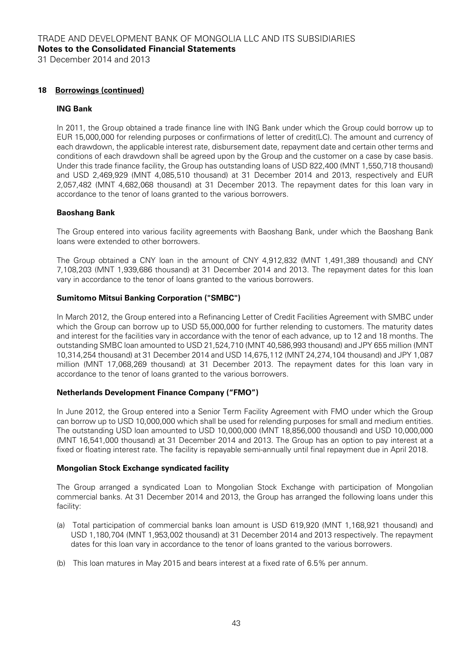## **18 Borrowings (continued)**

## **ING Bank**

In 2011, the Group obtained a trade finance line with ING Bank under which the Group could borrow up to EUR 15,000,000 for relending purposes or confirmations of letter of credit(LC). The amount and currency of each drawdown, the applicable interest rate, disbursement date, repayment date and certain other terms and conditions of each drawdown shall be agreed upon by the Group and the customer on a case by case basis. Under this trade finance facility, the Group has outstanding loans of USD 822,400 (MNT 1,550,718 thousand) and USD 2,469,929 (MNT 4,085,510 thousand) at 31 December 2014 and 2013, respectively and EUR 2,057,482 (MNT 4,682,068 thousand) at 31 December 2013. The repayment dates for this loan vary in accordance to the tenor of loans granted to the various borrowers.

## **Baoshang Bank**

The Group entered into various facility agreements with Baoshang Bank, under which the Baoshang Bank loans were extended to other borrowers.

The Group obtained a CNY loan in the amount of CNY 4,912,832 (MNT 1,491,389 thousand) and CNY 7,108,203 (MNT 1,939,686 thousand) at 31 December 2014 and 2013. The repayment dates for this loan vary in accordance to the tenor of loans granted to the various borrowers.

## **Sumitomo Mitsui Banking Corporation ("SMBC")**

In March 2012, the Group entered into a Refinancing Letter of Credit Facilities Agreement with SMBC under which the Group can borrow up to USD 55,000,000 for further relending to customers. The maturity dates and interest for the facilities vary in accordance with the tenor of each advance, up to 12 and 18 months. The outstanding SMBC loan amounted to USD 21,524,710 (MNT 40,586,993 thousand) and JPY 655 million (MNT 10,314,254 thousand) at 31 December 2014 and USD 14,675,112 (MNT 24,274,104 thousand) and JPY 1,087 million (MNT 17,068,269 thousand) at 31 December 2013. The repayment dates for this loan vary in accordance to the tenor of loans granted to the various borrowers.

## **Netherlands Development Finance Company ("FMO")**

In June 2012, the Group entered into a Senior Term Facility Agreement with FMO under which the Group can borrow up to USD 10,000,000 which shall be used for relending purposes for small and medium entities. The outstanding USD loan amounted to USD 10,000,000 (MNT 18,856,000 thousand) and USD 10,000,000 (MNT 16,541,000 thousand) at 31 December 2014 and 2013. The Group has an option to pay interest at a fixed or floating interest rate. The facility is repayable semi-annually until final repayment due in April 2018.

#### **Mongolian Stock Exchange syndicated facility**

The Group arranged a syndicated Loan to Mongolian Stock Exchange with participation of Mongolian commercial banks. At 31 December 2014 and 2013, the Group has arranged the following loans under this facility:

- (a) Total participation of commercial banks loan amount is USD 619,920 (MNT 1,168,921 thousand) and USD 1,180,704 (MNT 1,953,002 thousand) at 31 December 2014 and 2013 respectively. The repayment dates for this loan vary in accordance to the tenor of loans granted to the various borrowers.
- (b) This loan matures in May 2015 and bears interest at a fixed rate of 6.5% per annum.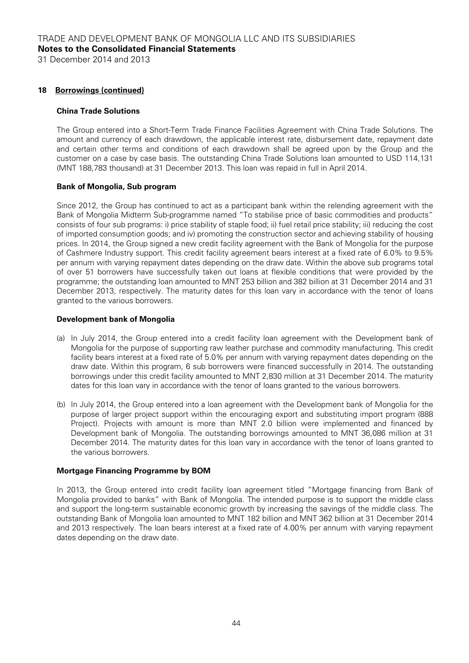## **18 Borrowings (continued)**

## **China Trade Solutions**

The Group entered into a Short-Term Trade Finance Facilities Agreement with China Trade Solutions. The amount and currency of each drawdown, the applicable interest rate, disbursement date, repayment date and certain other terms and conditions of each drawdown shall be agreed upon by the Group and the customer on a case by case basis. The outstanding China Trade Solutions loan amounted to USD 114,131 (MNT 188,783 thousand) at 31 December 2013. This loan was repaid in full in April 2014.

## **Bank of Mongolia, Sub program**

Since 2012, the Group has continued to act as a participant bank within the relending agreement with the Bank of Mongolia Midterm Sub-programme named "To stabilise price of basic commodities and products" consists of four sub programs: i) price stability of staple food; ii) fuel retail price stability; iii) reducing the cost of imported consumption goods; and iv) promoting the construction sector and achieving stability of housing prices. In 2014, the Group signed a new credit facility agreement with the Bank of Mongolia for the purpose of Cashmere Industry support. This credit facility agreement bears interest at a fixed rate of 6.0% to 9.5% per annum with varying repayment dates depending on the draw date. Within the above sub programs total of over 51 borrowers have successfully taken out loans at flexible conditions that were provided by the programme; the outstanding loan amounted to MNT 253 billion and 382 billion at 31 December 2014 and 31 December 2013, respectively. The maturity dates for this loan vary in accordance with the tenor of loans granted to the various borrowers.

## **Development bank of Mongolia**

- (a) In July 2014, the Group entered into a credit facility loan agreement with the Development bank of Mongolia for the purpose of supporting raw leather purchase and commodity manufacturing. This credit facility bears interest at a fixed rate of 5.0% per annum with varying repayment dates depending on the draw date. Within this program, 6 sub borrowers were financed successfully in 2014. The outstanding borrowings under this credit facility amounted to MNT 2,830 million at 31 December 2014. The maturity dates for this loan vary in accordance with the tenor of loans granted to the various borrowers.
- (b) In July 2014, the Group entered into a loan agreement with the Development bank of Mongolia for the purpose of larger project support within the encouraging export and substituting import program (888 Project). Projects with amount is more than MNT 2.0 billion were implemented and financed by Development bank of Mongolia. The outstanding borrowings amounted to MNT 36,086 million at 31 December 2014. The maturity dates for this loan vary in accordance with the tenor of loans granted to the various borrowers.

#### **Mortgage Financing Programme by BOM**

In 2013, the Group entered into credit facility loan agreement titled "Mortgage financing from Bank of Mongolia provided to banks" with Bank of Mongolia. The intended purpose is to support the middle class and support the long-term sustainable economic growth by increasing the savings of the middle class. The outstanding Bank of Mongolia loan amounted to MNT 182 billion and MNT 362 billion at 31 December 2014 and 2013 respectively. The loan bears interest at a fixed rate of 4.00% per annum with varying repayment dates depending on the draw date.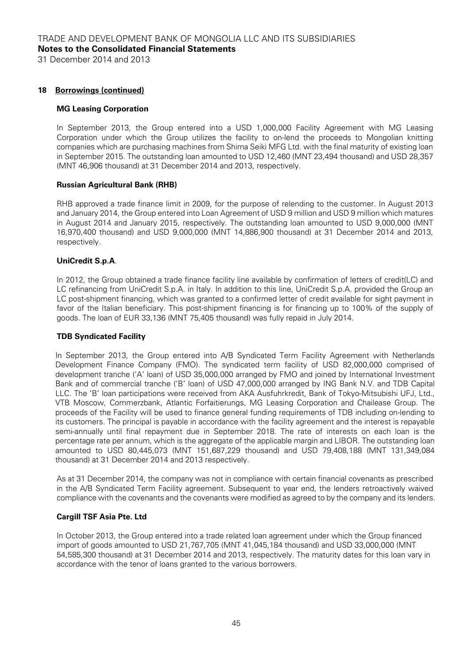## **18 Borrowings (continued)**

#### **MG Leasing Corporation**

In September 2013, the Group entered into a USD 1,000,000 Facility Agreement with MG Leasing Corporation under which the Group utilizes the facility to on-lend the proceeds to Mongolian knitting companies which are purchasing machines from Shima Seiki MFG Ltd. with the final maturity of existing loan in September 2015. The outstanding loan amounted to USD 12,460 (MNT 23,494 thousand) and USD 28,357 (MNT 46,906 thousand) at 31 December 2014 and 2013, respectively.

## **Russian Agricultural Bank (RHB)**

RHB approved a trade finance limit in 2009, for the purpose of relending to the customer. In August 2013 and January 2014, the Group entered into Loan Agreement of USD 9 million and USD 9 million which matures in August 2014 and January 2015, respectively. The outstanding loan amounted to USD 9,000,000 (MNT 16,970,400 thousand) and USD 9,000,000 (MNT 14,886,900 thousand) at 31 December 2014 and 2013, respectively.

## **UniCredit S.p.A**.

In 2012, the Group obtained a trade finance facility line available by confirmation of letters of credit(LC) and LC refinancing from UniCredit S.p.A. in Italy. In addition to this line, UniCredit S.p.A. provided the Group an LC post-shipment financing, which was granted to a confirmed letter of credit available for sight payment in favor of the Italian beneficiary. This post-shipment financing is for financing up to 100% of the supply of goods. The loan of EUR 33,136 (MNT 75,405 thousand) was fully repaid in July 2014.

#### **TDB Syndicated Facility**

In September 2013, the Group entered into A/B Syndicated Term Facility Agreement with Netherlands Development Finance Company (FMO). The syndicated term facility of USD 82,000,000 comprised of development tranche ('A' loan) of USD 35,000,000 arranged by FMO and joined by International Investment Bank and of commercial tranche ('B' loan) of USD 47,000,000 arranged by ING Bank N.V. and TDB Capital LLC. The 'B' loan participations were received from AKA Ausfuhrkredit, Bank of Tokyo-Mitsubishi UFJ, Ltd., VTB Moscow, Commerzbank, Atlantic Forfaitierungs, MG Leasing Corporation and Chailease Group. The proceeds of the Facility will be used to finance general funding requirements of TDB including on-lending to its customers. The principal is payable in accordance with the facility agreement and the interest is repayable semi-annually until final repayment due in September 2018. The rate of interests on each loan is the percentage rate per annum, which is the aggregate of the applicable margin and LIBOR. The outstanding loan amounted to USD 80,445,073 (MNT 151,687,229 thousand) and USD 79,408,188 (MNT 131,349,084 thousand) at 31 December 2014 and 2013 respectively.

As at 31 December 2014, the company was not in compliance with certain financial covenants as prescribed in the A/B Syndicated Term Facility agreement. Subsequent to year end, the lenders retroactively waived compliance with the covenants and the covenants were modified as agreed to by the company and its lenders.

## **Cargill TSF Asia Pte. Ltd**

In October 2013, the Group entered into a trade related loan agreement under which the Group financed import of goods amounted to USD 21,767,705 (MNT 41,045,184 thousand) and USD 33,000,000 (MNT 54,585,300 thousand) at 31 December 2014 and 2013, respectively. The maturity dates for this loan vary in accordance with the tenor of loans granted to the various borrowers.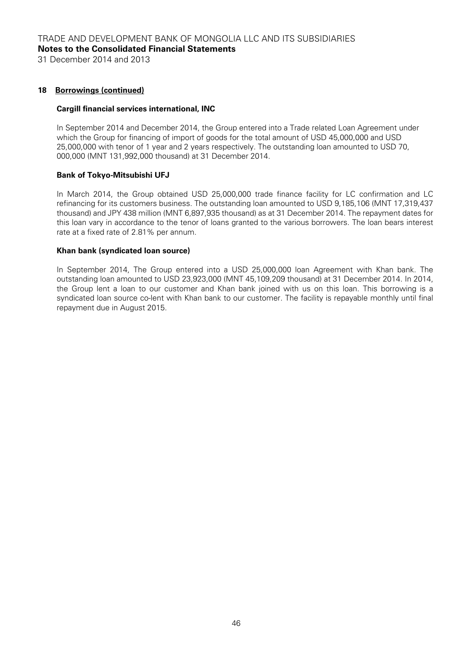## **18 Borrowings (continued)**

#### **Cargill financial services international, INC**

In September 2014 and December 2014, the Group entered into a Trade related Loan Agreement under which the Group for financing of import of goods for the total amount of USD 45,000,000 and USD 25,000,000 with tenor of 1 year and 2 years respectively. The outstanding loan amounted to USD 70, 000,000 (MNT 131,992,000 thousand) at 31 December 2014.

## **Bank of Tokyo-Mitsubishi UFJ**

In March 2014, the Group obtained USD 25,000,000 trade finance facility for LC confirmation and LC refinancing for its customers business. The outstanding loan amounted to USD 9,185,106 (MNT 17,319,437 thousand) and JPY 438 million (MNT 6,897,935 thousand) as at 31 December 2014. The repayment dates for this loan vary in accordance to the tenor of loans granted to the various borrowers. The loan bears interest rate at a fixed rate of 2.81% per annum.

#### **Khan bank (syndicated loan source)**

In September 2014, The Group entered into a USD 25,000,000 loan Agreement with Khan bank. The outstanding loan amounted to USD 23,923,000 (MNT 45,109,209 thousand) at 31 December 2014. In 2014, the Group lent a loan to our customer and Khan bank joined with us on this loan. This borrowing is a syndicated loan source co-lent with Khan bank to our customer. The facility is repayable monthly until final repayment due in August 2015.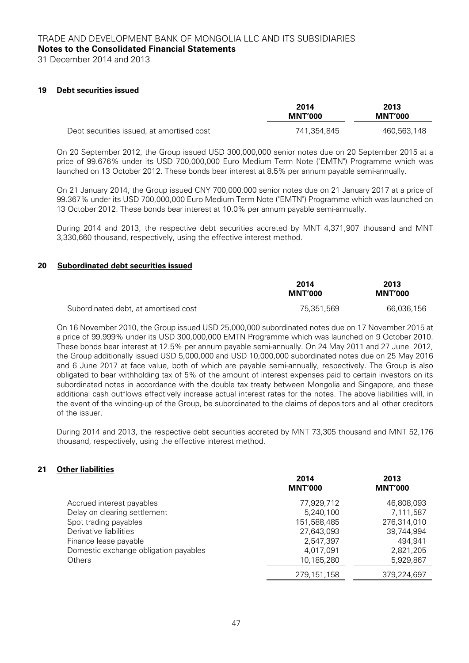31 December 2014 and 2013

## **19 Debt securities issued**

|                                           | 2014           | 2013           |
|-------------------------------------------|----------------|----------------|
|                                           | <b>MNT'000</b> | <b>MNT'000</b> |
| Debt securities issued, at amortised cost | 741,354,845    | 460,563,148    |

On 20 September 2012, the Group issued USD 300,000,000 senior notes due on 20 September 2015 at a price of 99.676% under its USD 700,000,000 Euro Medium Term Note ("EMTN") Programme which was launched on 13 October 2012. These bonds bear interest at 8.5% per annum payable semi-annually.

On 21 January 2014, the Group issued CNY 700,000,000 senior notes due on 21 January 2017 at a price of 99.367% under its USD 700,000,000 Euro Medium Term Note ("EMTN") Programme which was launched on 13 October 2012. These bonds bear interest at 10.0% per annum payable semi-annually.

During 2014 and 2013, the respective debt securities accreted by MNT 4,371,907 thousand and MNT 3,330,660 thousand, respectively, using the effective interest method.

## **20 Subordinated debt securities issued**

|                                      | 2014<br><b>MNT'000</b> | 2013<br><b>MNT'000</b> |
|--------------------------------------|------------------------|------------------------|
| Subordinated debt, at amortised cost | 75,351,569             | 66,036,156             |

On 16 November 2010, the Group issued USD 25,000,000 subordinated notes due on 17 November 2015 at a price of 99.999% under its USD 300,000,000 EMTN Programme which was launched on 9 October 2010. These bonds bear interest at 12.5% per annum payable semi-annually. On 24 May 2011 and 27 June 2012, the Group additionally issued USD 5,000,000 and USD 10,000,000 subordinated notes due on 25 May 2016 and 6 June 2017 at face value, both of which are payable semi-annually, respectively. The Group is also obligated to bear withholding tax of 5% of the amount of interest expenses paid to certain investors on its subordinated notes in accordance with the double tax treaty between Mongolia and Singapore, and these additional cash outflows effectively increase actual interest rates for the notes. The above liabilities will, in the event of the winding-up of the Group, be subordinated to the claims of depositors and all other creditors of the issuer.

During 2014 and 2013, the respective debt securities accreted by MNT 73,305 thousand and MNT 52,176 thousand, respectively, using the effective interest method.

# **21 Other liabilities**

|                                       | 2014<br><b>MNT'000</b> | 2013<br><b>MNT'000</b> |
|---------------------------------------|------------------------|------------------------|
| Accrued interest payables             | 77,929,712             | 46,808,093             |
| Delay on clearing settlement          | 5,240,100              | 7,111,587              |
| Spot trading payables                 | 151,588,485            | 276,314,010            |
| Derivative liabilities                | 27,643,093             | 39,744,994             |
| Finance lease payable                 | 2,547,397              | 494,941                |
| Domestic exchange obligation payables | 4,017,091              | 2,821,205              |
| Others                                | 10,185,280             | 5,929,867              |
|                                       | 279,151,158            | 379,224,697            |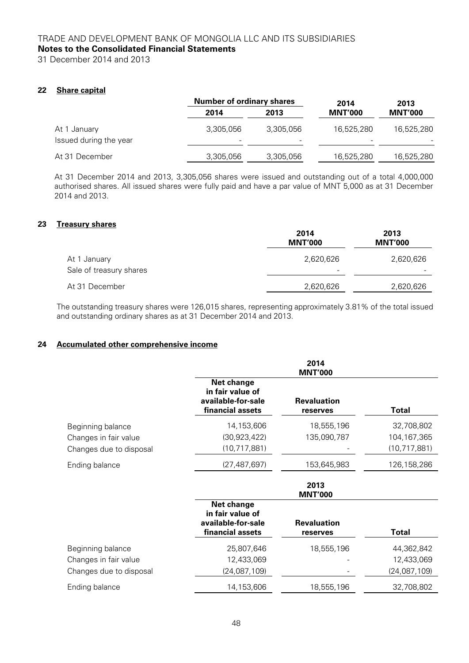31 December 2014 and 2013

## **22 Share capital**

|                                        | <b>Number of ordinary shares</b> |                | 2014            | 2013           |  |
|----------------------------------------|----------------------------------|----------------|-----------------|----------------|--|
|                                        | 2014                             | 2013           | <b>MNT'000</b>  | <b>MNT'000</b> |  |
| At 1 January<br>Issued during the year | 3,305,056<br>-                   | 3,305,056<br>- | 16.525.280<br>- | 16,525,280     |  |
| At 31 December                         | 3,305,056                        | 3,305,056      | 16,525,280      | 16,525,280     |  |

At 31 December 2014 and 2013, 3,305,056 shares were issued and outstanding out of a total 4,000,000 authorised shares. All issued shares were fully paid and have a par value of MNT 5,000 as at 31 December 2014 and 2013.

## **23 Treasury shares**

|                                         | 2014<br><b>MNT'000</b>                | 2013<br><b>MNT'000</b> |
|-----------------------------------------|---------------------------------------|------------------------|
| At 1 January<br>Sale of treasury shares | 2,620,626<br>$\overline{\phantom{0}}$ | 2,620,626              |
| At 31 December                          | 2,620,626                             | 2,620,626              |

The outstanding treasury shares were 126,015 shares, representing approximately 3.81% of the total issued and outstanding ordinary shares as at 31 December 2014 and 2013.

## **24 Accumulated other comprehensive income**

|                         |                                                                                 | 2014<br><b>MNT'000</b>         |                |
|-------------------------|---------------------------------------------------------------------------------|--------------------------------|----------------|
|                         | <b>Net change</b><br>in fair value of<br>available-for-sale<br>financial assets | <b>Revaluation</b><br>reserves | Total          |
| Beginning balance       | 14,153,606                                                                      | 18,555,196                     | 32,708,802     |
| Changes in fair value   | (30, 923, 422)                                                                  | 135,090,787                    | 104, 167, 365  |
| Changes due to disposal | (10, 717, 881)                                                                  |                                | (10, 717, 881) |
| Ending balance          | (27, 487, 697)                                                                  | 153,645,983                    | 126,158,286    |
|                         |                                                                                 | 2013<br><b>MNT'000</b>         |                |
|                         | <b>Net change</b><br>in fair value of<br>available-for-sale<br>financial assets | <b>Revaluation</b><br>reserves | Total          |
| Beginning balance       | 25,807,646                                                                      | 18,555,196                     | 44,362,842     |
| Changes in fair value   | 12,433,069                                                                      |                                | 12,433,069     |
| Changes due to disposal | (24,087,109)                                                                    |                                | (24,087,109)   |
| Ending balance          | 14,153,606                                                                      | 18,555,196                     | 32,708,802     |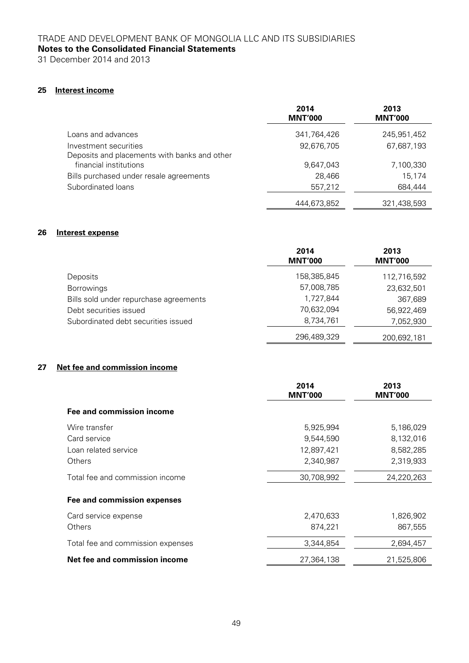31 December 2014 and 2013

## **25 Interest income**

|                                                                       | 2014<br><b>MNT'000</b> | 2013<br><b>MNT'000</b> |
|-----------------------------------------------------------------------|------------------------|------------------------|
| Loans and advances                                                    | 341,764,426            | 245,951,452            |
| Investment securities<br>Deposits and placements with banks and other | 92,676,705             | 67,687,193             |
| financial institutions                                                | 9,647,043              | 7,100,330              |
| Bills purchased under resale agreements                               | 28,466                 | 15,174                 |
| Subordinated loans                                                    | 557,212                | 684,444                |
|                                                                       | 444,673,852            | 321,438,593            |

## **26 Interest expense**

|                                        | 2014<br><b>MNT'000</b> | 2013<br><b>MNT'000</b> |
|----------------------------------------|------------------------|------------------------|
| Deposits                               | 158,385,845            | 112,716,592            |
| Borrowings                             | 57,008,785             | 23,632,501             |
| Bills sold under repurchase agreements | 1,727,844              | 367,689                |
| Debt securities issued                 | 70,632,094             | 56,922,469             |
| Subordinated debt securities issued    | 8,734,761              | 7,052,930              |
|                                        | 296,489,329            | 200,692,181            |

# **27 Net fee and commission income**

|                                   | 2014<br><b>MNT'000</b> | 2013<br><b>MNT'000</b> |
|-----------------------------------|------------------------|------------------------|
| Fee and commission income         |                        |                        |
| Wire transfer                     | 5,925,994              | 5,186,029              |
| Card service                      | 9,544,590              | 8,132,016              |
| Loan related service              | 12,897,421             | 8,582,285              |
| <b>Others</b>                     | 2,340,987              | 2,319,933              |
| Total fee and commission income   | 30,708,992             | 24,220,263             |
| Fee and commission expenses       |                        |                        |
| Card service expense              | 2,470,633              | 1,826,902              |
| <b>Others</b>                     | 874,221                | 867,555                |
| Total fee and commission expenses | 3,344,854              | 2,694,457              |
| Net fee and commission income     | 27,364,138             | 21,525,806             |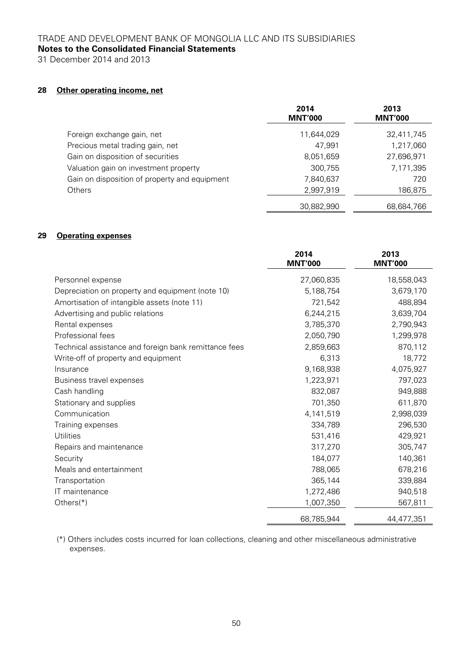31 December 2014 and 2013

## **28 Other operating income, net**

|                                               | 2014<br><b>MNT'000</b> | 2013<br><b>MNT'000</b> |
|-----------------------------------------------|------------------------|------------------------|
| Foreign exchange gain, net                    | 11,644,029             | 32,411,745             |
| Precious metal trading gain, net              | 47.991                 | 1,217,060              |
| Gain on disposition of securities             | 8,051,659              | 27,696,971             |
| Valuation gain on investment property         | 300,755                | 7,171,395              |
| Gain on disposition of property and equipment | 7,840,637              | 720                    |
| <b>Others</b>                                 | 2,997,919              | 186,875                |
|                                               | 30,882,990             | 68,684,766             |

## **29 Operating expenses**

|                                                       | 2014<br><b>MNT'000</b> | 2013<br><b>MNT'000</b> |
|-------------------------------------------------------|------------------------|------------------------|
| Personnel expense                                     | 27,060,835             | 18,558,043             |
| Depreciation on property and equipment (note 10)      | 5,188,754              | 3,679,170              |
| Amortisation of intangible assets (note 11)           | 721,542                | 488,894                |
| Advertising and public relations                      | 6,244,215              | 3,639,704              |
| Rental expenses                                       | 3,785,370              | 2,790,943              |
| Professional fees                                     | 2,050,790              | 1,299,978              |
| Technical assistance and foreign bank remittance fees | 2,859,663              | 870,112                |
| Write-off of property and equipment                   | 6,313                  | 18,772                 |
| Insurance                                             | 9,168,938              | 4,075,927              |
| Business travel expenses                              | 1,223,971              | 797,023                |
| Cash handling                                         | 832,087                | 949,888                |
| Stationary and supplies                               | 701,350                | 611,870                |
| Communication                                         | 4,141,519              | 2,998,039              |
| Training expenses                                     | 334,789                | 296,530                |
| Utilities                                             | 531,416                | 429,921                |
| Repairs and maintenance                               | 317,270                | 305,747                |
| Security                                              | 184,077                | 140,361                |
| Meals and entertainment                               | 788,065                | 678,216                |
| Transportation                                        | 365,144                | 339,884                |
| IT maintenance                                        | 1,272,486              | 940,518                |
| Others $(*)$                                          | 1,007,350              | 567,811                |
|                                                       | 68,785,944             | 44,477,351             |

(\*) Others includes costs incurred for loan collections, cleaning and other miscellaneous administrative expenses.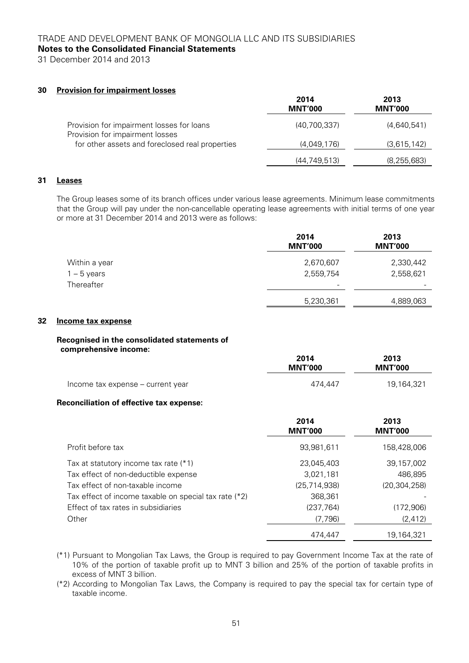31 December 2014 and 2013

## **30 Provision for impairment losses**

|                                                                              | 2014<br><b>MNT'000</b> | 2013<br><b>MNT'000</b> |
|------------------------------------------------------------------------------|------------------------|------------------------|
| Provision for impairment losses for loans<br>Provision for impairment losses | (40, 700, 337)         | (4,640,541)            |
| for other assets and foreclosed real properties                              | (4,049,176)            | (3,615,142)            |
|                                                                              | (44, 749, 513)         | (8, 255, 683)          |

# **31 Leases**

The Group leases some of its branch offices under various lease agreements. Minimum lease commitments that the Group will pay under the non-cancellable operating lease agreements with initial terms of one year or more at 31 December 2014 and 2013 were as follows:

|               | 2014<br><b>MNT'000</b>   | 2013<br><b>MNT'000</b> |
|---------------|--------------------------|------------------------|
| Within a year | 2,670,607                | 2,330,442              |
| $1 - 5$ years | 2,559,754                | 2,558,621              |
| Thereafter    | $\overline{\phantom{a}}$ | -                      |
|               | 5,230,361                | 4,889,063              |

#### **32 Income tax expense**

#### **Recognised in the consolidated statements of comprehensive income:**

|                                   | 2014<br><b>MNT'000</b> | 2013<br><b>MNT'000</b> |
|-----------------------------------|------------------------|------------------------|
| Income tax expense – current year | 474.447                | 19,164,321             |

#### **Reconciliation of effective tax expense:**

|                                                         | 2014<br><b>MNT'000</b> | 2013<br><b>MNT'000</b> |
|---------------------------------------------------------|------------------------|------------------------|
| Profit before tax                                       | 93,981,611             | 158,428,006            |
| Tax at statutory income tax rate $(*1)$                 | 23,045,403             | 39,157,002             |
| Tax effect of non-deductible expense                    | 3,021,181              | 486,895                |
| Tax effect of non-taxable income                        | (25, 714, 938)         | (20, 304, 258)         |
| Tax effect of income taxable on special tax rate $(*2)$ | 368,361                |                        |
| Effect of tax rates in subsidiaries                     | (237, 764)             | (172,906)              |
| Other                                                   | (7,796)                | (2, 412)               |
|                                                         | 474.447                | 19,164,321             |

(\*1) Pursuant to Mongolian Tax Laws, the Group is required to pay Government Income Tax at the rate of 10% of the portion of taxable profit up to MNT 3 billion and 25% of the portion of taxable profits in excess of MNT 3 billion.

(\*2) According to Mongolian Tax Laws, the Company is required to pay the special tax for certain type of taxable income.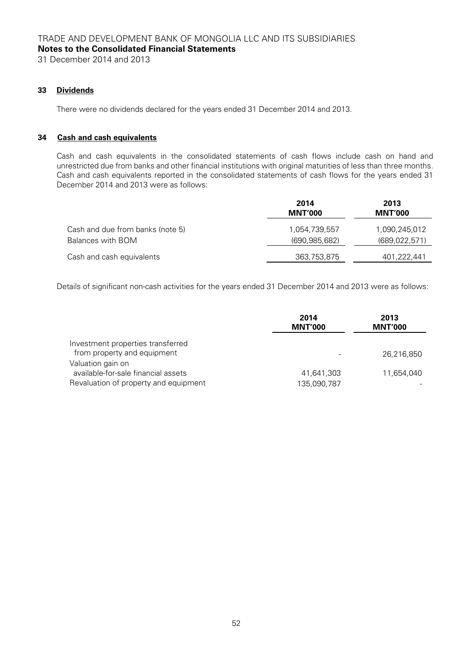## **33 Dividends**

There were no dividends declared for the years ended 31 December 2014 and 2013.

## **34 Cash and cash equivalents**

Cash and cash equivalents in the consolidated statements of cash flows include cash on hand and unrestricted due from banks and other financial institutions with original maturities of less than three months. Cash and cash equivalents reported in the consolidated statements of cash flows for the years ended 31 December 2014 and 2013 were as follows:

|                                                       | 2014<br><b>MNT'000</b>         | 2013<br><b>MNT'000</b>         |
|-------------------------------------------------------|--------------------------------|--------------------------------|
| Cash and due from banks (note 5)<br>Balances with BOM | 1,054,739,557<br>(690,985,682) | 1,090,245,012<br>(689.022.571) |
| Cash and cash equivalents                             | 363,753,875                    | 401,222,441                    |

Details of significant non-cash activities for the years ended 31 December 2014 and 2013 were as follows:

|                                                                  | 2014<br><b>MNT'000</b> | 2013<br><b>MNT'000</b> |  |
|------------------------------------------------------------------|------------------------|------------------------|--|
| Investment properties transferred<br>from property and equipment |                        |                        |  |
| Valuation gain on                                                |                        | 26.216.850             |  |
| available-for-sale financial assets                              | 41,641,303             | 11.654.040             |  |
| Revaluation of property and equipment                            | 135,090,787            |                        |  |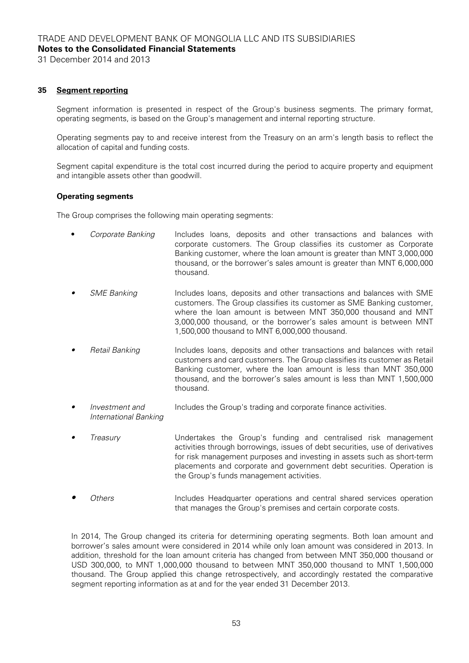## **35 Segment reporting**

Segment information is presented in respect of the Group's business segments. The primary format, operating segments, is based on the Group's management and internal reporting structure.

Operating segments pay to and receive interest from the Treasury on an arm's length basis to reflect the allocation of capital and funding costs.

Segment capital expenditure is the total cost incurred during the period to acquire property and equipment and intangible assets other than goodwill.

## **Operating segments**

The Group comprises the following main operating segments:

- *Corporate Banking* Includes loans, deposits and other transactions and balances with corporate customers. The Group classifies its customer as Corporate Banking customer, where the loan amount is greater than MNT 3,000,000 thousand, or the borrower's sales amount is greater than MNT 6,000,000 thousand.
- **SME Banking Includes loans, deposits and other transactions and balances with SME** customers. The Group classifies its customer as SME Banking customer, where the loan amount is between MNT 350,000 thousand and MNT 3,000,000 thousand, or the borrower's sales amount is between MNT 1,500,000 thousand to MNT 6,000,000 thousand.
- *Retail Banking* Includes loans, deposits and other transactions and balances with retail customers and card customers. The Group classifies its customer as Retail Banking customer, where the loan amount is less than MNT 350,000 thousand, and the borrower's sales amount is less than MNT 1,500,000 thousand.
- *Investment and Includes the Group's trading and corporate finance activities. International Banking*
- *Treasury Undertakes the Group's funding and centralised risk management* activities through borrowings, issues of debt securities, use of derivatives for risk management purposes and investing in assets such as short-term placements and corporate and government debt securities. Operation is the Group's funds management activities.
- *Others Includes Headquarter operations and central shared services operation* that manages the Group's premises and certain corporate costs.

In 2014, The Group changed its criteria for determining operating segments. Both loan amount and borrower's sales amount were considered in 2014 while only loan amount was considered in 2013. In addition, threshold for the loan amount criteria has changed from between MNT 350,000 thousand or USD 300,000, to MNT 1,000,000 thousand to between MNT 350,000 thousand to MNT 1,500,000 thousand. The Group applied this change retrospectively, and accordingly restated the comparative segment reporting information as at and for the year ended 31 December 2013.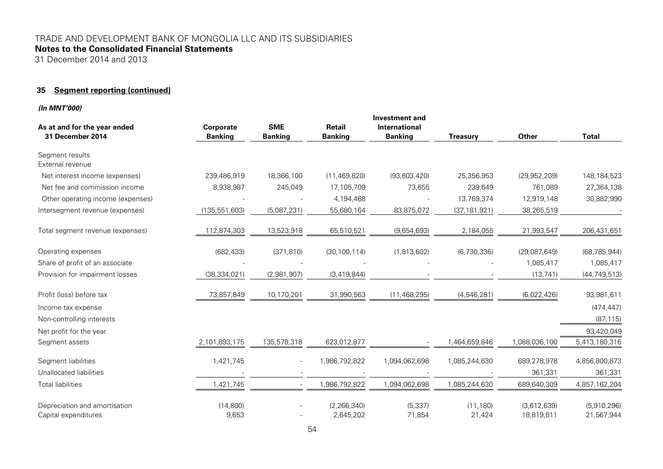31 December 2014 and 2013

# **35 Segment reporting (continued)**

## *(In MNT'000)*

|                                   |                  |                |                | Investment and |                 |               |                |
|-----------------------------------|------------------|----------------|----------------|----------------|-----------------|---------------|----------------|
| As at and for the year ended      | <b>Corporate</b> | <b>SME</b>     | Retail         | International  |                 |               |                |
| 31 December 2014                  | <b>Banking</b>   | <b>Banking</b> | <b>Banking</b> | <b>Banking</b> | <b>Treasury</b> | <b>Other</b>  | <b>Total</b>   |
| Segment results                   |                  |                |                |                |                 |               |                |
| External revenue                  |                  |                |                |                |                 |               |                |
| Net interest income (expenses)    | 239,486,919      | 18,366,100     | (11,469,820)   | (93,603,420)   | 25,356,953      | (29,952,209)  | 148,184,523    |
| Net fee and commission income     | 8,938,987        | 245,049        | 17,105,709     | 73,655         | 239,649         | 761,089       | 27,364,138     |
| Other operating income (expenses) |                  |                | 4,194,468      |                | 13,769,374      | 12,919,148    | 30,882,990     |
| Intersegment revenue (expenses)   | (135, 551, 603)  | (5,087,231)    | 55,680,164     | 83,875,072     | (37, 181, 921)  | 38,265,519    |                |
| Total segment revenue (expenses)  | 112,874,303      | 13,523,918     | 65,510,521     | (9,654,693)    | 2,184,055       | 21,993,547    | 206,431,651    |
| Operating expenses                | (682, 433)       | (371, 810)     | (30, 100, 114) | (1,813,602)    | (6,730,336)     | (29,087,649)  | (68, 785, 944) |
| Share of profit of an associate   |                  |                |                |                |                 | 1,085,417     | 1,085,417      |
| Provision for impairment losses   | (38, 334, 021)   | (2,981,907)    | (3,419,844)    |                |                 | (13, 741)     | (44, 749, 513) |
| Profit (loss) before tax          | 73,857,849       | 10,170,201     | 31,990,563     | (11, 468, 295) | (4, 546, 281)   | (6,022,426)   | 93,981,611     |
| Income tax expense                |                  |                |                |                |                 |               | (474, 447)     |
| Non-controlling interests         |                  |                |                |                |                 |               | (87, 115)      |
| Net profit for the year           |                  |                |                |                |                 |               | 93,420,049     |
| Segment assets                    | 2,101,893,175    | 135,578,318    | 623,012,877    |                | 1,464,659,846   | 1,088,036,100 | 5,413,180,316  |
| Segment liabilities               | 1,421,745        |                | 1,986,792,822  | 1,094,062,698  | 1,085,244,630   | 689,278,978   | 4,856,800,873  |
| Unallocated liabilities           |                  |                |                |                |                 | 361,331       | 361,331        |
| <b>Total liabilities</b>          | 1,421,745        |                | 1,986,792,822  | 1,094,062,698  | 1,085,244,630   | 689,640,309   | 4,857,162,204  |
| Depreciation and amortisation     | (14,800)         |                | (2, 266, 340)  | (5, 337)       | (11, 180)       | (3,612,639)   | (5,910,296)    |
| Capital expenditures              | 9,653            |                | 2,645,202      | 71,854         | 21,424          | 18,819,811    | 21,567,944     |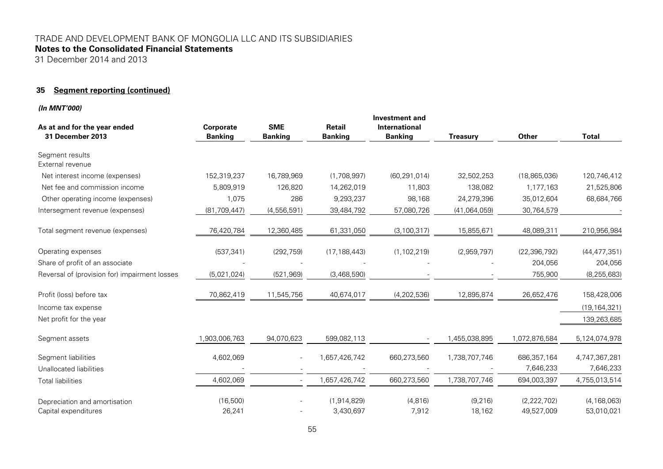31 December 2014 and 2013

# **35 Segment reporting (continued)**

## *(In MNT'000)*

|                                               |                |                |                | Investment and |                 |                |                |
|-----------------------------------------------|----------------|----------------|----------------|----------------|-----------------|----------------|----------------|
| As at and for the year ended                  | Corporate      | <b>SME</b>     | Retail         | International  |                 |                |                |
| <b>31 December 2013</b>                       | <b>Banking</b> | <b>Banking</b> | <b>Banking</b> | <b>Banking</b> | <b>Treasury</b> | <b>Other</b>   | <b>Total</b>   |
| Segment results                               |                |                |                |                |                 |                |                |
| External revenue                              |                |                |                |                |                 |                |                |
| Net interest income (expenses)                | 152,319,237    | 16,789,969     | (1,708,997)    | (60, 291, 014) | 32,502,253      | (18, 865, 036) | 120,746,412    |
| Net fee and commission income                 | 5,809,919      | 126,820        | 14,262,019     | 11,803         | 138,082         | 1,177,163      | 21,525,806     |
| Other operating income (expenses)             | 1,075          | 286            | 9,293,237      | 98,168         | 24,279,396      | 35,012,604     | 68,684,766     |
| Intersegment revenue (expenses)               | (81, 709, 447) | (4, 556, 591)  | 39,484,792     | 57,080,726     | (41,064,059)    | 30,764,579     |                |
| Total segment revenue (expenses)              | 76,420,784     | 12,360,485     | 61,331,050     | (3, 100, 317)  | 15,855,671      | 48,089,311     | 210,956,984    |
| Operating expenses                            | (537, 341)     | (292, 759)     | (17, 188, 443) | (1, 102, 219)  | (2,959,797)     | (22, 396, 792) | (44, 477, 351) |
| Share of profit of an associate               |                |                |                |                |                 | 204,056        | 204,056        |
| Reversal of (provision for) impairment losses | (5,021,024)    | (521, 969)     | (3,468,590)    |                |                 | 755,900        | (8, 255, 683)  |
| Profit (loss) before tax                      | 70,862,419     | 11,545,756     | 40,674,017     | (4, 202, 536)  | 12,895,874      | 26,652,476     | 158,428,006    |
| Income tax expense                            |                |                |                |                |                 |                | (19, 164, 321) |
| Net profit for the year                       |                |                |                |                |                 |                | 139,263,685    |
| Segment assets                                | 1,903,006,763  | 94,070,623     | 599,082,113    |                | 1,455,038,895   | 1,072,876,584  | 5,124,074,978  |
| Segment liabilities                           | 4,602,069      |                | 1,657,426,742  | 660,273,560    | 1,738,707,746   | 686,357,164    | 4,747,367,281  |
| Unallocated liabilities                       |                |                |                |                |                 | 7,646,233      | 7,646,233      |
| <b>Total liabilities</b>                      | 4,602,069      |                | 1,657,426,742  | 660,273,560    | 1,738,707,746   | 694,003,397    | 4,755,013,514  |
| Depreciation and amortisation                 | (16, 500)      |                | (1,914,829)    | (4, 816)       | (9, 216)        | (2, 222, 702)  | (4, 168, 063)  |
| Capital expenditures                          | 26,241         |                | 3,430,697      | 7,912          | 18,162          | 49,527,009     | 53,010,021     |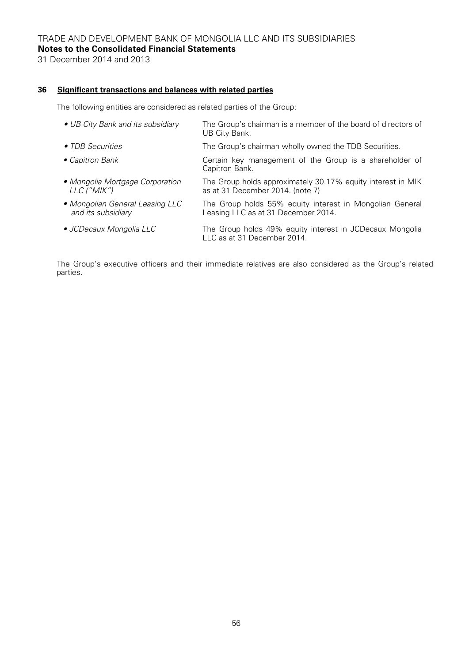31 December 2014 and 2013

## **36 Significant transactions and balances with related parties**

The following entities are considered as related parties of the Group:

| • UB City Bank and its subsidiary                     | The Group's chairman is a member of the board of directors of<br>UB City Bank.                  |
|-------------------------------------------------------|-------------------------------------------------------------------------------------------------|
| • TDB Securities                                      | The Group's chairman wholly owned the TDB Securities.                                           |
| • Capitron Bank                                       | Certain key management of the Group is a shareholder of<br>Capitron Bank.                       |
| • Mongolia Mortgage Corporation<br>$LLC$ (" $M$ K")   | The Group holds approximately 30.17% equity interest in MIK<br>as at 31 December 2014. (note 7) |
| • Mongolian General Leasing LLC<br>and its subsidiary | The Group holds 55% equity interest in Mongolian General<br>Leasing LLC as at 31 December 2014. |
| $\bullet$ JCDecaux Mongolia LLC                       | The Group holds 49% equity interest in JCDecaux Mongolia<br>LLC as at 31 December 2014.         |

The Group's executive officers and their immediate relatives are also considered as the Group's related parties.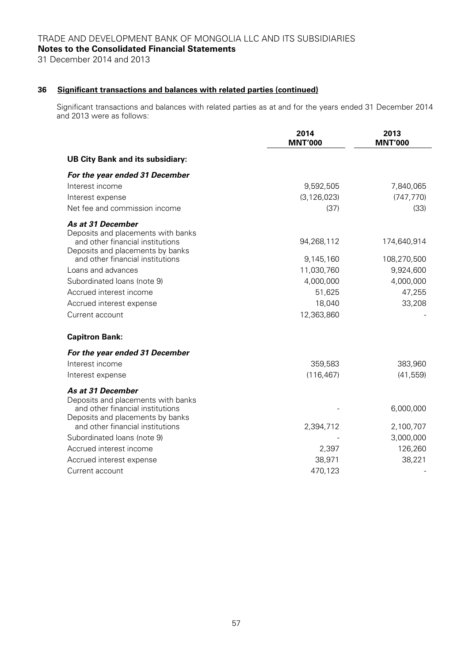## **36 Significant transactions and balances with related parties (continued)**

Significant transactions and balances with related parties as at and for the years ended 31 December 2014 and 2013 were as follows:

|                                                                        | 2014<br><b>MNT'000</b> | 2013<br><b>MNT'000</b> |
|------------------------------------------------------------------------|------------------------|------------------------|
| <b>UB City Bank and its subsidiary:</b>                                |                        |                        |
| For the year ended 31 December                                         |                        |                        |
| Interest income                                                        | 9,592,505              | 7,840,065              |
| Interest expense                                                       | (3, 126, 023)          | (747, 770)             |
| Net fee and commission income                                          | (37)                   | (33)                   |
| As at 31 December                                                      |                        |                        |
| Deposits and placements with banks<br>and other financial institutions | 94,268,112             | 174,640,914            |
| Deposits and placements by banks                                       |                        |                        |
| and other financial institutions                                       | 9,145,160              | 108,270,500            |
| Loans and advances                                                     | 11,030,760             | 9,924,600              |
| Subordinated loans (note 9)                                            | 4,000,000              | 4,000,000              |
| Accrued interest income                                                | 51,625                 | 47,255                 |
| Accrued interest expense                                               | 18,040                 | 33,208                 |
| Current account                                                        | 12,363,860             |                        |
| <b>Capitron Bank:</b>                                                  |                        |                        |
| For the year ended 31 December                                         |                        |                        |
| Interest income                                                        | 359,583                | 383,960                |
| Interest expense                                                       | (116, 467)             | (41, 559)              |
| As at 31 December                                                      |                        |                        |
| Deposits and placements with banks<br>and other financial institutions |                        | 6,000,000              |
| Deposits and placements by banks                                       |                        |                        |
| and other financial institutions                                       | 2,394,712              | 2,100,707              |
| Subordinated loans (note 9)                                            |                        | 3,000,000              |
| Accrued interest income                                                | 2,397                  | 126,260                |
| Accrued interest expense                                               | 38,971                 | 38,221                 |
| Current account                                                        | 470,123                |                        |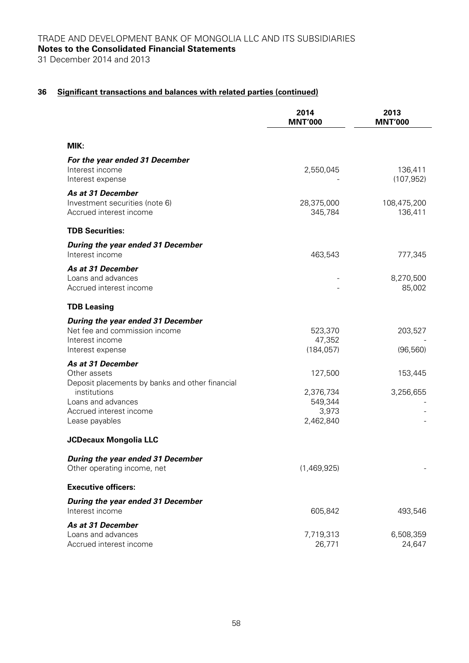31 December 2014 and 2013

# **36 Significant transactions and balances with related parties (continued)**

|                                                                                                                                                       | 2014<br><b>MNT'000</b>                   | 2013<br><b>MNT'000</b> |
|-------------------------------------------------------------------------------------------------------------------------------------------------------|------------------------------------------|------------------------|
| MIK:                                                                                                                                                  |                                          |                        |
| For the year ended 31 December<br>Interest income<br>Interest expense                                                                                 | 2,550,045                                | 136,411<br>(107, 952)  |
| As at 31 December<br>Investment securities (note 6)<br>Accrued interest income                                                                        | 28,375,000<br>345,784                    | 108,475,200<br>136,411 |
| <b>TDB Securities:</b>                                                                                                                                |                                          |                        |
| During the year ended 31 December<br>Interest income                                                                                                  | 463,543                                  | 777,345                |
| As at 31 December<br>Loans and advances<br>Accrued interest income                                                                                    |                                          | 8,270,500<br>85,002    |
| <b>TDB Leasing</b>                                                                                                                                    |                                          |                        |
| During the year ended 31 December<br>Net fee and commission income<br>Interest income<br>Interest expense                                             | 523,370<br>47,352<br>(184, 057)          | 203,527<br>(96, 560)   |
| As at 31 December<br>Other assets<br>Deposit placements by banks and other financial<br>institutions<br>Loans and advances<br>Accrued interest income | 127,500<br>2,376,734<br>549,344<br>3,973 | 153,445<br>3,256,655   |
| Lease payables                                                                                                                                        | 2,462,840                                |                        |
| <b>JCDecaux Mongolia LLC</b>                                                                                                                          |                                          |                        |
| During the year ended 31 December<br>Other operating income, net                                                                                      | (1,469,925)                              |                        |
| <b>Executive officers:</b>                                                                                                                            |                                          |                        |
| During the year ended 31 December<br>Interest income                                                                                                  | 605,842                                  | 493,546                |
| As at 31 December<br>Loans and advances<br>Accrued interest income                                                                                    | 7,719,313<br>26,771                      | 6,508,359<br>24,647    |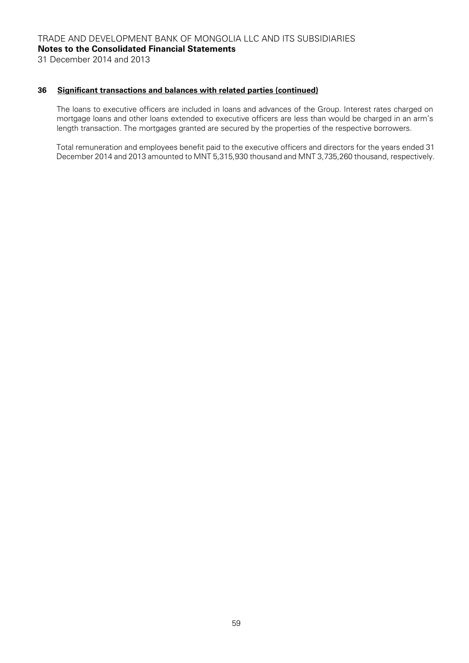## **36 Significant transactions and balances with related parties (continued)**

The loans to executive officers are included in loans and advances of the Group. Interest rates charged on mortgage loans and other loans extended to executive officers are less than would be charged in an arm's length transaction. The mortgages granted are secured by the properties of the respective borrowers.

Total remuneration and employees benefit paid to the executive officers and directors for the years ended 31 December 2014 and 2013 amounted to MNT 5,315,930 thousand and MNT 3,735,260 thousand, respectively.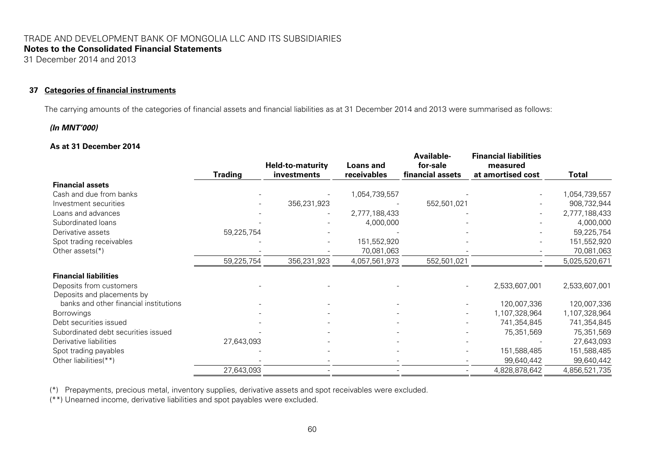31 December 2014 and 2013

## **37 Categories of financial instruments**

The carrying amounts of the categories of financial assets and financial liabilities as at 31 December 2014 and 2013 were summarised as follows:

#### *(In MNT'000)*

#### **As at 31 December 2014**

|                                        | <b>Trading</b> | <b>Held-to-maturity</b><br>investments | <b>Loans and</b><br>receivables | <b>Available-</b><br>for-sale<br>financial assets | <b>Financial liabilities</b><br>measured<br>at amortised cost | <b>Total</b>  |
|----------------------------------------|----------------|----------------------------------------|---------------------------------|---------------------------------------------------|---------------------------------------------------------------|---------------|
| <b>Financial assets</b>                |                |                                        |                                 |                                                   |                                                               |               |
| Cash and due from banks                |                |                                        | 1,054,739,557                   |                                                   |                                                               | 1,054,739,557 |
| Investment securities                  |                | 356,231,923                            |                                 | 552,501,021                                       |                                                               | 908,732,944   |
| Loans and advances                     |                |                                        | 2,777,188,433                   |                                                   |                                                               | 2,777,188,433 |
| Subordinated loans                     |                |                                        | 4,000,000                       |                                                   |                                                               | 4,000,000     |
| Derivative assets                      | 59,225,754     |                                        |                                 |                                                   |                                                               | 59,225,754    |
| Spot trading receivables               |                |                                        | 151,552,920                     |                                                   |                                                               | 151,552,920   |
| Other assets(*)                        |                |                                        | 70,081,063                      |                                                   |                                                               | 70,081,063    |
|                                        | 59,225,754     | 356,231,923                            | 4,057,561,973                   | 552,501,021                                       |                                                               | 5,025,520,671 |
| <b>Financial liabilities</b>           |                |                                        |                                 |                                                   |                                                               |               |
| Deposits from customers                |                |                                        |                                 |                                                   | 2,533,607,001                                                 | 2,533,607,001 |
| Deposits and placements by             |                |                                        |                                 |                                                   |                                                               |               |
| banks and other financial institutions |                |                                        |                                 |                                                   | 120,007,336                                                   | 120,007,336   |
| <b>Borrowings</b>                      |                |                                        |                                 | $\overline{\phantom{a}}$                          | 1,107,328,964                                                 | 1,107,328,964 |
| Debt securities issued                 |                |                                        |                                 |                                                   | 741,354,845                                                   | 741,354,845   |
| Subordinated debt securities issued    |                |                                        |                                 |                                                   | 75,351,569                                                    | 75,351,569    |
| Derivative liabilities                 | 27,643,093     |                                        |                                 |                                                   |                                                               | 27,643,093    |
| Spot trading payables                  |                |                                        |                                 |                                                   | 151,588,485                                                   | 151,588,485   |
| Other liabilities(**)                  |                |                                        |                                 |                                                   | 99,640,442                                                    | 99,640,442    |
|                                        | 27,643,093     |                                        |                                 |                                                   | 4,828,878,642                                                 | 4,856,521,735 |

(\*) Prepayments, precious metal, inventory supplies, derivative assets and spot receivables were excluded.

(\*\*) Unearned income, derivative liabilities and spot payables were excluded.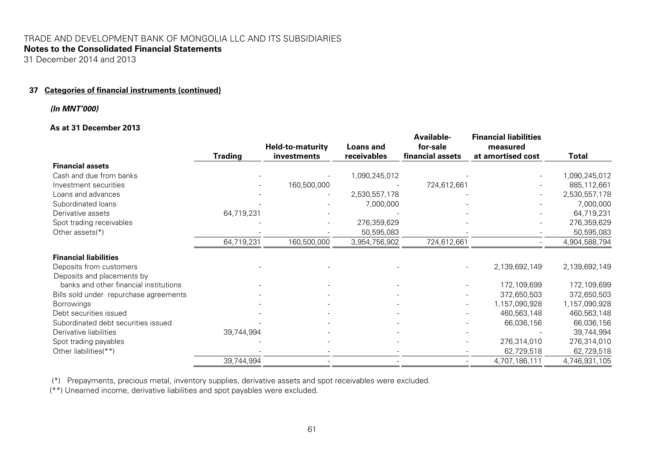# TRADE AND DEVELOPMENT BANK OF MONGOLIA LLC AND ITS SUBSIDIARIES

#### **Notes to the Consolidated Financial Statements**

31 December 2014 and 2013

# **37 Categories of financial instruments (continued)**

#### *(In MNT'000)*

#### **As at 31 December 2013**

|                                        | <b>Trading</b> | <b>Held-to-maturity</b><br>investments | <b>Loans and</b><br>receivables | <b>Available-</b><br>for-sale<br>financial assets | <b>Financial liabilities</b><br>measured<br>at amortised cost | <b>Total</b>  |
|----------------------------------------|----------------|----------------------------------------|---------------------------------|---------------------------------------------------|---------------------------------------------------------------|---------------|
| <b>Financial assets</b>                |                |                                        |                                 |                                                   |                                                               |               |
| Cash and due from banks                |                |                                        | 1,090,245,012                   |                                                   |                                                               | 1,090,245,012 |
| Investment securities                  |                | 160,500,000                            |                                 | 724,612,661                                       |                                                               | 885,112,661   |
| Loans and advances                     |                |                                        | 2,530,557,178                   |                                                   |                                                               | 2,530,557,178 |
| Subordinated loans                     |                |                                        | 7,000,000                       |                                                   |                                                               | 7,000,000     |
| Derivative assets                      | 64,719,231     |                                        |                                 |                                                   |                                                               | 64,719,231    |
| Spot trading receivables               |                |                                        | 276,359,629                     |                                                   |                                                               | 276,359,629   |
| Other assets $(*)$                     |                |                                        | 50,595,083                      |                                                   |                                                               | 50,595,083    |
|                                        | 64,719,231     | 160,500,000                            | 3,954,756,902                   | 724,612,661                                       |                                                               | 4,904,588,794 |
| <b>Financial liabilities</b>           |                |                                        |                                 |                                                   |                                                               |               |
| Deposits from customers                |                |                                        |                                 |                                                   | 2,139,692,149                                                 | 2,139,692,149 |
| Deposits and placements by             |                |                                        |                                 |                                                   |                                                               |               |
| banks and other financial institutions |                |                                        |                                 |                                                   | 172,109,699                                                   | 172,109,699   |
| Bills sold under repurchase agreements |                |                                        |                                 |                                                   | 372,650,503                                                   | 372,650,503   |
| Borrowings                             |                |                                        |                                 |                                                   | 1,157,090,928                                                 | 1,157,090,928 |
| Debt securities issued                 |                |                                        |                                 |                                                   | 460,563,148                                                   | 460,563,148   |
| Subordinated debt securities issued    |                |                                        |                                 |                                                   | 66,036,156                                                    | 66,036,156    |
| Derivative liabilities                 | 39,744,994     |                                        |                                 |                                                   |                                                               | 39,744,994    |
| Spot trading payables                  |                |                                        |                                 |                                                   | 276,314,010                                                   | 276,314,010   |
| Other liabilities(**)                  |                |                                        |                                 |                                                   | 62,729,518                                                    | 62,729,518    |
|                                        | 39,744,994     |                                        |                                 | $\overline{\phantom{0}}$                          | 4,707,186,111                                                 | 4,746,931,105 |

(\*) Prepayments, precious metal, inventory supplies, derivative assets and spot receivables were excluded.

(\*\*) Unearned income, derivative liabilities and spot payables were excluded.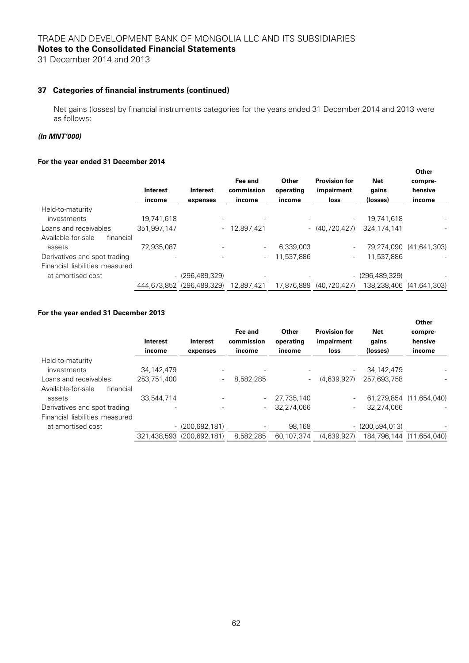## **37 Categories of financial instruments (continued)**

Net gains (losses) by financial instruments categories for the years ended 31 December 2014 and 2013 were as follows:

# *(In MNT'000)*

#### **For the year ended 31 December 2014**

|                                 | <b>Interest</b><br>income | Interest<br>expenses      | Fee and<br>commission<br>income | Other<br>operating<br>income | <b>Provision for</b><br>impairment<br>loss | <b>Net</b><br>gains<br>(losses) | Other<br>compre-<br>hensive<br>income |
|---------------------------------|---------------------------|---------------------------|---------------------------------|------------------------------|--------------------------------------------|---------------------------------|---------------------------------------|
| Held-to-maturity                |                           |                           |                                 |                              |                                            |                                 |                                       |
| investments                     | 19,741,618                |                           |                                 |                              | $\overline{\phantom{a}}$                   | 19.741.618                      |                                       |
| Loans and receivables           | 351.997.147               | $\overline{\phantom{0}}$  | 12.897.421                      |                              | $-(40.720.427)$                            | 324.174.141                     |                                       |
| Available-for-sale<br>financial |                           |                           |                                 |                              |                                            |                                 |                                       |
| assets                          | 72,935,087                |                           |                                 | 6,339,003                    |                                            |                                 | 79,274,090 (41,641,303)               |
| Derivatives and spot trading    |                           |                           | -                               | 11,537,886                   | $\overline{\phantom{a}}$                   | 11,537,886                      |                                       |
| Financial liabilities measured  |                           |                           |                                 |                              |                                            |                                 |                                       |
| at amortised cost               |                           | $-$ (296,489,329)         |                                 |                              |                                            | $-$ (296,489,329)               |                                       |
|                                 |                           | 444.673.852 (296.489.329) | 12.897.421                      | 17.876.889                   | (40.720.427)                               |                                 | 138.238.406 (41.641.303)              |

#### **For the year ended 31 December 2013**

|                                 | Interest<br>income | Interest<br>expenses      | Fee and<br>commission<br>income | Other<br>operating<br>income | <b>Provision for</b><br>impairment<br>loss | <b>Net</b><br>gains<br>(losses) | Other<br>compre-<br>hensive<br>income |
|---------------------------------|--------------------|---------------------------|---------------------------------|------------------------------|--------------------------------------------|---------------------------------|---------------------------------------|
| Held-to-maturity                |                    |                           |                                 |                              |                                            |                                 |                                       |
| investments                     | 34.142.479         |                           | $\overline{\phantom{0}}$        |                              | $\overline{\phantom{a}}$                   | 34.142.479                      |                                       |
| Loans and receivables           | 253.751.400        | $\overline{\phantom{a}}$  | 8,582,285                       | $\overline{\phantom{a}}$     | (4.639.927)                                | 257.693.758                     |                                       |
| Available-for-sale<br>financial |                    |                           |                                 |                              |                                            |                                 |                                       |
| assets                          | 33.544.714         |                           | $\overline{\phantom{0}}$        | 27,735,140                   | $\overline{\phantom{a}}$                   |                                 | 61.279.854 (11.654.040)               |
| Derivatives and spot trading    |                    |                           | Ξ.                              | 32.274.066                   | $\overline{\phantom{0}}$                   | 32.274.066                      |                                       |
| Financial liabilities measured  |                    |                           |                                 |                              |                                            |                                 |                                       |
| at amortised cost               |                    | $-(200.692.181)$          |                                 | 98,168                       | $\overline{\phantom{a}}$                   | (200,594,013)                   |                                       |
|                                 |                    | 321.438.593 (200.692.181) | 8.582.285                       | 60.107.374                   | (4.639.927)                                | 184.796.144                     | (11.654.040)                          |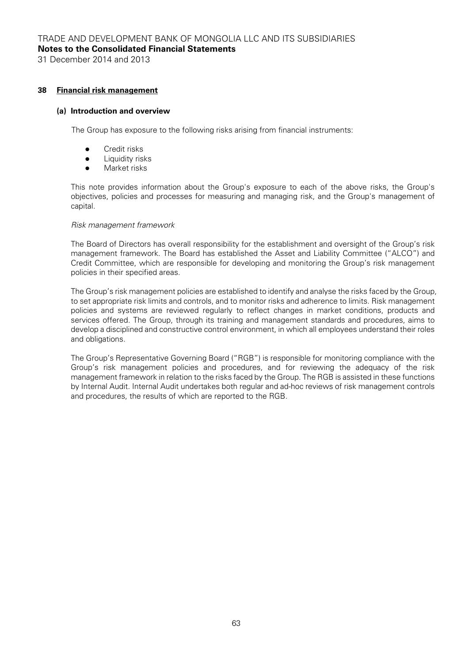31 December 2014 and 2013

## **38 Financial risk management**

#### **(a) Introduction and overview**

The Group has exposure to the following risks arising from financial instruments:

- **•** Credit risks
- Liquidity risks
- Market risks

This note provides information about the Group's exposure to each of the above risks, the Group's objectives, policies and processes for measuring and managing risk, and the Group's management of capital.

#### *Risk management framework*

The Board of Directors has overall responsibility for the establishment and oversight of the Group's risk management framework. The Board has established the Asset and Liability Committee ("ALCO") and Credit Committee, which are responsible for developing and monitoring the Group's risk management policies in their specified areas.

The Group's risk management policies are established to identify and analyse the risks faced by the Group, to set appropriate risk limits and controls, and to monitor risks and adherence to limits. Risk management policies and systems are reviewed regularly to reflect changes in market conditions, products and services offered. The Group, through its training and management standards and procedures, aims to develop a disciplined and constructive control environment, in which all employees understand their roles and obligations.

The Group's Representative Governing Board ("RGB") is responsible for monitoring compliance with the Group's risk management policies and procedures, and for reviewing the adequacy of the risk management framework in relation to the risks faced by the Group. The RGB is assisted in these functions by Internal Audit. Internal Audit undertakes both regular and ad-hoc reviews of risk management controls and procedures, the results of which are reported to the RGB.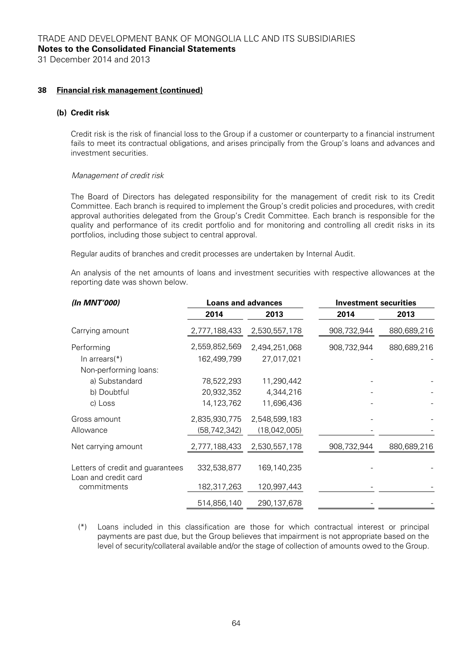## **38 Financial risk management (continued)**

## **(b) Credit risk**

Credit risk is the risk of financial loss to the Group if a customer or counterparty to a financial instrument fails to meet its contractual obligations, and arises principally from the Group's loans and advances and investment securities.

## *Management of credit risk*

The Board of Directors has delegated responsibility for the management of credit risk to its Credit Committee. Each branch is required to implement the Group's credit policies and procedures, with credit approval authorities delegated from the Group's Credit Committee. Each branch is responsible for the quality and performance of its credit portfolio and for monitoring and controlling all credit risks in its portfolios, including those subject to central approval.

Regular audits of branches and credit processes are undertaken by Internal Audit.

An analysis of the net amounts of loans and investment securities with respective allowances at the reporting date was shown below.

| (In MNT'000)                                             | <b>Loans and advances</b> |               | <b>Investment securities</b> |             |  |  |
|----------------------------------------------------------|---------------------------|---------------|------------------------------|-------------|--|--|
|                                                          | 2014                      | 2013          | 2014                         | 2013        |  |  |
| Carrying amount                                          | 2,777,188,433             | 2,530,557,178 | 908,732,944                  | 880,689,216 |  |  |
| Performing                                               | 2,559,852,569             | 2,494,251,068 | 908,732,944                  | 880,689,216 |  |  |
| In arrears $(*)$                                         | 162,499,799               | 27,017,021    |                              |             |  |  |
| Non-performing loans:                                    |                           |               |                              |             |  |  |
| a) Substandard                                           | 78,522,293                | 11,290,442    |                              |             |  |  |
| b) Doubtful                                              | 20,932,352                | 4,344,216     |                              |             |  |  |
| c) Loss                                                  | 14, 123, 762              | 11,696,436    |                              |             |  |  |
| Gross amount                                             | 2,835,930,775             | 2,548,599,183 |                              |             |  |  |
| Allowance                                                | (58, 742, 342)            | (18,042,005)  |                              |             |  |  |
| Net carrying amount                                      | 2,777,188,433             | 2,530,557,178 | 908,732,944                  | 880,689,216 |  |  |
| Letters of credit and guarantees<br>Loan and credit card | 332,538,877               | 169,140,235   |                              |             |  |  |
| commitments                                              | 182,317,263               | 120,997,443   |                              |             |  |  |
|                                                          | 514,856,140               | 290, 137, 678 |                              |             |  |  |

(\*) Loans included in this classification are those for which contractual interest or principal payments are past due, but the Group believes that impairment is not appropriate based on the level of security/collateral available and/or the stage of collection of amounts owed to the Group.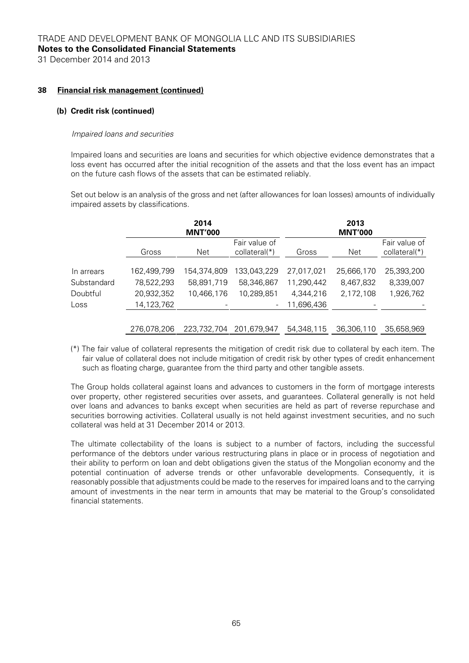## **38 Financial risk management (continued)**

## **(b) Credit risk (continued)**

#### *Impaired loans and securities*

Impaired loans and securities are loans and securities for which objective evidence demonstrates that a loss event has occurred after the initial recognition of the assets and that the loss event has an impact on the future cash flows of the assets that can be estimated reliably.

Set out below is an analysis of the gross and net (after allowances for loan losses) amounts of individually impaired assets by classifications.

|             |             | 2014<br><b>MNT'000</b> |                                | 2013<br><b>MNT'000</b> |            |                                |  |
|-------------|-------------|------------------------|--------------------------------|------------------------|------------|--------------------------------|--|
|             | Gross       | Net                    | Fair value of<br>collateral(*) | Gross                  | Net        | Fair value of<br>collateral(*) |  |
| In arrears  | 162,499,799 | 154,374,809            | 133,043,229                    | 27,017,021             | 25,666,170 | 25,393,200                     |  |
| Substandard | 78,522,293  | 58,891,719             | 58,346,867                     | 11,290,442             | 8,467,832  | 8,339,007                      |  |
| Doubtful    | 20,932,352  | 10,466,176             | 10,289,851                     | 4,344,216              | 2,172,108  | 1,926,762                      |  |
| Loss        | 14,123,762  |                        | -                              | 11,696,436             |            |                                |  |
|             |             |                        |                                |                        |            |                                |  |
|             | 276,078,206 | 223,732,704            | 201.679.947                    | 54,348,115             | 36,306,110 | 35,658,969                     |  |

(\*) The fair value of collateral represents the mitigation of credit risk due to collateral by each item. The fair value of collateral does not include mitigation of credit risk by other types of credit enhancement such as floating charge, guarantee from the third party and other tangible assets.

The Group holds collateral against loans and advances to customers in the form of mortgage interests over property, other registered securities over assets, and guarantees. Collateral generally is not held over loans and advances to banks except when securities are held as part of reverse repurchase and securities borrowing activities. Collateral usually is not held against investment securities, and no such collateral was held at 31 December 2014 or 2013.

The ultimate collectability of the loans is subject to a number of factors, including the successful performance of the debtors under various restructuring plans in place or in process of negotiation and their ability to perform on loan and debt obligations given the status of the Mongolian economy and the potential continuation of adverse trends or other unfavorable developments. Consequently, it is reasonably possible that adjustments could be made to the reserves for impaired loans and to the carrying amount of investments in the near term in amounts that may be material to the Group's consolidated financial statements.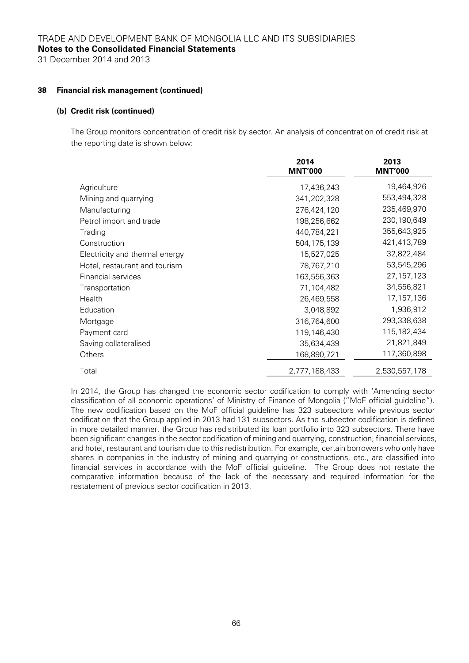## **38 Financial risk management (continued)**

## **(b) Credit risk (continued)**

The Group monitors concentration of credit risk by sector. An analysis of concentration of credit risk at the reporting date is shown below:

|                                | 2014<br><b>MNT'000</b> | 2013<br><b>MNT'000</b> |  |
|--------------------------------|------------------------|------------------------|--|
| Agriculture                    | 17,436,243             | 19,464,926             |  |
| Mining and quarrying           | 341,202,328            | 553,494,328            |  |
| Manufacturing                  | 276,424,120            | 235,469,970            |  |
| Petrol import and trade        | 198,256,662            | 230,190,649            |  |
| Trading                        | 440,784,221            | 355,643,925            |  |
| Construction                   | 504,175,139            | 421,413,789            |  |
| Electricity and thermal energy | 15,527,025             | 32,822,484             |  |
| Hotel, restaurant and tourism  | 78,767,210             | 53,545,296             |  |
| Financial services             | 163,556,363            | 27, 157, 123           |  |
| Transportation                 | 71,104,482             | 34,556,821             |  |
| Health                         | 26,469,558             | 17, 157, 136           |  |
| Education                      | 3,048,892              | 1,936,912              |  |
| Mortgage                       | 316,764,600            | 293,338,638            |  |
| Payment card                   | 119,146,430            | 115,182,434            |  |
| Saving collateralised          | 35,634,439             | 21,821,849             |  |
| <b>Others</b>                  | 168,890,721            | 117,360,898            |  |
| Total                          | 2,777,188,433          | 2,530,557,178          |  |

In 2014, the Group has changed the economic sector codification to comply with 'Amending sector classification of all economic operations' of Ministry of Finance of Mongolia ("MoF official guideline"). The new codification based on the MoF official guideline has 323 subsectors while previous sector codification that the Group applied in 2013 had 131 subsectors. As the subsector codification is defined in more detailed manner, the Group has redistributed its loan portfolio into 323 subsectors. There have been significant changes in the sector codification of mining and quarrying, construction, financial services, and hotel, restaurant and tourism due to this redistribution. For example, certain borrowers who only have shares in companies in the industry of mining and quarrying or constructions, etc., are classified into financial services in accordance with the MoF official guideline. The Group does not restate the comparative information because of the lack of the necessary and required information for the restatement of previous sector codification in 2013.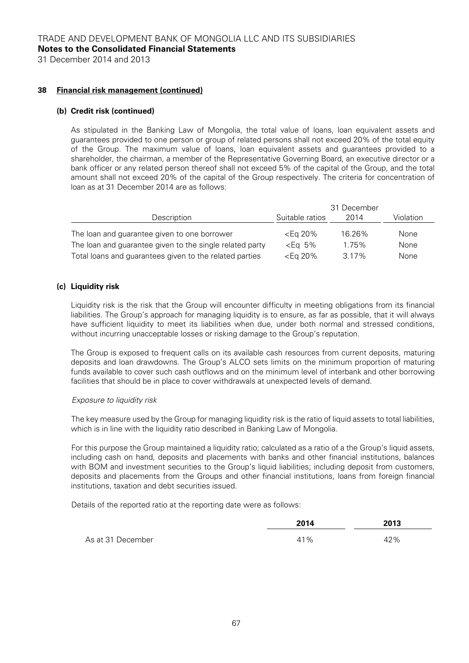## **38 Financial risk management (continued)**

## **(b) Credit risk (continued)**

As stipulated in the Banking Law of Mongolia, the total value of loans, loan equivalent assets and guarantees provided to one person or group of related persons shall not exceed 20% of the total equity of the Group. The maximum value of loans, loan equivalent assets and guarantees provided to a shareholder, the chairman, a member of the Representative Governing Board, an executive director or a bank officer or any related person thereof shall not exceed 5% of the capital of the Group, and the total amount shall not exceed 20% of the capital of the Group respectively. The criteria for concentration of loan as at 31 December 2014 are as follows:

|                                                          | 31 December     |        |           |
|----------------------------------------------------------|-----------------|--------|-----------|
| Description                                              | Suitable ratios | 2014   | Violation |
| The loan and guarantee given to one borrower             | $<$ Eq 20%      | 16.26% | None      |
| The loan and guarantee given to the single related party | $<$ Ea 5%       | 1.75%  | None      |
| Total loans and guarantees given to the related parties  | $<$ Eq 20%      | 3.17%  | None      |

## **(c) Liquidity risk**

Liquidity risk is the risk that the Group will encounter difficulty in meeting obligations from its financial liabilities. The Group's approach for managing liquidity is to ensure, as far as possible, that it will always have sufficient liquidity to meet its liabilities when due, under both normal and stressed conditions, without incurring unacceptable losses or risking damage to the Group's reputation.

The Group is exposed to frequent calls on its available cash resources from current deposits, maturing deposits and loan drawdowns. The Group's ALCO sets limits on the minimum proportion of maturing funds available to cover such cash outflows and on the minimum level of interbank and other borrowing facilities that should be in place to cover withdrawals at unexpected levels of demand.

#### *Exposure to liquidity risk*

The key measure used by the Group for managing liquidity risk is the ratio of liquid assets to total liabilities, which is in line with the liquidity ratio described in Banking Law of Mongolia.

For this purpose the Group maintained a liquidity ratio; calculated as a ratio of a the Group's liquid assets, including cash on hand, deposits and placements with banks and other financial institutions, balances with BOM and investment securities to the Group's liquid liabilities; including deposit from customers, deposits and placements from the Groups and other financial institutions, loans from foreign financial institutions, taxation and debt securities issued.

Details of the reported ratio at the reporting date were as follows:

|                   | 2014 | 2013 |
|-------------------|------|------|
| As at 31 December | 41%  | 42%  |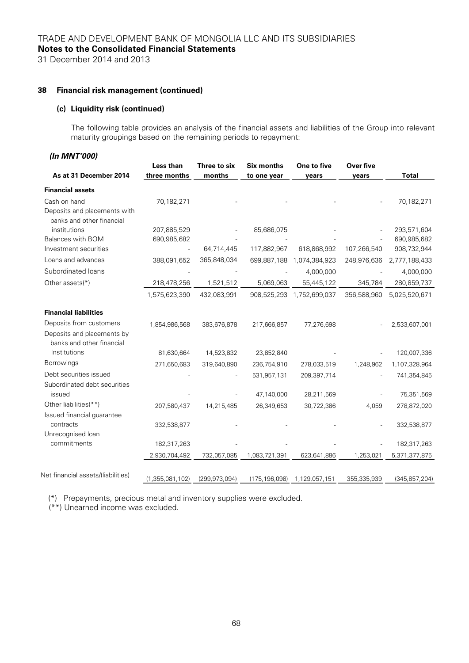# **38 Financial risk management (continued)**

## **(c) Liquidity risk (continued)**

The following table provides an analysis of the financial assets and liabilities of the Group into relevant maturity groupings based on the remaining periods to repayment:

#### *(In MNT'000)*

|                                                           | <b>Less than</b> | Three to six    | <b>Six months</b> | One to five   | Over five   |                 |
|-----------------------------------------------------------|------------------|-----------------|-------------------|---------------|-------------|-----------------|
| As at 31 December 2014                                    | three months     | months          | to one year       | years         | years       | <b>Total</b>    |
| <b>Financial assets</b>                                   |                  |                 |                   |               |             |                 |
| Cash on hand                                              | 70,182,271       |                 |                   |               |             | 70,182,271      |
| Deposits and placements with<br>banks and other financial |                  |                 |                   |               |             |                 |
| institutions                                              | 207,885,529      |                 | 85,686,075        |               |             | 293,571,604     |
| <b>Balances with BOM</b>                                  | 690,985,682      |                 |                   |               |             | 690,985,682     |
| Investment securities                                     |                  | 64,714,445      | 117,882,967       | 618,868,992   | 107,266,540 | 908,732,944     |
| Loans and advances                                        | 388,091,652      | 365,848,034     | 699,887,188       | 1,074,384,923 | 248,976,636 | 2,777,188,433   |
| Subordinated loans                                        |                  |                 |                   | 4,000,000     |             | 4,000,000       |
| Other assets(*)                                           | 218,478,256      | 1,521,512       | 5,069,063         | 55,445,122    | 345,784     | 280,859,737     |
|                                                           | 1,575,623,390    | 432,083,991     | 908,525,293       | 1,752,699,037 | 356,588,960 | 5,025,520,671   |
|                                                           |                  |                 |                   |               |             |                 |
| <b>Financial liabilities</b>                              |                  |                 |                   |               |             |                 |
| Deposits from customers                                   | 1,854,986,568    | 383,676,878     | 217,666,857       | 77,276,698    |             | 2,533,607,001   |
| Deposits and placements by<br>banks and other financial   |                  |                 |                   |               |             |                 |
| Institutions                                              | 81,630,664       | 14,523,832      | 23,852,840        |               |             | 120,007,336     |
| <b>Borrowings</b>                                         | 271,650,683      | 319,640,890     | 236,754,910       | 278,033,519   | 1,248,962   | 1,107,328,964   |
| Debt securities issued                                    |                  |                 | 531,957,131       | 209,397,714   |             | 741,354,845     |
| Subordinated debt securities                              |                  |                 |                   |               |             |                 |
| issued                                                    |                  |                 | 47,140,000        | 28,211,569    |             | 75,351,569      |
| Other liabilities(**)                                     | 207,580,437      | 14,215,485      | 26,349,653        | 30,722,386    | 4,059       | 278,872,020     |
| Issued financial guarantee                                |                  |                 |                   |               |             |                 |
| contracts                                                 | 332,538,877      |                 |                   |               |             | 332,538,877     |
| Unrecognised loan                                         |                  |                 |                   |               |             |                 |
| commitments                                               | 182,317,263      |                 |                   |               |             | 182,317,263     |
|                                                           | 2,930,704,492    | 732,057,085     | 1,083,721,391     | 623,641,886   | 1,253,021   | 5,371,377,875   |
| Net financial assets/(liabilities)                        | (1,355,081,102)  | (299, 973, 094) | (175, 196, 098)   | 1,129,057,151 | 355,335,939 | (345, 857, 204) |

(\*) Prepayments, precious metal and inventory supplies were excluded.

(\*\*) Unearned income was excluded.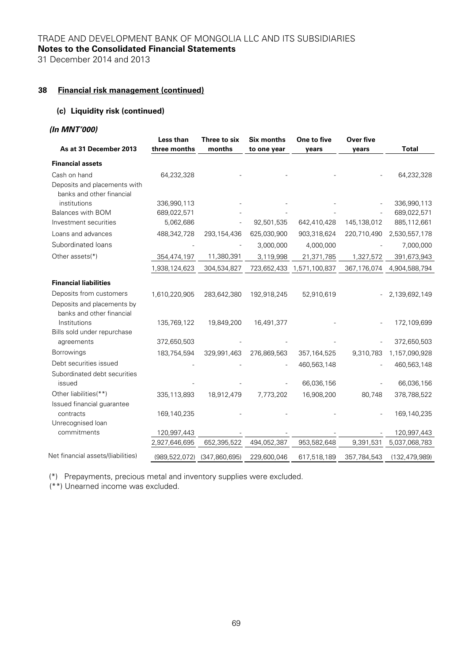# **38 Financial risk management (continued)**

# **(c) Liquidity risk (continued)**

## *(In MNT'000)*

|                                                           | Less than     | Three to six    | <b>Six months</b> | One to five   | Over five   |                 |
|-----------------------------------------------------------|---------------|-----------------|-------------------|---------------|-------------|-----------------|
| As at 31 December 2013                                    | three months  | months          | to one year       | years         | years       | <b>Total</b>    |
| <b>Financial assets</b>                                   |               |                 |                   |               |             |                 |
| Cash on hand                                              | 64,232,328    |                 |                   |               |             | 64,232,328      |
| Deposits and placements with<br>banks and other financial |               |                 |                   |               |             |                 |
| institutions                                              | 336,990,113   |                 |                   |               |             | 336,990,113     |
| <b>Balances with BOM</b>                                  | 689,022,571   |                 |                   |               |             | 689,022,571     |
| Investment securities                                     | 5,062,686     |                 | 92,501,535        | 642,410,428   | 145,138,012 | 885,112,661     |
| Loans and advances                                        | 488,342,728   | 293, 154, 436   | 625,030,900       | 903,318,624   | 220,710,490 | 2,530,557,178   |
| Subordinated loans                                        |               |                 | 3,000,000         | 4,000,000     |             | 7,000,000       |
| Other assets(*)                                           | 354,474,197   | 11,380,391      | 3,119,998         | 21,371,785    | 1,327,572   | 391,673,943     |
|                                                           | 1,938,124,623 | 304,534,827     | 723,652,433       | 1,571,100,837 | 367,176,074 | 4,904,588,794   |
| <b>Financial liabilities</b>                              |               |                 |                   |               |             |                 |
| Deposits from customers                                   | 1,610,220,905 | 283,642,380     | 192,918,245       | 52,910,619    | ÷,          | 2,139,692,149   |
| Deposits and placements by<br>banks and other financial   |               |                 |                   |               |             |                 |
| Institutions                                              | 135,769,122   | 19,849,200      | 16,491,377        |               |             | 172,109,699     |
| Bills sold under repurchase                               |               |                 |                   |               |             |                 |
| agreements                                                | 372,650,503   |                 |                   |               |             | 372,650,503     |
| Borrowings                                                | 183,754,594   | 329,991,463     | 276,869,563       | 357, 164, 525 | 9,310,783   | 1,157,090,928   |
| Debt securities issued                                    |               |                 |                   | 460,563,148   |             | 460,563,148     |
| Subordinated debt securities<br>issued                    |               |                 |                   | 66,036,156    |             | 66,036,156      |
| Other liabilities(**)                                     | 335,113,893   | 18,912,479      | 7,773,202         | 16,908,200    | 80,748      | 378,788,522     |
| Issued financial guarantee                                |               |                 |                   |               |             |                 |
| contracts                                                 | 169,140,235   |                 |                   |               |             | 169,140,235     |
| Unrecognised loan                                         |               |                 |                   |               |             |                 |
| commitments                                               | 120,997,443   |                 |                   |               |             | 120,997,443     |
|                                                           | 2,927,646,695 | 652,395,522     | 494,052,387       | 953,582,648   | 9,391,531   | 5,037,068,783   |
| Net financial assets/(liabilities)                        | (989,522,072) | (347, 860, 695) | 229,600,046       | 617,518,189   | 357,784,543 | (132, 479, 989) |

(\*) Prepayments, precious metal and inventory supplies were excluded.

(\*\*) Unearned income was excluded.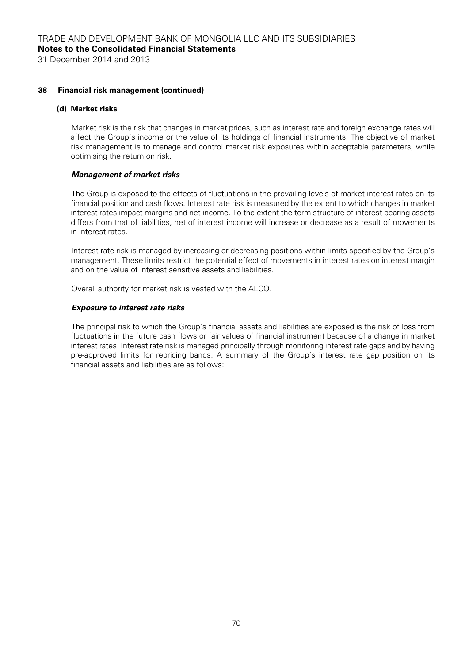# **38 Financial risk management (continued)**

## **(d) Market risks**

Market risk is the risk that changes in market prices, such as interest rate and foreign exchange rates will affect the Group's income or the value of its holdings of financial instruments. The objective of market risk management is to manage and control market risk exposures within acceptable parameters, while optimising the return on risk.

## *Management of market risks*

The Group is exposed to the effects of fluctuations in the prevailing levels of market interest rates on its financial position and cash flows. Interest rate risk is measured by the extent to which changes in market interest rates impact margins and net income. To the extent the term structure of interest bearing assets differs from that of liabilities, net of interest income will increase or decrease as a result of movements in interest rates.

Interest rate risk is managed by increasing or decreasing positions within limits specified by the Group's management. These limits restrict the potential effect of movements in interest rates on interest margin and on the value of interest sensitive assets and liabilities.

Overall authority for market risk is vested with the ALCO.

## *Exposure to interest rate risks*

The principal risk to which the Group's financial assets and liabilities are exposed is the risk of loss from fluctuations in the future cash flows or fair values of financial instrument because of a change in market interest rates. Interest rate risk is managed principally through monitoring interest rate gaps and by having pre-approved limits for repricing bands. A summary of the Group's interest rate gap position on its financial assets and liabilities are as follows: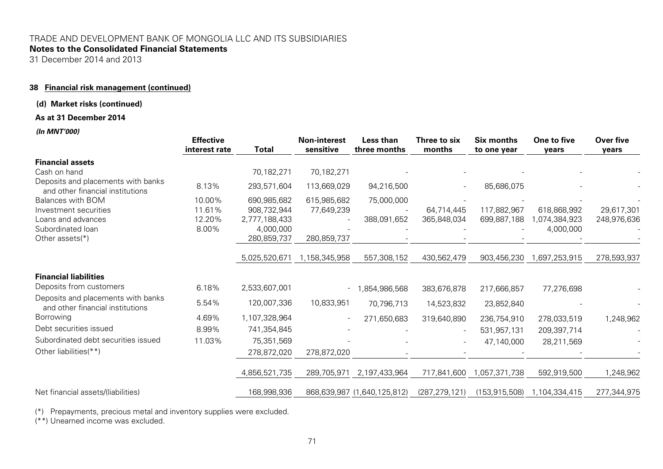#### **Notes to the Consolidated Financial Statements**

31 December 2014 and 2013

# **38 Financial risk management (continued)**

# **(d) Market risks (continued)**

#### **As at 31 December 2014**

*(In MNT'000)* 

|                                                                        | <b>Effective</b><br>interest rate | <b>Total</b>             | <b>Non-interest</b><br>sensitive | <b>Less than</b><br>three months | Three to six<br>months | <b>Six months</b><br>to one year | One to five<br>years | Over five<br>years |
|------------------------------------------------------------------------|-----------------------------------|--------------------------|----------------------------------|----------------------------------|------------------------|----------------------------------|----------------------|--------------------|
| <b>Financial assets</b>                                                |                                   |                          |                                  |                                  |                        |                                  |                      |                    |
| Cash on hand                                                           |                                   | 70,182,271               | 70,182,271                       |                                  |                        |                                  |                      |                    |
| Deposits and placements with banks<br>and other financial institutions | 8.13%                             | 293,571,604              | 113,669,029                      | 94,216,500                       |                        | 85,686,075                       |                      |                    |
| Balances with BOM                                                      | 10.00%                            | 690,985,682              | 615,985,682                      | 75,000,000                       |                        |                                  |                      |                    |
| Investment securities                                                  | 11.61%                            | 908,732,944              | 77,649,239                       |                                  | 64,714,445             | 117,882,967                      | 618,868,992          | 29,617,301         |
| Loans and advances                                                     | 12.20%                            | 2,777,188,433            |                                  | 388,091,652                      | 365,848,034            | 699,887,188                      | 1,074,384,923        | 248,976,636        |
| Subordinated loan<br>Other assets(*)                                   | 8.00%                             | 4,000,000<br>280,859,737 | 280,859,737                      |                                  |                        |                                  | 4,000,000            |                    |
|                                                                        |                                   | 5,025,520,671            | 1,158,345,958                    | 557,308,152                      | 430,562,479            | 903,456,230                      | 1,697,253,915        | 278,593,937        |
| <b>Financial liabilities</b>                                           |                                   |                          |                                  |                                  |                        |                                  |                      |                    |
| Deposits from customers                                                | 6.18%                             | 2,533,607,001            |                                  | 1,854,986,568                    | 383,676,878            | 217,666,857                      | 77,276,698           |                    |
| Deposits and placements with banks<br>and other financial institutions | 5.54%                             | 120,007,336              | 10,833,951                       | 70,796,713                       | 14,523,832             | 23,852,840                       |                      |                    |
| Borrowing                                                              | 4.69%                             | 1,107,328,964            |                                  | 271,650,683                      | 319,640,890            | 236,754,910                      | 278,033,519          | 1,248,962          |
| Debt securities issued                                                 | 8.99%                             | 741,354,845              |                                  |                                  |                        | 531,957,131                      | 209,397,714          |                    |
| Subordinated debt securities issued                                    | 11.03%                            | 75,351,569               |                                  |                                  |                        | 47,140,000                       | 28,211,569           |                    |
| Other liabilities(**)                                                  |                                   | 278,872,020              | 278,872,020                      |                                  |                        |                                  |                      |                    |
|                                                                        |                                   | 4,856,521,735            | 289,705,971                      | 2,197,433,964                    | 717,841,600            | 1,057,371,738                    | 592,919,500          | 1,248,962          |
| Net financial assets/(liabilities)                                     |                                   | 168,998,936              |                                  | 868,639,987 (1,640,125,812)      | (287, 279, 121)        | (153, 915, 508)                  | 1,104,334,415        | 277,344,975        |

(\*) Prepayments, precious metal and inventory supplies were excluded.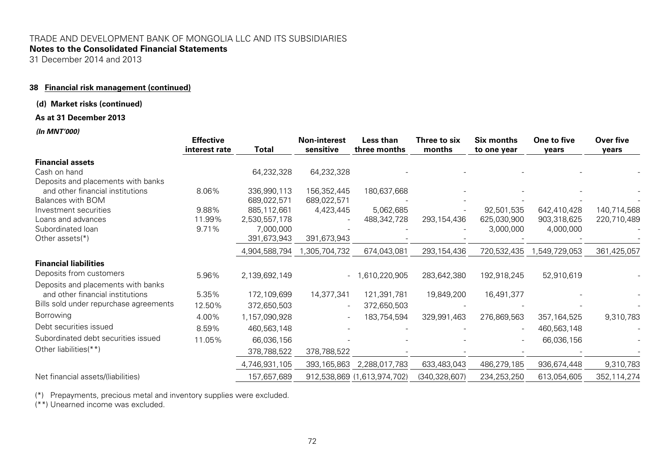#### **Notes to the Consolidated Financial Statements**

31 December 2014 and 2013

# **38 Financial risk management (continued)**

# **(d) Market risks (continued)**

#### **As at 31 December 2013**

*(In MNT'000)* 

|                                                                        | <b>Effective</b><br>interest rate | Total                        | <b>Non-interest</b><br>sensitive | Less than<br>three months   | Three to six<br>months | <b>Six months</b><br>to one year | One to five<br>years       | Over five<br>years         |
|------------------------------------------------------------------------|-----------------------------------|------------------------------|----------------------------------|-----------------------------|------------------------|----------------------------------|----------------------------|----------------------------|
| <b>Financial assets</b>                                                |                                   |                              |                                  |                             |                        |                                  |                            |                            |
| Cash on hand                                                           |                                   | 64,232,328                   | 64,232,328                       |                             |                        |                                  |                            |                            |
| Deposits and placements with banks<br>and other financial institutions | 8.06%                             | 336,990,113                  | 156,352,445                      | 180,637,668                 |                        |                                  |                            |                            |
| Balances with BOM                                                      |                                   | 689,022,571                  | 689,022,571                      |                             |                        |                                  |                            |                            |
| Investment securities<br>Loans and advances                            | 9.88%<br>11.99%                   | 885,112,661<br>2,530,557,178 | 4,423,445                        | 5,062,685<br>488,342,728    | 293,154,436            | 92,501,535<br>625,030,900        | 642,410,428<br>903,318,625 | 140,714,568<br>220,710,489 |
| Subordinated loan<br>Other assets(*)                                   | 9.71%                             | 7,000,000<br>391,673,943     | 391,673,943                      |                             |                        | 3,000,000                        | 4,000,000                  |                            |
|                                                                        |                                   | 4,904,588,794                | 1,305,704,732                    | 674,043,081                 | 293, 154, 436          | 720,532,435                      | 1,549,729,053              | 361,425,057                |
| <b>Financial liabilities</b>                                           |                                   |                              |                                  |                             |                        |                                  |                            |                            |
| Deposits from customers                                                | 5.96%                             | 2,139,692,149                |                                  | ,610,220,905                | 283,642,380            | 192,918,245                      | 52,910,619                 |                            |
| Deposits and placements with banks<br>and other financial institutions | 5.35%                             | 172,109,699                  | 14,377,341                       | 121,391,781                 | 19,849,200             | 16,491,377                       |                            |                            |
| Bills sold under repurchase agreements                                 | 12.50%                            | 372,650,503                  |                                  | 372,650,503                 |                        |                                  |                            |                            |
| Borrowing                                                              | 4.00%                             | 1,157,090,928                |                                  | 183,754,594                 | 329,991,463            | 276,869,563                      | 357, 164, 525              | 9,310,783                  |
| Debt securities issued                                                 | 8.59%                             | 460,563,148                  |                                  |                             |                        | $\overline{\phantom{0}}$         | 460,563,148                |                            |
| Subordinated debt securities issued                                    | 11.05%                            | 66,036,156                   |                                  |                             |                        |                                  | 66,036,156                 |                            |
| Other liabilities(**)                                                  |                                   | 378,788,522                  | 378,788,522                      |                             |                        |                                  |                            |                            |
|                                                                        |                                   | 4,746,931,105                | 393, 165, 863                    | 2,288,017,783               | 633,483,043            | 486,279,185                      | 936,674,448                | 9,310,783                  |
| Net financial assets/(liabilities)                                     |                                   | 157,657,689                  |                                  | 912,538,869 (1,613,974,702) | (340, 328, 607)        | 234,253,250                      | 613,054,605                | 352,114,274                |

(\*) Prepayments, precious metal and inventory supplies were excluded.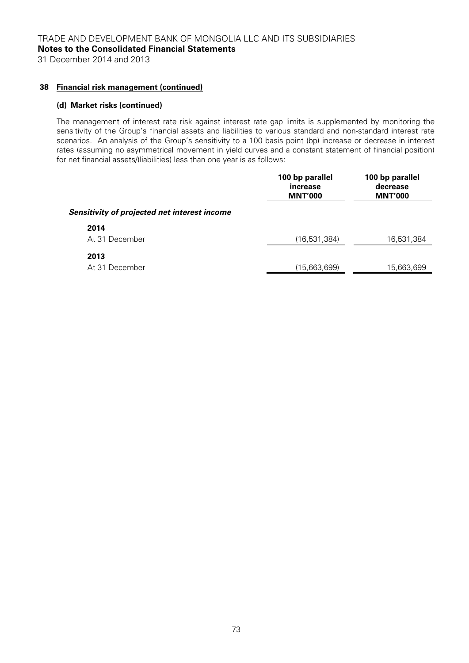# **38 Financial risk management (continued)**

## **(d) Market risks (continued)**

The management of interest rate risk against interest rate gap limits is supplemented by monitoring the sensitivity of the Group's financial assets and liabilities to various standard and non-standard interest rate scenarios. An analysis of the Group's sensitivity to a 100 basis point (bp) increase or decrease in interest rates (assuming no asymmetrical movement in yield curves and a constant statement of financial position) for net financial assets/(liabilities) less than one year is as follows:

|                                              | 100 bp parallel<br>increase<br><b>MNT'000</b> | 100 bp parallel<br>decrease<br><b>MNT'000</b> |
|----------------------------------------------|-----------------------------------------------|-----------------------------------------------|
| Sensitivity of projected net interest income |                                               |                                               |
| 2014                                         |                                               |                                               |
| At 31 December                               | (16, 531, 384)                                | 16,531,384                                    |
| 2013                                         |                                               |                                               |
| At 31 December                               | (15,663,699)                                  | 15,663,699                                    |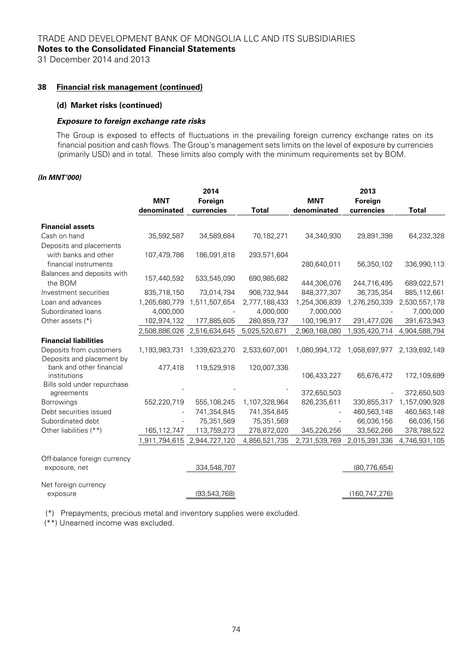## **38 Financial risk management (continued)**

#### **(d) Market risks (continued)**

#### *Exposure to foreign exchange rate risks*

The Group is exposed to effects of fluctuations in the prevailing foreign currency exchange rates on its financial position and cash flows. The Group's management sets limits on the level of exposure by currencies (primarily USD) and in total. These limits also comply with the minimum requirements set by BOM.

# *(In MNT'000)*

|                                       |               | 2014           |               |               | 2013            |               |
|---------------------------------------|---------------|----------------|---------------|---------------|-----------------|---------------|
|                                       | <b>MNT</b>    | Foreign        |               | <b>MNT</b>    | Foreign         |               |
|                                       | denominated   | currencies     | <b>Total</b>  | denominated   | currencies      | <b>Total</b>  |
| <b>Financial assets</b>               |               |                |               |               |                 |               |
| Cash on hand                          | 35,592,587    | 34,589,684     | 70,182,271    | 34,340,930    | 29,891,398      | 64,232,328    |
| Deposits and placements               |               |                |               |               |                 |               |
| with banks and other                  | 107,479,786   | 186,091,818    | 293,571,604   |               |                 |               |
| financial instruments                 |               |                |               | 280,640,011   | 56,350,102      | 336,990,113   |
| Balances and deposits with<br>the BOM | 157,440,592   | 533,545,090    | 690,985,682   | 444,306,076   | 244,716,495     | 689,022,571   |
| Investment securities                 | 835,718,150   | 73,014,794     | 908,732,944   | 848, 377, 307 | 36,735,354      | 885,112,661   |
| Loan and advances                     | 1,265,680,779 | 1,511,507,654  | 2,777,188,433 | 1,254,306,839 | 1,276,250,339   | 2,530,557,178 |
| Subordinated Ioans                    | 4,000,000     |                | 4,000,000     | 7,000,000     |                 | 7,000,000     |
| Other assets (*)                      | 102,974,132   | 177,885,605    | 280,859,737   | 100,196,917   | 291,477,026     | 391,673,943   |
|                                       | 2,508,886,026 | 2,516,634,645  | 5,025,520,671 | 2,969,168,080 | 1,935,420,714   | 4,904,588,794 |
| <b>Financial liabilities</b>          |               |                |               |               |                 |               |
| Deposits from customers               | 1,193,983,731 | 1,339,623,270  | 2,533,607,001 | 1,080,994,172 | 1,058,697,977   | 2,139,692,149 |
| Deposits and placement by             |               |                |               |               |                 |               |
| bank and other financial              | 477,418       | 119,529,918    | 120,007,336   |               |                 |               |
| institutions                          |               |                |               | 106,433,227   | 65,676,472      | 172,109,699   |
| Bills sold under repurchase           |               |                |               |               |                 |               |
| agreements                            |               |                |               | 372,650,503   |                 | 372,650,503   |
| Borrowings                            | 552,220,719   | 555,108,245    | 1,107,328,964 | 826,235,611   | 330,855,317     | 1,157,090,928 |
| Debt securities issued                |               | 741,354,845    | 741,354,845   |               | 460,563,148     | 460,563,148   |
| Subordinated debt                     |               | 75,351,569     | 75,351,569    |               | 66,036,156      | 66,036,156    |
| Other liabilities (**)                | 165, 112, 747 | 113,759,273    | 278,872,020   | 345,226,256   | 33,562,266      | 378,788,522   |
|                                       | 1,911,794,615 | 2,944,727,120  | 4,856,521,735 | 2,731,539,769 | 2,015,391,336   | 4,746,931,105 |
|                                       |               |                |               |               |                 |               |
| Off-balance foreign currency          |               | 334,548,707    |               |               | (80, 776, 654)  |               |
| exposure, net                         |               |                |               |               |                 |               |
| Net foreign currency                  |               |                |               |               |                 |               |
| exposure                              |               | (93, 543, 768) |               |               | (160, 747, 276) |               |
|                                       |               |                |               |               |                 |               |

(\*) Prepayments, precious metal and inventory supplies were excluded.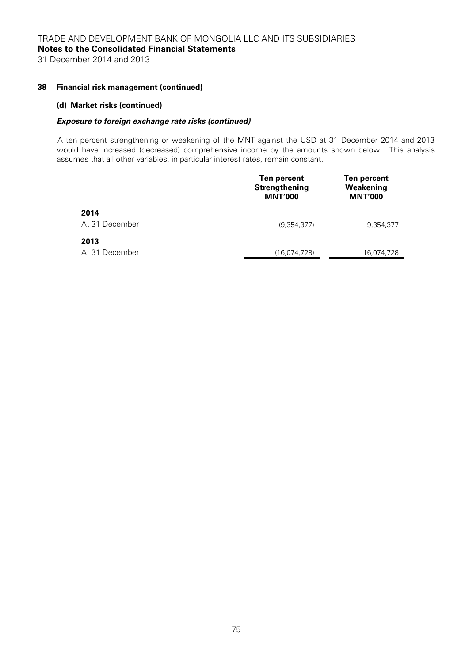# **38 Financial risk management (continued)**

## **(d) Market risks (continued)**

# *Exposure to foreign exchange rate risks (continued)*

A ten percent strengthening or weakening of the MNT against the USD at 31 December 2014 and 2013 would have increased (decreased) comprehensive income by the amounts shown below. This analysis assumes that all other variables, in particular interest rates, remain constant.

|                        | Ten percent<br><b>Strengthening</b><br><b>MNT'000</b> | Ten percent<br>Weakening<br><b>MNT'000</b> |  |
|------------------------|-------------------------------------------------------|--------------------------------------------|--|
| 2014<br>At 31 December | (9,354,377)                                           | 9,354,377                                  |  |
| 2013<br>At 31 December | (16,074,728)                                          | 16,074,728                                 |  |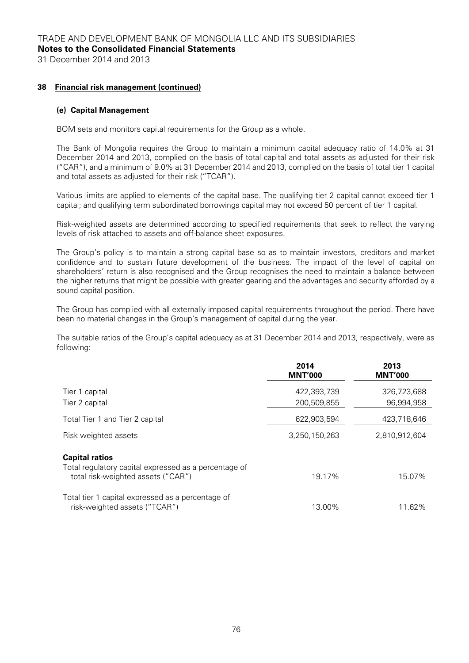# **38 Financial risk management (continued)**

## **(e) Capital Management**

BOM sets and monitors capital requirements for the Group as a whole.

The Bank of Mongolia requires the Group to maintain a minimum capital adequacy ratio of 14.0% at 31 December 2014 and 2013, complied on the basis of total capital and total assets as adjusted for their risk ("CAR"), and a minimum of 9.0% at 31 December 2014 and 2013, complied on the basis of total tier 1 capital and total assets as adjusted for their risk ("TCAR").

Various limits are applied to elements of the capital base. The qualifying tier 2 capital cannot exceed tier 1 capital; and qualifying term subordinated borrowings capital may not exceed 50 percent of tier 1 capital.

Risk-weighted assets are determined according to specified requirements that seek to reflect the varying levels of risk attached to assets and off-balance sheet exposures.

The Group's policy is to maintain a strong capital base so as to maintain investors, creditors and market confidence and to sustain future development of the business. The impact of the level of capital on shareholders' return is also recognised and the Group recognises the need to maintain a balance between the higher returns that might be possible with greater gearing and the advantages and security afforded by a sound capital position.

The Group has complied with all externally imposed capital requirements throughout the period. There have been no material changes in the Group's management of capital during the year.

The suitable ratios of the Group's capital adequacy as at 31 December 2014 and 2013, respectively, were as following:

|                                                                                                                      | 2014<br><b>MNT'000</b>     | 2013<br><b>MNT'000</b>    |
|----------------------------------------------------------------------------------------------------------------------|----------------------------|---------------------------|
| Tier 1 capital<br>Tier 2 capital                                                                                     | 422,393,739<br>200,509,855 | 326,723,688<br>96.994.958 |
| Total Tier 1 and Tier 2 capital                                                                                      | 622,903,594                | 423,718,646               |
| Risk weighted assets                                                                                                 | 3,250,150,263              | 2,810,912,604             |
| <b>Capital ratios</b><br>Total regulatory capital expressed as a percentage of<br>total risk-weighted assets ("CAR") | 19.17%                     | 15.07%                    |
| Total tier 1 capital expressed as a percentage of<br>risk-weighted assets ("TCAR")                                   | 13.00%                     | 11.62%                    |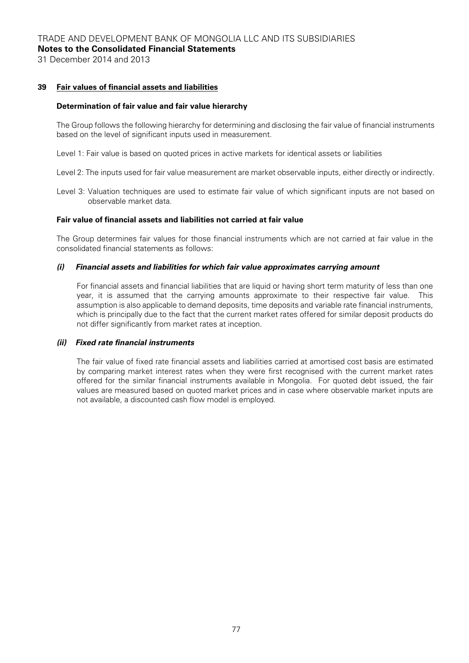31 December 2014 and 2013

# **39 Fair values of financial assets and liabilities**

#### **Determination of fair value and fair value hierarchy**

The Group follows the following hierarchy for determining and disclosing the fair value of financial instruments based on the level of significant inputs used in measurement.

Level 1: Fair value is based on quoted prices in active markets for identical assets or liabilities

- Level 2: The inputs used for fair value measurement are market observable inputs, either directly or indirectly.
- Level 3: Valuation techniques are used to estimate fair value of which significant inputs are not based on observable market data.

#### **Fair value of financial assets and liabilities not carried at fair value**

The Group determines fair values for those financial instruments which are not carried at fair value in the consolidated financial statements as follows:

#### *(i) Financial assets and liabilities for which fair value approximates carrying amount*

For financial assets and financial liabilities that are liquid or having short term maturity of less than one year, it is assumed that the carrying amounts approximate to their respective fair value. This assumption is also applicable to demand deposits, time deposits and variable rate financial instruments, which is principally due to the fact that the current market rates offered for similar deposit products do not differ significantly from market rates at inception.

#### *(ii) Fixed rate financial instruments*

The fair value of fixed rate financial assets and liabilities carried at amortised cost basis are estimated by comparing market interest rates when they were first recognised with the current market rates offered for the similar financial instruments available in Mongolia. For quoted debt issued, the fair values are measured based on quoted market prices and in case where observable market inputs are not available, a discounted cash flow model is employed.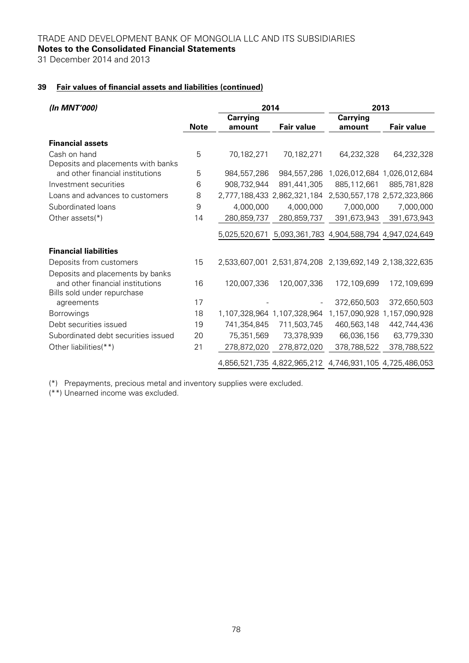31 December 2014 and 2013

# **39 Fair values of financial assets and liabilities (continued)**

| (In MNT'000)                                                                                        |             |                 | 2014                                                    | 2013                        |                             |  |
|-----------------------------------------------------------------------------------------------------|-------------|-----------------|---------------------------------------------------------|-----------------------------|-----------------------------|--|
|                                                                                                     |             | <b>Carrying</b> |                                                         | <b>Carrying</b>             |                             |  |
|                                                                                                     | <b>Note</b> | amount          | <b>Fair value</b>                                       | amount                      | <b>Fair value</b>           |  |
| <b>Financial assets</b>                                                                             |             |                 |                                                         |                             |                             |  |
| Cash on hand                                                                                        | 5           | 70,182,271      | 70,182,271                                              | 64,232,328                  | 64,232,328                  |  |
| Deposits and placements with banks                                                                  |             |                 |                                                         |                             |                             |  |
| and other financial institutions                                                                    | 5           | 984, 557, 286   | 984,557,286                                             | 1,026,012,684 1,026,012,684 |                             |  |
| Investment securities                                                                               | 6           | 908,732,944     | 891,441,305                                             | 885,112,661                 | 885,781,828                 |  |
| Loans and advances to customers                                                                     | 8           |                 | 2,777,188,433 2,862,321,184                             |                             | 2,530,557,178 2,572,323,866 |  |
| Subordinated loans                                                                                  | 9           | 4,000,000       | 4,000,000                                               | 7,000,000                   | 7,000,000                   |  |
| Other assets(*)                                                                                     | 14          | 280,859,737     | 280,859,737                                             | 391,673,943                 | 391,673,943                 |  |
|                                                                                                     |             |                 | 5,025,520,671 5,093,361,783 4,904,588,794 4,947,024,649 |                             |                             |  |
| <b>Financial liabilities</b>                                                                        |             |                 |                                                         |                             |                             |  |
| Deposits from customers                                                                             | 15          |                 | 2,533,607,001 2,531,874,208 2,139,692,149 2,138,322,635 |                             |                             |  |
| Deposits and placements by banks<br>and other financial institutions<br>Bills sold under repurchase | 16          | 120,007,336     | 120,007,336                                             | 172,109,699                 | 172,109,699                 |  |
| agreements                                                                                          | 17          |                 |                                                         | 372,650,503                 | 372,650,503                 |  |
| <b>Borrowings</b>                                                                                   | 18          |                 | 1,107,328,964 1,107,328,964 1,157,090,928 1,157,090,928 |                             |                             |  |
| Debt securities issued                                                                              | 19          | 741,354,845     | 711,503,745                                             | 460,563,148                 | 442,744,436                 |  |
| Subordinated debt securities issued                                                                 | 20          | 75,351,569      | 73,378,939                                              | 66,036,156                  | 63,779,330                  |  |
| Other liabilities(**)                                                                               | 21          | 278,872,020     | 278,872,020                                             | 378,788,522                 | 378,788,522                 |  |
|                                                                                                     |             |                 | 4,856,521,735 4,822,965,212 4,746,931,105 4,725,486,053 |                             |                             |  |

(\*) Prepayments, precious metal and inventory supplies were excluded.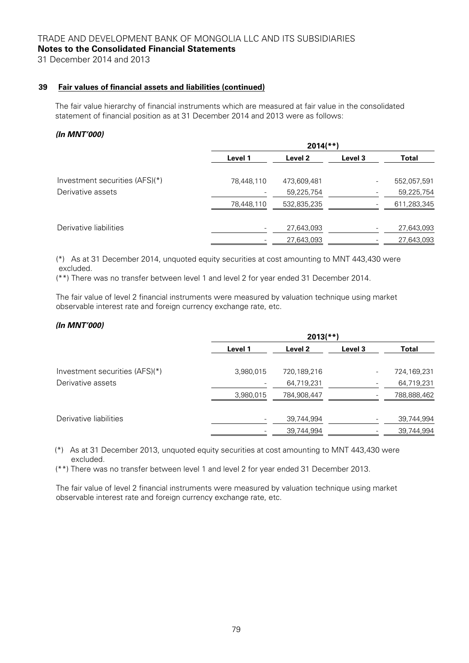# **39 Fair values of financial assets and liabilities (continued)**

The fair value hierarchy of financial instruments which are measured at fair value in the consolidated statement of financial position as at 31 December 2014 and 2013 were as follows:

#### *(In MNT'000)*

|                                | $2014$ <sup>**</sup> ) |                    |         |              |  |  |
|--------------------------------|------------------------|--------------------|---------|--------------|--|--|
|                                | Level 1                | Level <sub>2</sub> | Level 3 | <b>Total</b> |  |  |
| Investment securities (AFS)(*) | 78,448,110             | 473,609,481        |         | 552,057,591  |  |  |
| Derivative assets              |                        | 59,225,754         |         | 59,225,754   |  |  |
|                                | 78,448,110             | 532,835,235        |         | 611,283,345  |  |  |
| Derivative liabilities         |                        | 27,643,093         |         | 27,643,093   |  |  |
|                                |                        | 27,643,093         |         | 27,643,093   |  |  |

(\*) As at 31 December 2014, unquoted equity securities at cost amounting to MNT 443,430 were excluded.

(\*\*) There was no transfer between level 1 and level 2 for year ended 31 December 2014.

The fair value of level 2 financial instruments were measured by valuation technique using market observable interest rate and foreign currency exchange rate, etc.

#### *(In MNT'000)*

|                                | $2013$ <sup>**</sup> ) |             |         |              |  |  |
|--------------------------------|------------------------|-------------|---------|--------------|--|--|
|                                | Level 1                | Level 2     | Level 3 | <b>Total</b> |  |  |
| Investment securities (AFS)(*) | 3,980,015              | 720,189,216 |         | 724,169,231  |  |  |
| Derivative assets              |                        | 64,719,231  |         | 64,719,231   |  |  |
|                                | 3,980,015              | 784,908,447 |         | 788,888,462  |  |  |
| Derivative liabilities         |                        | 39,744,994  |         | 39,744,994   |  |  |
|                                |                        | 39,744,994  |         | 39,744,994   |  |  |

(\*) As at 31 December 2013, unquoted equity securities at cost amounting to MNT 443,430 were excluded.

(\*\*) There was no transfer between level 1 and level 2 for year ended 31 December 2013.

The fair value of level 2 financial instruments were measured by valuation technique using market observable interest rate and foreign currency exchange rate, etc.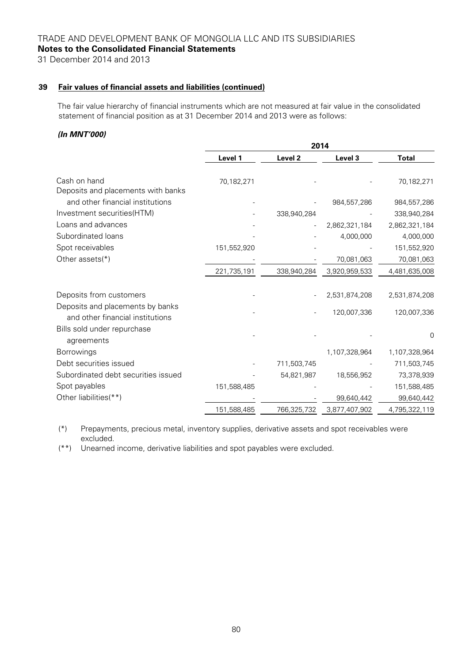31 December 2014 and 2013

#### **39 Fair values of financial assets and liabilities (continued)**

The fair value hierarchy of financial instruments which are not measured at fair value in the consolidated statement of financial position as at 31 December 2014 and 2013 were as follows:

# *(In MNT'000)*

|                                                                        | 2014        |             |               |               |  |  |
|------------------------------------------------------------------------|-------------|-------------|---------------|---------------|--|--|
|                                                                        | Level 1     | Level 2     | Level 3       | <b>Total</b>  |  |  |
| Cash on hand                                                           | 70,182,271  |             |               | 70,182,271    |  |  |
| Deposits and placements with banks<br>and other financial institutions |             |             | 984, 557, 286 | 984,557,286   |  |  |
| Investment securities (HTM)                                            |             | 338,940,284 |               | 338,940,284   |  |  |
| Loans and advances                                                     |             |             | 2,862,321,184 | 2,862,321,184 |  |  |
| Subordinated loans                                                     |             |             | 4,000,000     | 4,000,000     |  |  |
| Spot receivables                                                       | 151,552,920 |             |               | 151,552,920   |  |  |
| Other assets(*)                                                        |             |             | 70,081,063    | 70,081,063    |  |  |
|                                                                        | 221,735,191 | 338,940,284 | 3,920,959,533 | 4,481,635,008 |  |  |
| Deposits from customers                                                |             |             | 2,531,874,208 | 2,531,874,208 |  |  |
| Deposits and placements by banks<br>and other financial institutions   |             |             | 120,007,336   | 120,007,336   |  |  |
| Bills sold under repurchase<br>agreements                              |             |             |               | 0             |  |  |
| <b>Borrowings</b>                                                      |             |             | 1,107,328,964 | 1,107,328,964 |  |  |
| Debt securities issued                                                 |             | 711,503,745 |               | 711,503,745   |  |  |
| Subordinated debt securities issued                                    |             | 54,821,987  | 18,556,952    | 73,378,939    |  |  |
| Spot payables                                                          | 151,588,485 |             |               | 151,588,485   |  |  |
| Other liabilities(**)                                                  |             |             | 99,640,442    | 99,640,442    |  |  |
|                                                                        | 151,588,485 | 766,325,732 | 3,877,407,902 | 4,795,322,119 |  |  |

(\*) Prepayments, precious metal, inventory supplies, derivative assets and spot receivables were excluded.

(\*\*) Unearned income, derivative liabilities and spot payables were excluded.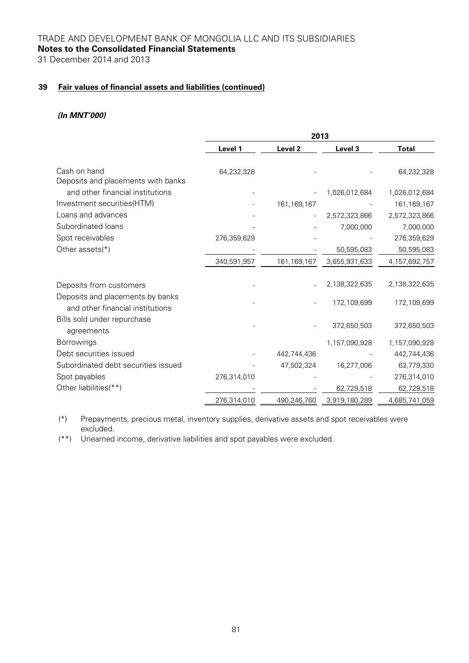31 December 2014 and 2013

# **39 Fair values of financial assets and liabilities (continued)**

## *(In MNT'000)*

|                                                                      | 2013        |                    |               |               |  |  |
|----------------------------------------------------------------------|-------------|--------------------|---------------|---------------|--|--|
|                                                                      | Level 1     | Level <sub>2</sub> | Level 3       | <b>Total</b>  |  |  |
| Cash on hand<br>Deposits and placements with banks                   | 64,232,328  |                    |               | 64,232,328    |  |  |
| and other financial institutions                                     |             |                    | 1,026,012,684 | 1,026,012,684 |  |  |
| Investment securities(HTM)                                           |             | 161, 169, 167      |               | 161, 169, 167 |  |  |
| Loans and advances                                                   |             |                    | 2,572,323,866 | 2,572,323,866 |  |  |
| Subordinated loans                                                   |             |                    | 7,000,000     | 7,000,000     |  |  |
| Spot receivables                                                     | 276,359,629 |                    |               | 276,359,629   |  |  |
| Other assets(*)                                                      |             |                    | 50,595,083    | 50,595,083    |  |  |
|                                                                      | 340,591,957 | 161, 169, 167      | 3,655,931,633 | 4,157,692,757 |  |  |
| Deposits from customers                                              |             |                    | 2,138,322,635 | 2,138,322,635 |  |  |
| Deposits and placements by banks<br>and other financial institutions |             |                    | 172,109,699   | 172,109,699   |  |  |
| Bills sold under repurchase<br>agreements                            |             |                    | 372,650,503   | 372,650,503   |  |  |
| <b>Borrowings</b>                                                    |             |                    | 1,157,090,928 | 1,157,090,928 |  |  |
| Debt securities issued                                               |             | 442,744,436        |               | 442,744,436   |  |  |
| Subordinated debt securities issued                                  |             | 47,502,324         | 16,277,006    | 63,779,330    |  |  |
| Spot payables                                                        | 276,314,010 |                    |               | 276,314,010   |  |  |
| Other liabilities(**)                                                |             |                    | 62,729,518    | 62,729,518    |  |  |
|                                                                      | 276,314,010 | 490,246,760        | 3,919,180,289 | 4,685,741,059 |  |  |

(\*) Prepayments, precious metal, inventory supplies, derivative assets and spot receivables were excluded.

(\*\*) Unearned income, derivative liabilities and spot payables were excluded.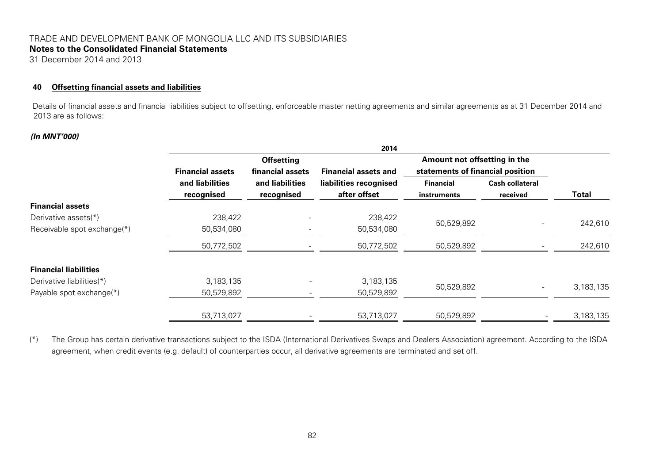# **Notes to the Consolidated Financial Statements**

31 December 2014 and 2013

# **40 Offsetting financial assets and liabilities**

Details of financial assets and financial liabilities subject to offsetting, enforceable master netting agreements and similar agreements as at 31 December 2014 and 2013 are as follows:

# *(In MNT'000)*

|                              | 2014                          |                                       |                                        |                                                                  |                                    |           |  |
|------------------------------|-------------------------------|---------------------------------------|----------------------------------------|------------------------------------------------------------------|------------------------------------|-----------|--|
|                              | <b>Financial assets</b>       | <b>Offsetting</b><br>financial assets | <b>Financial assets and</b>            | Amount not offsetting in the<br>statements of financial position |                                    |           |  |
|                              | and liabilities<br>recognised | and liabilities<br>recognised         | liabilities recognised<br>after offset | <b>Financial</b><br>instruments                                  | <b>Cash collateral</b><br>received | Total     |  |
| <b>Financial assets</b>      |                               |                                       |                                        |                                                                  |                                    |           |  |
| Derivative assets(*)         | 238,422                       |                                       | 238,422                                |                                                                  |                                    |           |  |
| Receivable spot exchange(*)  | 50,534,080                    |                                       | 50,534,080                             | 50,529,892                                                       |                                    | 242,610   |  |
|                              | 50,772,502                    |                                       | 50,772,502                             | 50,529,892                                                       |                                    | 242,610   |  |
| <b>Financial liabilities</b> |                               |                                       |                                        |                                                                  |                                    |           |  |
| Derivative liabilities(*)    | 3,183,135                     |                                       | 3,183,135                              | 50,529,892                                                       |                                    | 3,183,135 |  |
| Payable spot exchange(*)     | 50,529,892                    |                                       | 50,529,892                             |                                                                  |                                    |           |  |
|                              | 53,713,027                    |                                       | 53,713,027                             | 50,529,892                                                       |                                    | 3,183,135 |  |
|                              |                               |                                       |                                        |                                                                  |                                    |           |  |

(\*) The Group has certain derivative transactions subject to the ISDA (International Derivatives Swaps and Dealers Association) agreement. According to the ISDA agreement, when credit events (e.g. default) of counterparties occur, all derivative agreements are terminated and set off.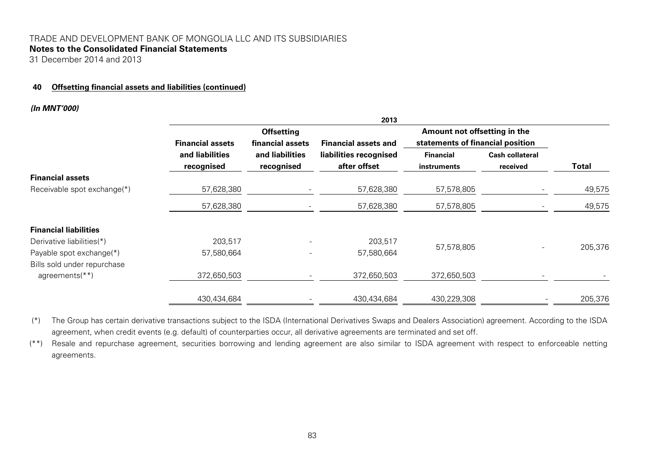**Notes to the Consolidated Financial Statements** 

31 December 2014 and 2013

# **40 Offsetting financial assets and liabilities (continued)**

#### *(In MNT'000)*

|                              | 2013                          |                               |                                        |                                        |                                    |         |
|------------------------------|-------------------------------|-------------------------------|----------------------------------------|----------------------------------------|------------------------------------|---------|
|                              | <b>Offsetting</b>             |                               |                                        | Amount not offsetting in the           |                                    |         |
|                              | <b>Financial assets</b>       | financial assets              | <b>Financial assets and</b>            | statements of financial position       |                                    |         |
|                              | and liabilities<br>recognised | and liabilities<br>recognised | liabilities recognised<br>after offset | <b>Financial</b><br><b>instruments</b> | <b>Cash collateral</b><br>received | Total   |
| <b>Financial assets</b>      |                               |                               |                                        |                                        |                                    |         |
| Receivable spot exchange(*)  | 57,628,380                    |                               | 57,628,380                             | 57,578,805                             |                                    | 49,575  |
|                              | 57,628,380                    |                               | 57,628,380                             | 57,578,805                             |                                    | 49,575  |
| <b>Financial liabilities</b> |                               |                               |                                        |                                        |                                    |         |
| Derivative liabilities(*)    | 203,517                       |                               | 203,517                                | 57,578,805                             |                                    | 205,376 |
| Payable spot exchange(*)     | 57,580,664                    |                               | 57,580,664                             |                                        |                                    |         |
| Bills sold under repurchase  |                               |                               |                                        |                                        |                                    |         |
| agreements $(**)$            | 372,650,503                   |                               | 372,650,503                            | 372,650,503                            |                                    |         |
|                              | 430,434,684                   |                               | 430,434,684                            | 430,229,308                            |                                    | 205,376 |

 (\*) The Group has certain derivative transactions subject to the ISDA (International Derivatives Swaps and Dealers Association) agreement. According to the ISDA agreement, when credit events (e.g. default) of counterparties occur, all derivative agreements are terminated and set off.

(\*\*) Resale and repurchase agreement, securities borrowing and lending agreement are also similar to ISDA agreement with respect to enforceable netting agreements.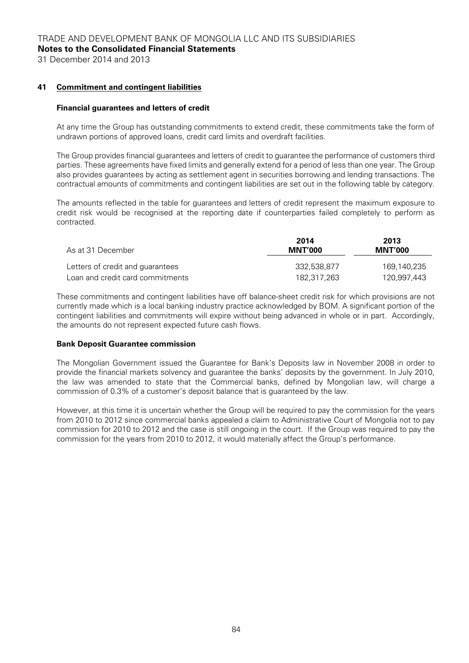# **41 Commitment and contingent liabilities**

## **Financial guarantees and letters of credit**

At any time the Group has outstanding commitments to extend credit, these commitments take the form of undrawn portions of approved loans, credit card limits and overdraft facilities.

The Group provides financial guarantees and letters of credit to guarantee the performance of customers third parties. These agreements have fixed limits and generally extend for a period of less than one year. The Group also provides guarantees by acting as settlement agent in securities borrowing and lending transactions. The contractual amounts of commitments and contingent liabilities are set out in the following table by category.

The amounts reflected in the table for guarantees and letters of credit represent the maximum exposure to credit risk would be recognised at the reporting date if counterparties failed completely to perform as contracted.

| As at 31 December                | 2014<br><b>MNT'000</b> | 2013<br><b>MNT'000</b> |
|----------------------------------|------------------------|------------------------|
| Letters of credit and guarantees | 332.538.877            | 169.140.235            |
| Loan and credit card commitments | 182.317.263            | 120,997,443            |

These commitments and contingent liabilities have off balance-sheet credit risk for which provisions are not currently made which is a local banking industry practice acknowledged by BOM. A significant portion of the contingent liabilities and commitments will expire without being advanced in whole or in part. Accordingly, the amounts do not represent expected future cash flows.

# **Bank Deposit Guarantee commission**

The Mongolian Government issued the Guarantee for Bank's Deposits law in November 2008 in order to provide the financial markets solvency and guarantee the banks' deposits by the government. In July 2010, the law was amended to state that the Commercial banks, defined by Mongolian law, will charge a commission of 0.3% of a customer's deposit balance that is guaranteed by the law.

However, at this time it is uncertain whether the Group will be required to pay the commission for the years from 2010 to 2012 since commercial banks appealed a claim to Administrative Court of Mongolia not to pay commission for 2010 to 2012 and the case is still ongoing in the court. If the Group was required to pay the commission for the years from 2010 to 2012, it would materially affect the Group's performance.